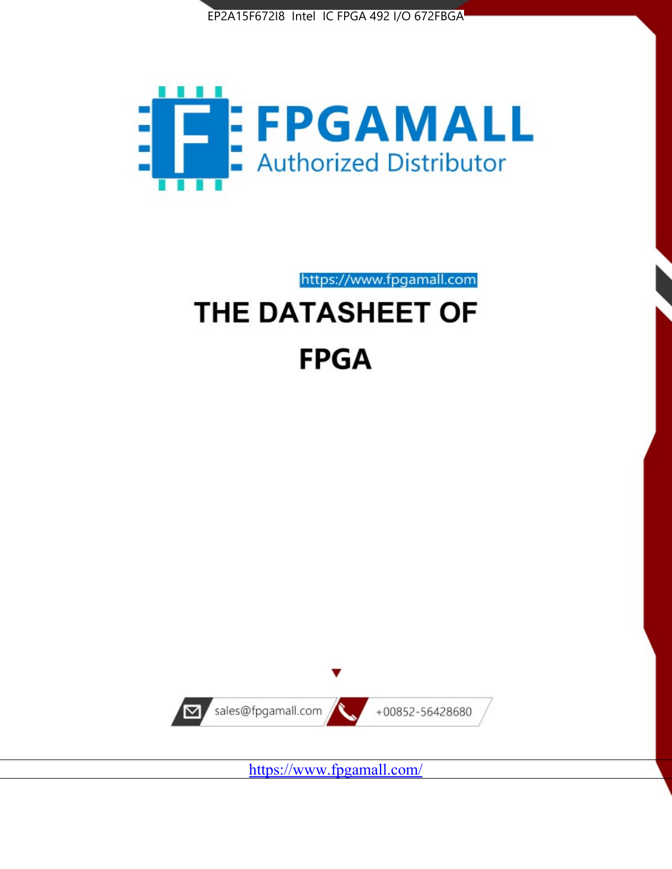



https://www.fpgamall.com THE DATASHEET OF

# **FPGA**



<https://www.fpgamall.com/>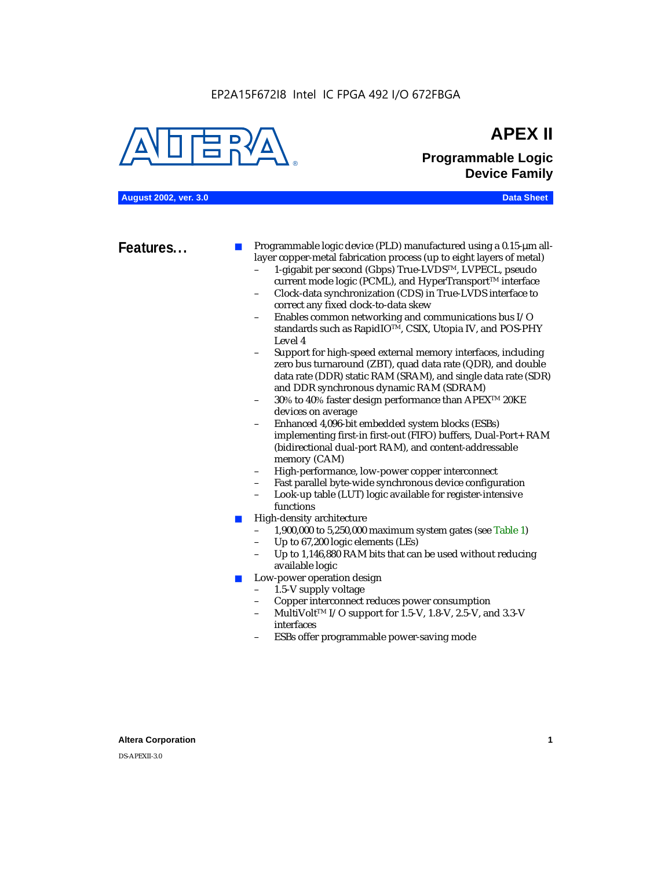#### EP2A15F672I8 Intel IC FPGA 492 I/O 672FBGA



## **APEX II Programmable Logic Device Family**

**August 2002, ver. 3.0 Data Sheet**

**Features...** ■ Programmable logic device (PLD) manufactured using a 0.15-µm alllayer copper-metal fabrication process (up to eight layers of metal)

- 1-gigabit per second (Gbps) True-LVDSTM, LVPECL, pseudo current mode logic (PCML), and HyperTransport<sup>™</sup> interface
- Clock-data synchronization (CDS) in True-LVDS interface to correct any fixed clock-to-data skew
- Enables common networking and communications bus I/O standards such as RapidIOTM, CSIX, Utopia IV, and POS-PHY Level 4
- Support for high-speed external memory interfaces, including zero bus turnaround (ZBT), quad data rate (QDR), and double data rate (DDR) static RAM (SRAM), and single data rate (SDR) and DDR synchronous dynamic RAM (SDRAM)
- 30% to 40% faster design performance than APEX<sup>™</sup> 20KE devices on average
- Enhanced 4,096-bit embedded system blocks (ESBs) implementing first-in first-out (FIFO) buffers, Dual-Port+ RAM (bidirectional dual-port RAM), and content-addressable memory (CAM)
- High-performance, low-power copper interconnect
- Fast parallel byte-wide synchronous device configuration
- Look-up table (LUT) logic available for register-intensive functions
- High-density architecture
	- 1,900,000 to 5,250,000 maximum system gates (see Table 1)
	- Up to 67,200 logic elements (LEs)
	- Up to 1,146,880 RAM bits that can be used without reducing available logic
- Low-power operation design
	- 1.5-V supply voltage
	- Copper interconnect reduces power consumption
	- MultiVolt<sup>™</sup> I/O support for 1.5-V, 1.8-V, 2.5-V, and 3.3-V interfaces
	- ESBs offer programmable power-saving mode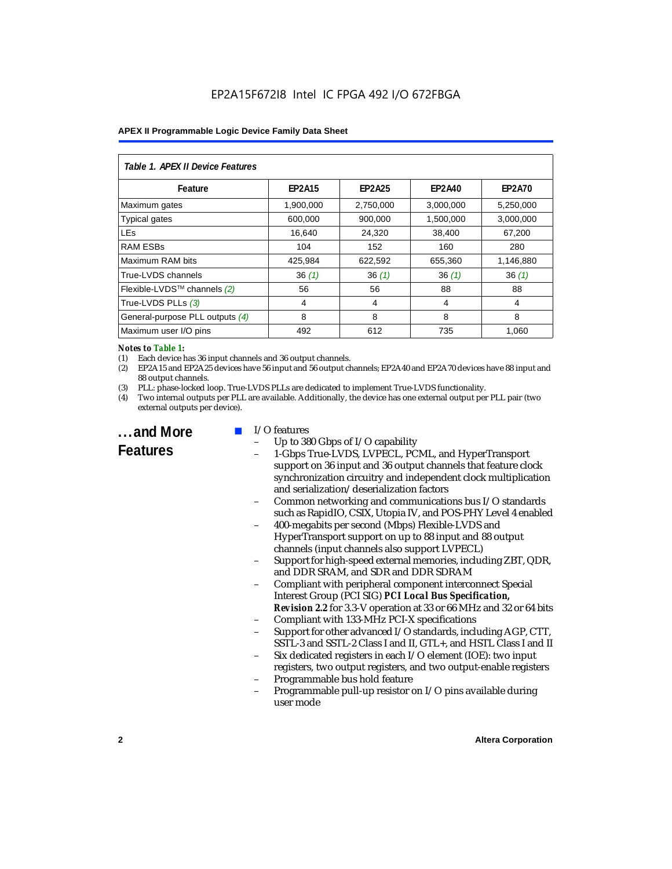| Table 1. APEX II Device Features |               |               |               |               |  |  |
|----------------------------------|---------------|---------------|---------------|---------------|--|--|
| Feature                          | <b>EP2A15</b> | <b>EP2A25</b> | <b>EP2A40</b> | <b>EP2A70</b> |  |  |
| Maximum gates                    | 1,900,000     | 2,750,000     | 3,000,000     | 5,250,000     |  |  |
| <b>Typical gates</b>             | 600,000       | 900,000       | 1,500,000     | 3,000,000     |  |  |
| <b>LEs</b>                       | 16,640        | 24,320        | 38,400        | 67,200        |  |  |
| <b>RAM ESBs</b>                  | 104           | 152           | 160           | 280           |  |  |
| Maximum RAM bits                 | 425,984       | 622,592       | 655,360       | 1,146,880     |  |  |
| True-LVDS channels               | 36(1)         | 36(1)         | 36(1)         | 36(1)         |  |  |
| Flexible-LVDS™ channels (2)      | 56            | 56            | 88            | 88            |  |  |
| True-LVDS PLLs (3)               | 4             | 4             | 4             | 4             |  |  |
| General-purpose PLL outputs (4)  | 8             | 8             | 8             | 8             |  |  |
| Maximum user I/O pins            | 492           | 612           | 735           | 1,060         |  |  |

#### *Notes to Table 1:*

(1) Each device has 36 input channels and 36 output channels.

(2) EP2A15 and EP2A25 devices have 56 input and 56 output channels; EP2A40 and EP2A70 devices have 88 input and 88 output channels.

(3) PLL: phase-locked loop. True-LVDS PLLs are dedicated to implement True-LVDS functionality.

(4) Two internal outputs per PLL are available. Additionally, the device has one external output per PLL pair (two external outputs per device).

**...and More Features**

#### I/O features

- Up to 380 Gbps of I/O capability
- 1-Gbps True-LVDS, LVPECL, PCML, and HyperTransport support on 36 input and 36 output channels that feature clock synchronization circuitry and independent clock multiplication and serialization/deserialization factors
- Common networking and communications bus I/O standards such as RapidIO, CSIX, Utopia IV, and POS-PHY Level 4 enabled
- 400-megabits per second (Mbps) Flexible-LVDS and HyperTransport support on up to 88 input and 88 output channels (input channels also support LVPECL)
- Support for high-speed external memories, including ZBT, QDR, and DDR SRAM, and SDR and DDR SDRAM
- Compliant with peripheral component interconnect Special Interest Group (PCI SIG) *PCI Local Bus Specification, Revision 2.2* for 3.3-V operation at 33 or 66 MHz and 32 or 64 bits
- Compliant with 133-MHz PCI-X specifications
- Support for other advanced I/O standards, including AGP, CTT, SSTL-3 and SSTL-2 Class I and II, GTL+, and HSTL Class I and II
- Six dedicated registers in each I/O element (IOE): two input registers, two output registers, and two output-enable registers
- Programmable bus hold feature
- Programmable pull-up resistor on I/O pins available during user mode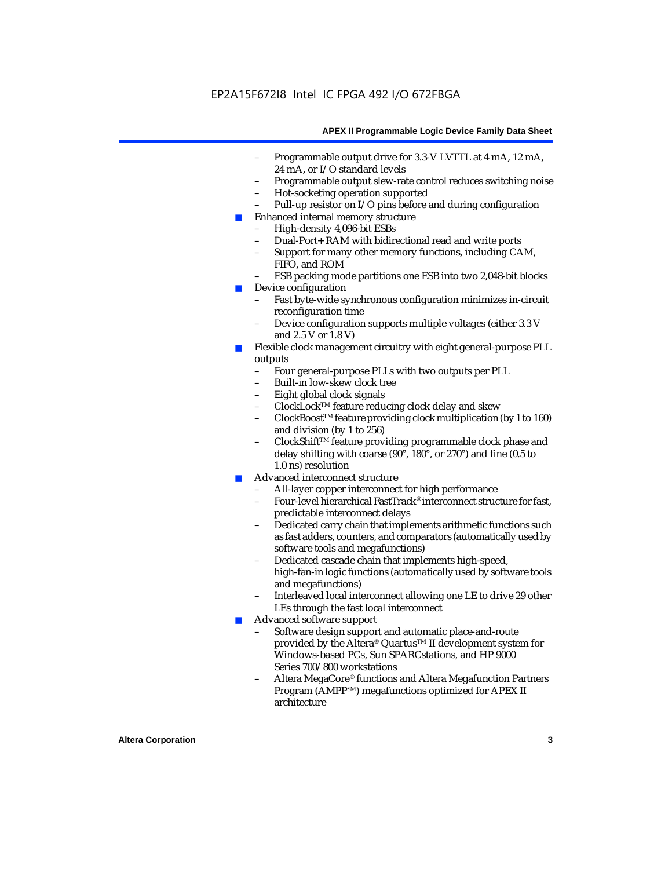- Programmable output drive for 3.3-V LVTTL at 4 mA, 12 mA, 24 mA, or I/O standard levels
- Programmable output slew-rate control reduces switching noise
- Hot-socketing operation supported
- Pull-up resistor on I/O pins before and during configuration
- Enhanced internal memory structure
	- High-density 4,096-bit ESBs
	- Dual-Port+ RAM with bidirectional read and write ports
	- Support for many other memory functions, including CAM, FIFO, and ROM
	- ESB packing mode partitions one ESB into two 2,048-bit blocks
- Device configuration
	- Fast byte-wide synchronous configuration minimizes in-circuit reconfiguration time
	- Device configuration supports multiple voltages (either 3.3 V and 2.5 V or 1.8 V)
- Flexible clock management circuitry with eight general-purpose PLL outputs
	- Four general-purpose PLLs with two outputs per PLL
	- Built-in low-skew clock tree
	- Eight global clock signals
	- ClockLockTM feature reducing clock delay and skew
	- ClockBoostTM feature providing clock multiplication (by 1 to 160) and division (by 1 to 256)
	- ClockShift™ feature providing programmable clock phase and delay shifting with coarse (90°, 180°, or 270°) and fine (0.5 to 1.0 ns) resolution
- Advanced interconnect structure
	- All-layer copper interconnect for high performance
	- Four-level hierarchical FastTrack® interconnect structure for fast, predictable interconnect delays
	- Dedicated carry chain that implements arithmetic functions such as fast adders, counters, and comparators (automatically used by software tools and megafunctions)
	- Dedicated cascade chain that implements high-speed, high-fan-in logic functions (automatically used by software tools and megafunctions)
	- Interleaved local interconnect allowing one LE to drive 29 other LEs through the fast local interconnect
- Advanced software support
	- Software design support and automatic place-and-route provided by the Altera® Quartus<sup>™</sup> II development system for Windows-based PCs, Sun SPARCstations, and HP 9000 Series 700/800 workstations
	- Altera MegaCore® functions and Altera Megafunction Partners Program (AMPPSM) megafunctions optimized for APEX II architecture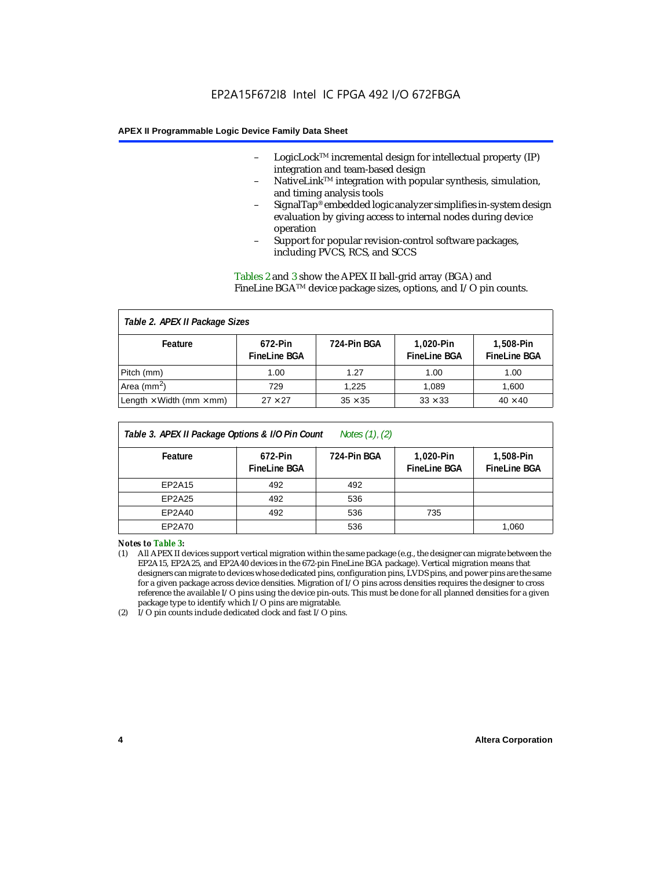- LogicLock<sup>TM</sup> incremental design for intellectual property  $(IP)$ integration and team-based design
- NativeLink™ integration with popular synthesis, simulation, and timing analysis tools
- SignalTap® embedded logic analyzer simplifies in-system design evaluation by giving access to internal nodes during device operation
- Support for popular revision-control software packages, including PVCS, RCS, and SCCS

Tables 2 and 3 show the APEX II ball-grid array (BGA) and FineLine BGATM device package sizes, options, and I/O pin counts.

#### *Table 2. APEX II Package Sizes* **Feature 672-Pin FineLine BGA 724-Pin BGA 1,020-Pin FineLine BGA 1,508-Pin FineLine BGA** Pitch (mm)  $\begin{array}{|c|c|c|c|c|c|c|c|} \hline \text{Pitch (mm)} & \text{1.00} & \text{1.00} & \text{1.00} \ \hline \end{array}$ Area (mm<sup>2</sup>) | 729 | 1,225 | 1,089 | 1,600 Length  $\times$  Width (mm  $\times$  mm)  $\begin{array}{|l|} \hline \end{array}$  27  $\times$  27  $\begin{array}{|l|} \hline \end{array}$  35  $\times$  35  $\begin{array}{|l|} \hline \end{array}$  33  $\times$  33  $\begin{array}{|l|} \hline \end{array}$  40  $\times$  40

| Table 3. APEX II Package Options & I/O Pin Count<br>Notes $(1)$ , $(2)$ |                                |             |                                    |                                  |  |
|-------------------------------------------------------------------------|--------------------------------|-------------|------------------------------------|----------------------------------|--|
| Feature                                                                 | 672-Pin<br><b>FineLine BGA</b> | 724-Pin BGA | $1.020-Pin$<br><b>FineLine BGA</b> | 1,508-Pin<br><b>FineLine BGA</b> |  |
| EP2A15                                                                  | 492                            | 492         |                                    |                                  |  |
| EP2A25                                                                  | 492                            | 536         |                                    |                                  |  |
| EP2A40                                                                  | 492                            | 536         | 735                                |                                  |  |
| EP2A70                                                                  |                                | 536         |                                    | 1,060                            |  |

*Notes to Table 3:*

(1) All APEX II devices support vertical migration within the same package (e.g., the designer can migrate between the EP2A15, EP2A25, and EP2A40 devices in the 672-pin FineLine BGA package). Vertical migration means that designers can migrate to devices whose dedicated pins, configuration pins, LVDS pins, and power pins are the same for a given package across device densities. Migration of I/O pins across densities requires the designer to cross reference the available I/O pins using the device pin-outs. This must be done for all planned densities for a given package type to identify which I/O pins are migratable.

(2) I/O pin counts include dedicated clock and fast I/O pins.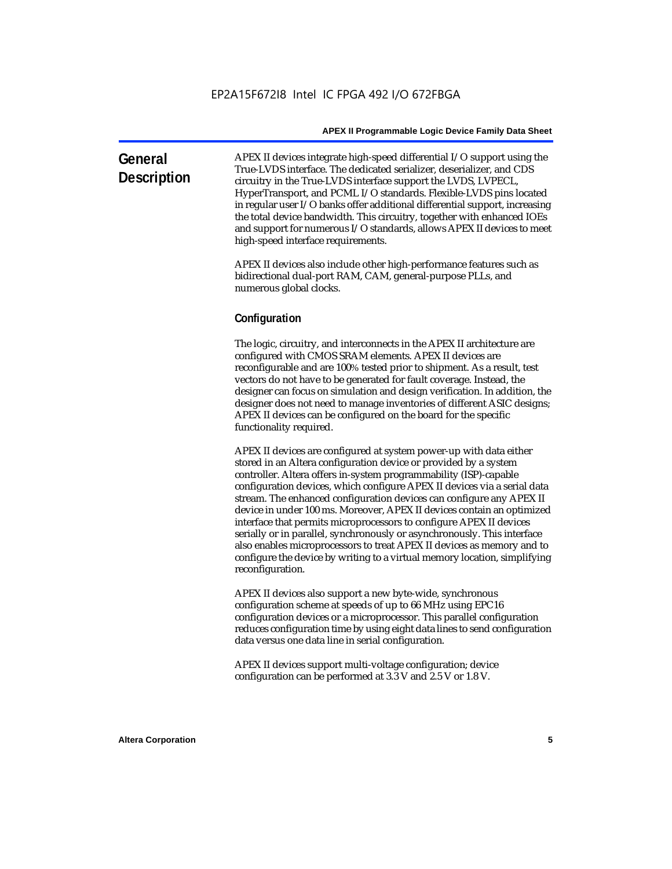| General<br><b>Description</b> | APEX II devices integrate high-speed differential I/O support using the<br>True-LVDS interface. The dedicated serializer, deserializer, and CDS<br>circuitry in the True-LVDS interface support the LVDS, LVPECL,<br>HyperTransport, and PCML I/O standards. Flexible-LVDS pins located<br>in regular user I/O banks offer additional differential support, increasing<br>the total device bandwidth. This circuitry, together with enhanced IOEs |
|-------------------------------|---------------------------------------------------------------------------------------------------------------------------------------------------------------------------------------------------------------------------------------------------------------------------------------------------------------------------------------------------------------------------------------------------------------------------------------------------|
|                               | and support for numerous I/O standards, allows APEX II devices to meet<br>high-speed interface requirements.                                                                                                                                                                                                                                                                                                                                      |

APEX II devices also include other high-performance features such as bidirectional dual-port RAM, CAM, general-purpose PLLs, and numerous global clocks.

#### **Configuration**

The logic, circuitry, and interconnects in the APEX II architecture are configured with CMOS SRAM elements. APEX II devices are reconfigurable and are 100% tested prior to shipment. As a result, test vectors do not have to be generated for fault coverage. Instead, the designer can focus on simulation and design verification. In addition, the designer does not need to manage inventories of different ASIC designs; APEX II devices can be configured on the board for the specific functionality required.

APEX II devices are configured at system power-up with data either stored in an Altera configuration device or provided by a system controller. Altera offers in-system programmability (ISP)-capable configuration devices, which configure APEX II devices via a serial data stream. The enhanced configuration devices can configure any APEX II device in under 100 ms. Moreover, APEX II devices contain an optimized interface that permits microprocessors to configure APEX II devices serially or in parallel, synchronously or asynchronously. This interface also enables microprocessors to treat APEX II devices as memory and to configure the device by writing to a virtual memory location, simplifying reconfiguration.

APEX II devices also support a new byte-wide, synchronous configuration scheme at speeds of up to 66 MHz using EPC16 configuration devices or a microprocessor. This parallel configuration reduces configuration time by using eight data lines to send configuration data versus one data line in serial configuration.

APEX II devices support multi-voltage configuration; device configuration can be performed at 3.3 V and 2.5 V or 1.8 V.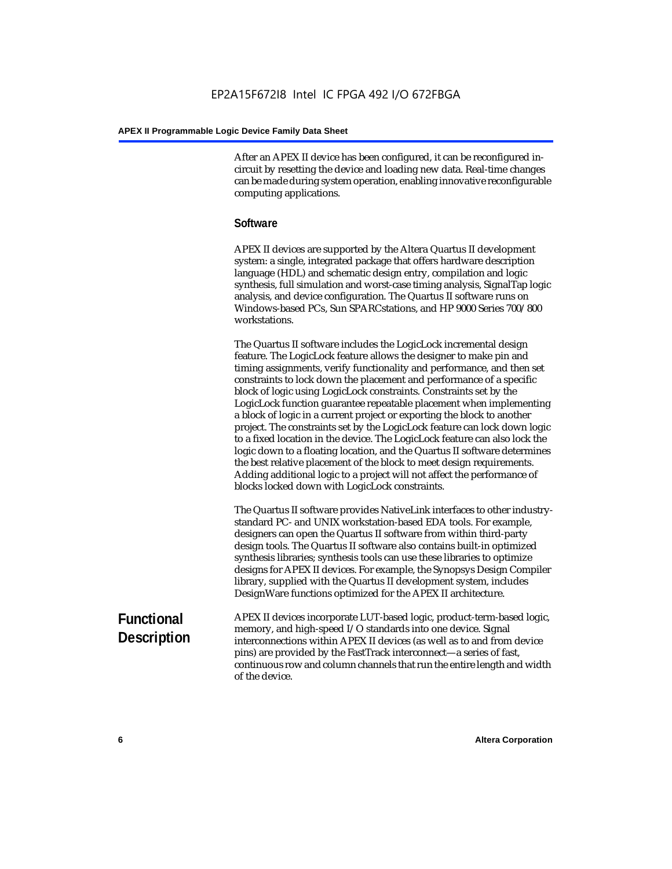After an APEX II device has been configured, it can be reconfigured incircuit by resetting the device and loading new data. Real-time changes can be made during system operation, enabling innovative reconfigurable computing applications.

#### **Software**

APEX II devices are supported by the Altera Quartus II development system: a single, integrated package that offers hardware description language (HDL) and schematic design entry, compilation and logic synthesis, full simulation and worst-case timing analysis, SignalTap logic analysis, and device configuration. The Quartus II software runs on Windows-based PCs, Sun SPARCstations, and HP 9000 Series 700/800 workstations.

The Quartus II software includes the LogicLock incremental design feature. The LogicLock feature allows the designer to make pin and timing assignments, verify functionality and performance, and then set constraints to lock down the placement and performance of a specific block of logic using LogicLock constraints. Constraints set by the LogicLock function guarantee repeatable placement when implementing a block of logic in a current project or exporting the block to another project. The constraints set by the LogicLock feature can lock down logic to a fixed location in the device. The LogicLock feature can also lock the logic down to a floating location, and the Quartus II software determines the best relative placement of the block to meet design requirements. Adding additional logic to a project will not affect the performance of blocks locked down with LogicLock constraints.

The Quartus II software provides NativeLink interfaces to other industrystandard PC- and UNIX workstation-based EDA tools. For example, designers can open the Quartus II software from within third-party design tools. The Quartus II software also contains built-in optimized synthesis libraries; synthesis tools can use these libraries to optimize designs for APEX II devices. For example, the Synopsys Design Compiler library, supplied with the Quartus II development system, includes DesignWare functions optimized for the APEX II architecture.

#### **Functional Description** APEX II devices incorporate LUT-based logic, product-term-based logic, memory, and high-speed I/O standards into one device. Signal interconnections within APEX II devices (as well as to and from device pins) are provided by the FastTrack interconnect—a series of fast, continuous row and column channels that run the entire length and width of the device.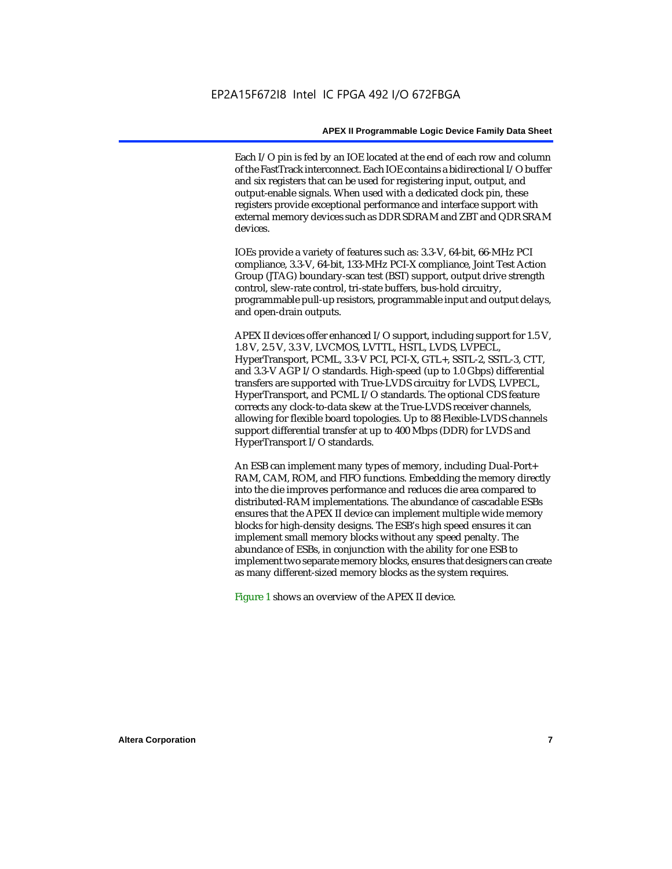Each I/O pin is fed by an IOE located at the end of each row and column of the FastTrack interconnect. Each IOE contains a bidirectional I/O buffer and six registers that can be used for registering input, output, and output-enable signals. When used with a dedicated clock pin, these registers provide exceptional performance and interface support with external memory devices such as DDR SDRAM and ZBT and QDR SRAM devices.

IOEs provide a variety of features such as: 3.3-V, 64-bit, 66-MHz PCI compliance, 3.3-V, 64-bit, 133-MHz PCI-X compliance, Joint Test Action Group (JTAG) boundary-scan test (BST) support, output drive strength control, slew-rate control, tri-state buffers, bus-hold circuitry, programmable pull-up resistors, programmable input and output delays, and open-drain outputs.

APEX II devices offer enhanced I/O support, including support for 1.5 V, 1.8 V, 2.5 V, 3.3 V, LVCMOS, LVTTL, HSTL, LVDS, LVPECL, HyperTransport, PCML, 3.3-V PCI, PCI-X, GTL+, SSTL-2, SSTL-3, CTT, and 3.3-V AGP I/O standards. High-speed (up to 1.0 Gbps) differential transfers are supported with True-LVDS circuitry for LVDS, LVPECL, HyperTransport, and PCML I/O standards. The optional CDS feature corrects any clock-to-data skew at the True-LVDS receiver channels, allowing for flexible board topologies. Up to 88 Flexible-LVDS channels support differential transfer at up to 400 Mbps (DDR) for LVDS and HyperTransport I/O standards.

An ESB can implement many types of memory, including Dual-Port+ RAM, CAM, ROM, and FIFO functions. Embedding the memory directly into the die improves performance and reduces die area compared to distributed-RAM implementations. The abundance of cascadable ESBs ensures that the APEX II device can implement multiple wide memory blocks for high-density designs. The ESB's high speed ensures it can implement small memory blocks without any speed penalty. The abundance of ESBs, in conjunction with the ability for one ESB to implement two separate memory blocks, ensures that designers can create as many different-sized memory blocks as the system requires.

Figure 1 shows an overview of the APEX II device.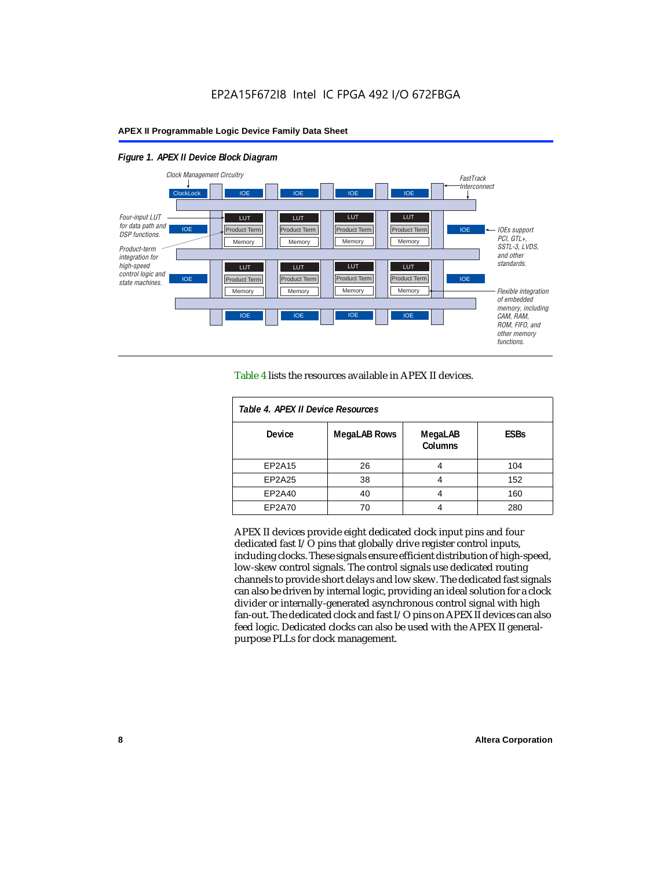#### *Figure 1. APEX II Device Block Diagram*



Table 4 lists the resources available in APEX II devices.

| Table 4. APEX II Device Resources |                     |                           |             |  |  |
|-----------------------------------|---------------------|---------------------------|-------------|--|--|
| <b>Device</b>                     | <b>MegaLAB Rows</b> | MegaLAB<br><b>Columns</b> | <b>ESBs</b> |  |  |
| EP2A15                            | 26                  | 4                         | 104         |  |  |
| EP2A25                            | 38                  |                           | 152         |  |  |
| EP2A40                            | 40                  |                           | 160         |  |  |
| EP2A70                            | 70                  | 4                         | 280         |  |  |

APEX II devices provide eight dedicated clock input pins and four dedicated fast I/O pins that globally drive register control inputs, including clocks. These signals ensure efficient distribution of high-speed, low-skew control signals. The control signals use dedicated routing channels to provide short delays and low skew. The dedicated fast signals can also be driven by internal logic, providing an ideal solution for a clock divider or internally-generated asynchronous control signal with high fan-out. The dedicated clock and fast I/O pins on APEX II devices can also feed logic. Dedicated clocks can also be used with the APEX II generalpurpose PLLs for clock management.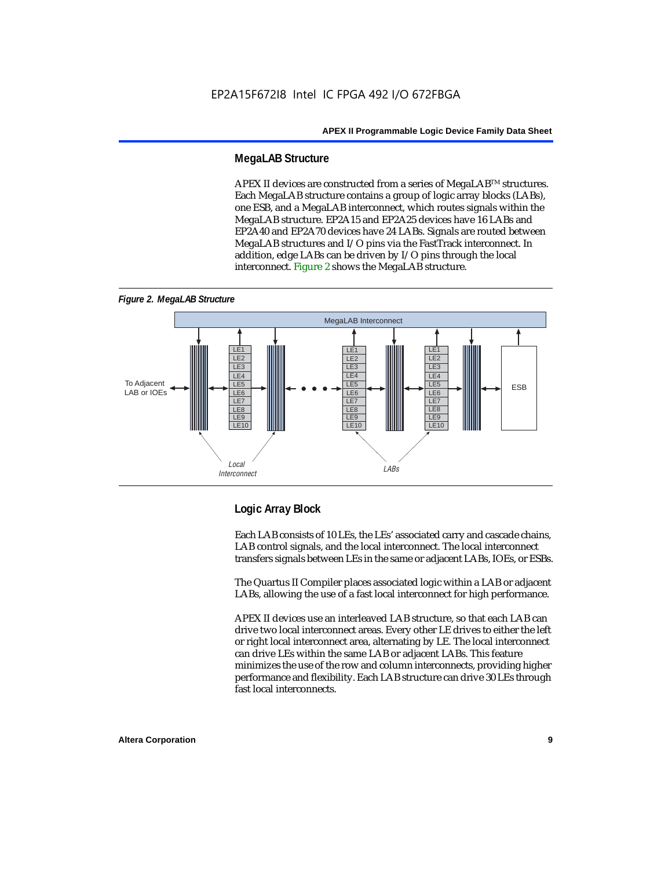#### **MegaLAB Structure**

APEX II devices are constructed from a series of MegaLAB<sup>TM</sup> structures. Each MegaLAB structure contains a group of logic array blocks (LABs), one ESB, and a MegaLAB interconnect, which routes signals within the MegaLAB structure. EP2A15 and EP2A25 devices have 16 LABs and EP2A40 and EP2A70 devices have 24 LABs. Signals are routed between MegaLAB structures and I/O pins via the FastTrack interconnect. In addition, edge LABs can be driven by I/O pins through the local interconnect. Figure 2 shows the MegaLAB structure.





## **Logic Array Block**

Each LAB consists of 10 LEs, the LEs' associated carry and cascade chains, LAB control signals, and the local interconnect. The local interconnect transfers signals between LEs in the same or adjacent LABs, IOEs, or ESBs.

The Quartus II Compiler places associated logic within a LAB or adjacent LABs, allowing the use of a fast local interconnect for high performance.

APEX II devices use an interleaved LAB structure, so that each LAB can drive two local interconnect areas. Every other LE drives to either the left or right local interconnect area, alternating by LE. The local interconnect can drive LEs within the same LAB or adjacent LABs. This feature minimizes the use of the row and column interconnects, providing higher performance and flexibility. Each LAB structure can drive 30 LEs through fast local interconnects.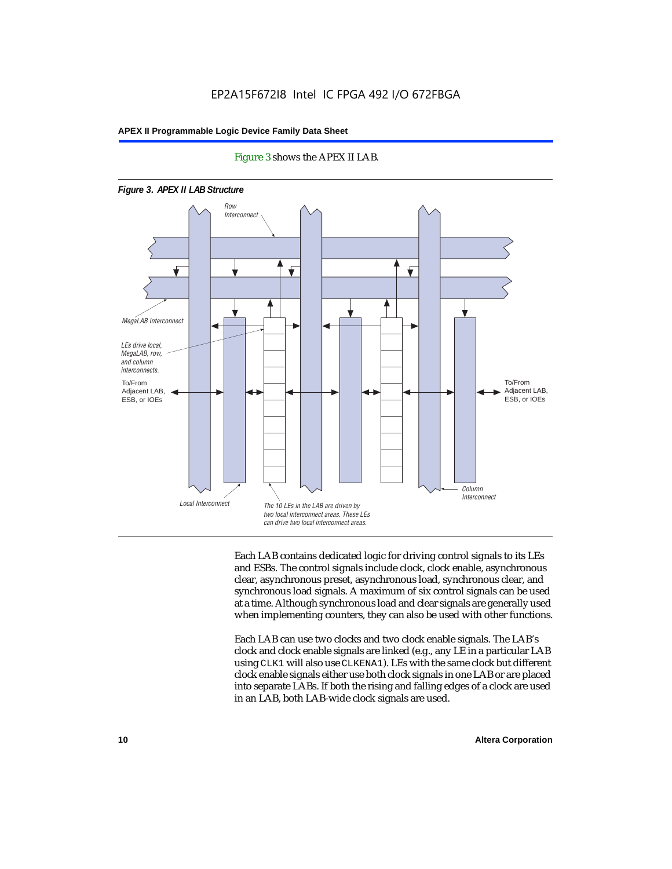

#### Figure 3 shows the APEX II LAB.

Each LAB contains dedicated logic for driving control signals to its LEs and ESBs. The control signals include clock, clock enable, asynchronous clear, asynchronous preset, asynchronous load, synchronous clear, and synchronous load signals. A maximum of six control signals can be used at a time. Although synchronous load and clear signals are generally used when implementing counters, they can also be used with other functions.

Each LAB can use two clocks and two clock enable signals. The LAB's clock and clock enable signals are linked (e.g., any LE in a particular LAB using CLK1 will also use CLKENA1). LEs with the same clock but different clock enable signals either use both clock signals in one LAB or are placed into separate LABs. If both the rising and falling edges of a clock are used in an LAB, both LAB-wide clock signals are used.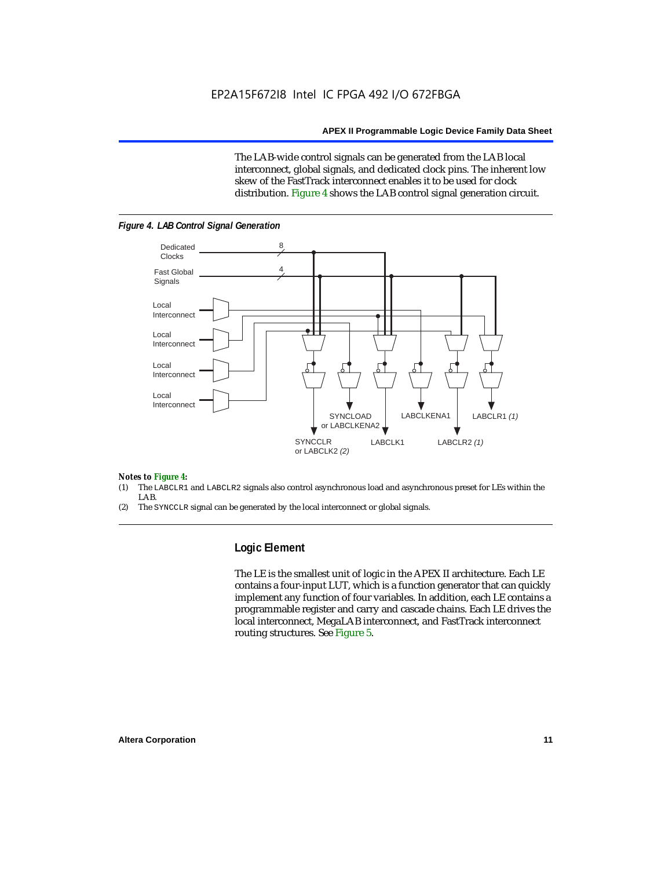The LAB-wide control signals can be generated from the LAB local interconnect, global signals, and dedicated clock pins. The inherent low skew of the FastTrack interconnect enables it to be used for clock distribution. Figure 4 shows the LAB control signal generation circuit.



#### *Figure 4. LAB Control Signal Generation*

#### *Notes to Figure 4:*

- (1) The LABCLR1 and LABCLR2 signals also control asynchronous load and asynchronous preset for LEs within the LAB.
- (2) The SYNCCLR signal can be generated by the local interconnect or global signals.

#### **Logic Element**

The LE is the smallest unit of logic in the APEX II architecture. Each LE contains a four-input LUT, which is a function generator that can quickly implement any function of four variables. In addition, each LE contains a programmable register and carry and cascade chains. Each LE drives the local interconnect, MegaLAB interconnect, and FastTrack interconnect routing structures. See Figure 5.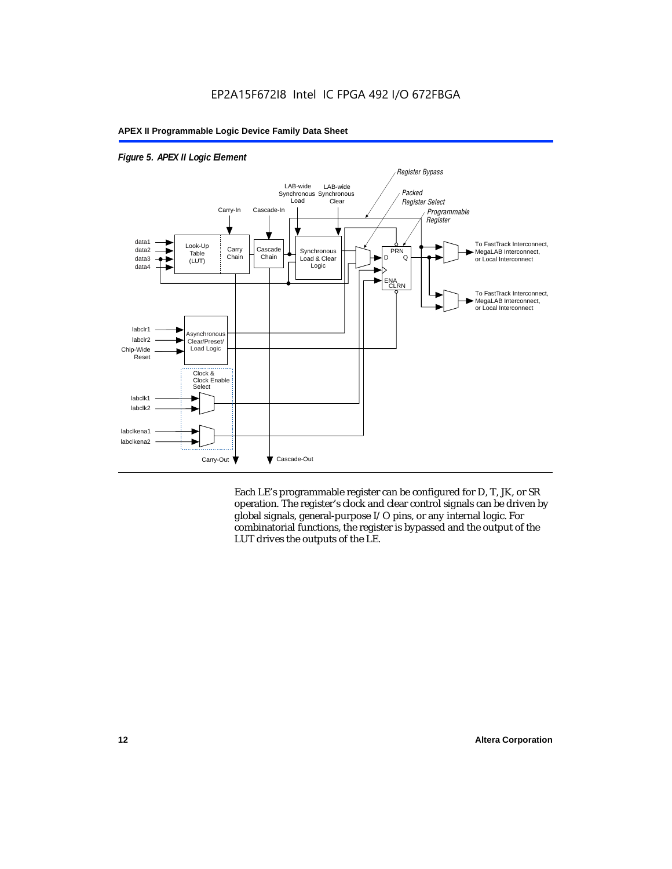

*Figure 5. APEX II Logic Element*

Each LE's programmable register can be configured for D, T, JK, or SR operation. The register's clock and clear control signals can be driven by global signals, general-purpose I/O pins, or any internal logic. For combinatorial functions, the register is bypassed and the output of the LUT drives the outputs of the LE.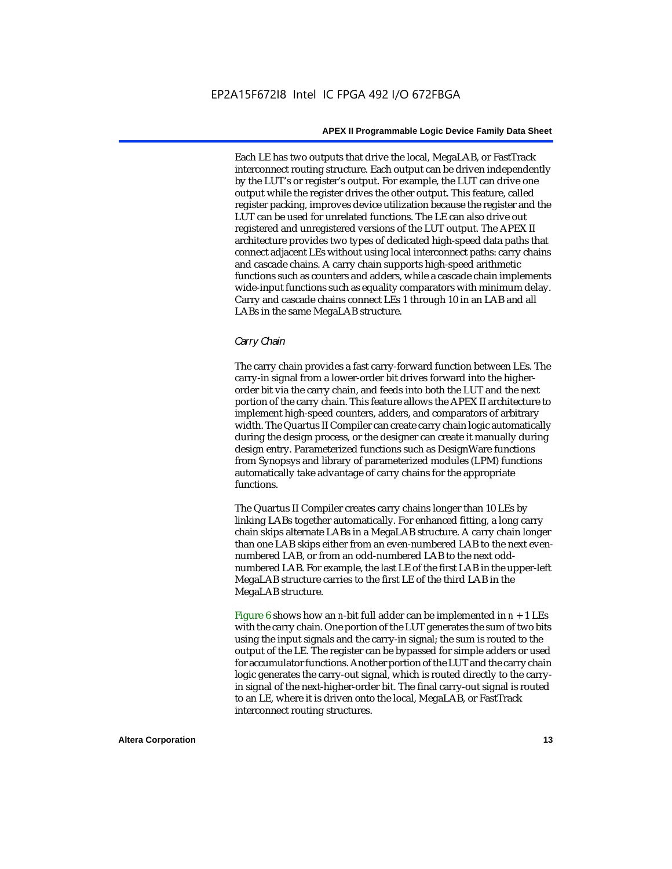Each LE has two outputs that drive the local, MegaLAB, or FastTrack interconnect routing structure. Each output can be driven independently by the LUT's or register's output. For example, the LUT can drive one output while the register drives the other output. This feature, called register packing, improves device utilization because the register and the LUT can be used for unrelated functions. The LE can also drive out registered and unregistered versions of the LUT output. The APEX II architecture provides two types of dedicated high-speed data paths that connect adjacent LEs without using local interconnect paths: carry chains and cascade chains. A carry chain supports high-speed arithmetic functions such as counters and adders, while a cascade chain implements wide-input functions such as equality comparators with minimum delay. Carry and cascade chains connect LEs 1 through 10 in an LAB and all LABs in the same MegaLAB structure.

#### *Carry Chain*

The carry chain provides a fast carry-forward function between LEs. The carry-in signal from a lower-order bit drives forward into the higherorder bit via the carry chain, and feeds into both the LUT and the next portion of the carry chain. This feature allows the APEX II architecture to implement high-speed counters, adders, and comparators of arbitrary width. The Quartus II Compiler can create carry chain logic automatically during the design process, or the designer can create it manually during design entry. Parameterized functions such as DesignWare functions from Synopsys and library of parameterized modules (LPM) functions automatically take advantage of carry chains for the appropriate functions.

The Quartus II Compiler creates carry chains longer than 10 LEs by linking LABs together automatically. For enhanced fitting, a long carry chain skips alternate LABs in a MegaLAB structure. A carry chain longer than one LAB skips either from an even-numbered LAB to the next evennumbered LAB, or from an odd-numbered LAB to the next oddnumbered LAB. For example, the last LE of the first LAB in the upper-left MegaLAB structure carries to the first LE of the third LAB in the MegaLAB structure.

Figure 6 shows how an *n*-bit full adder can be implemented in *n* + 1 LEs with the carry chain. One portion of the LUT generates the sum of two bits using the input signals and the carry-in signal; the sum is routed to the output of the LE. The register can be bypassed for simple adders or used for accumulator functions. Another portion of the LUT and the carry chain logic generates the carry-out signal, which is routed directly to the carryin signal of the next-higher-order bit. The final carry-out signal is routed to an LE, where it is driven onto the local, MegaLAB, or FastTrack interconnect routing structures.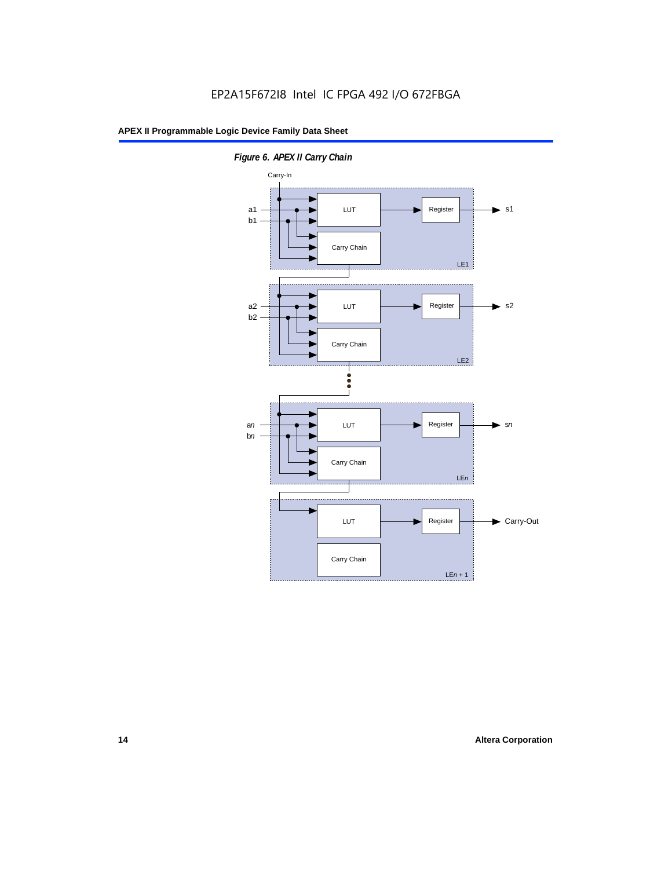

*Figure 6. APEX II Carry Chain*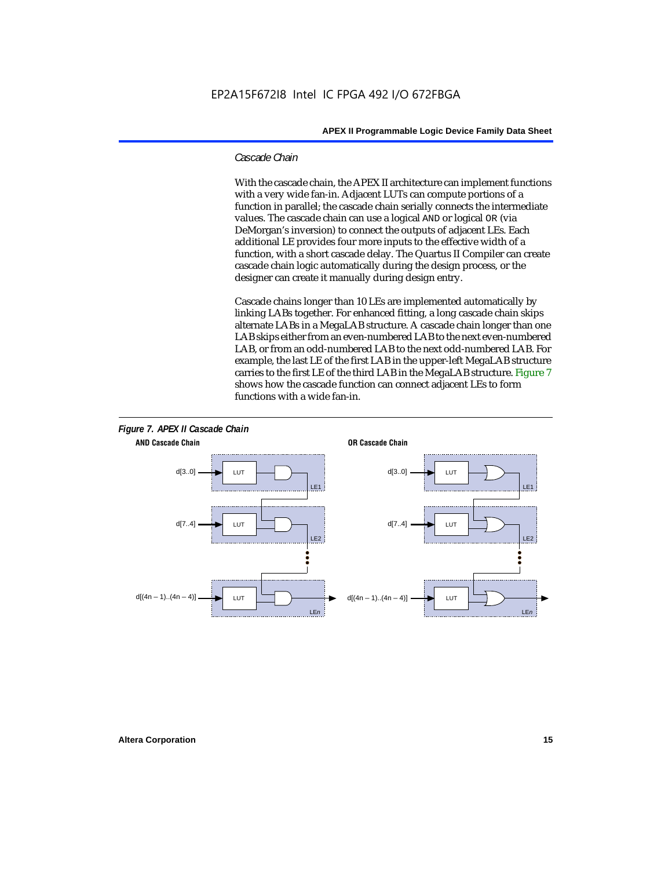#### *Cascade Chain*

With the cascade chain, the APEX II architecture can implement functions with a very wide fan-in. Adjacent LUTs can compute portions of a function in parallel; the cascade chain serially connects the intermediate values. The cascade chain can use a logical AND or logical OR (via DeMorgan's inversion) to connect the outputs of adjacent LEs. Each additional LE provides four more inputs to the effective width of a function, with a short cascade delay. The Quartus II Compiler can create cascade chain logic automatically during the design process, or the designer can create it manually during design entry.

Cascade chains longer than 10 LEs are implemented automatically by linking LABs together. For enhanced fitting, a long cascade chain skips alternate LABs in a MegaLAB structure. A cascade chain longer than one LAB skips either from an even-numbered LAB to the next even-numbered LAB, or from an odd-numbered LAB to the next odd-numbered LAB. For example, the last LE of the first LAB in the upper-left MegaLAB structure carries to the first LE of the third LAB in the MegaLAB structure. Figure 7 shows how the cascade function can connect adjacent LEs to form functions with a wide fan-in.

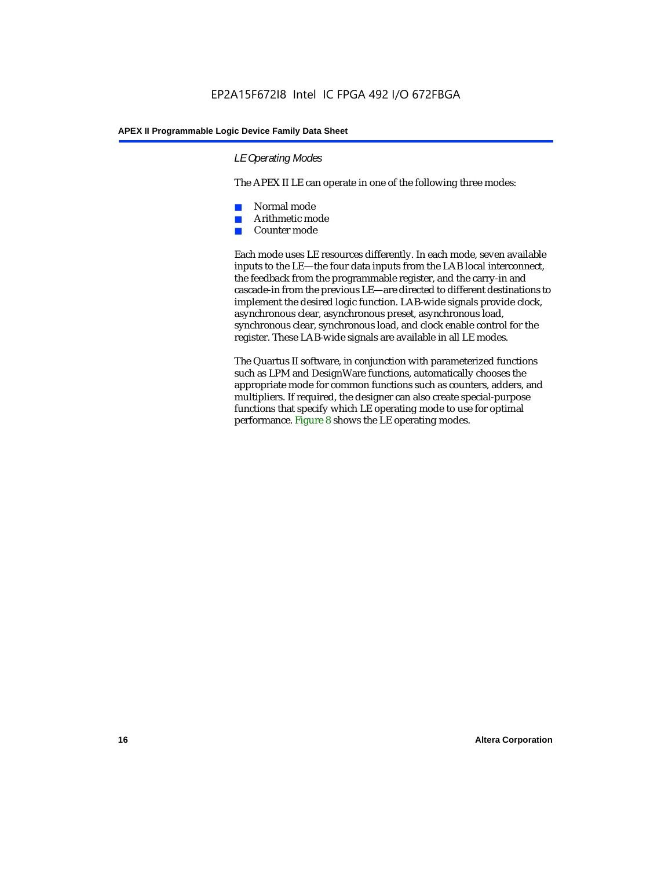#### *LE Operating Modes*

The APEX II LE can operate in one of the following three modes:

- Normal mode
- Arithmetic mode
- Counter mode

Each mode uses LE resources differently. In each mode, seven available inputs to the LE—the four data inputs from the LAB local interconnect, the feedback from the programmable register, and the carry-in and cascade-in from the previous LE—are directed to different destinations to implement the desired logic function. LAB-wide signals provide clock, asynchronous clear, asynchronous preset, asynchronous load, synchronous clear, synchronous load, and clock enable control for the register. These LAB-wide signals are available in all LE modes.

The Quartus II software, in conjunction with parameterized functions such as LPM and DesignWare functions, automatically chooses the appropriate mode for common functions such as counters, adders, and multipliers. If required, the designer can also create special-purpose functions that specify which LE operating mode to use for optimal performance. Figure 8 shows the LE operating modes.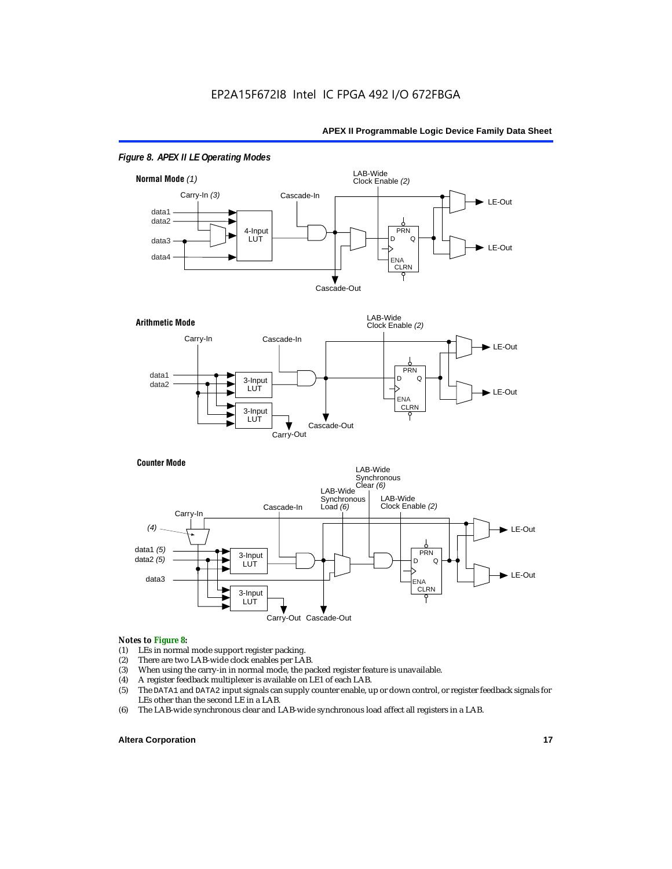

#### *Figure 8. APEX II LE Operating Modes*





#### *Notes to Figure 8:*

- (1) LEs in normal mode support register packing.<br>(2) There are two LAB-wide clock enables per LA
- (2) There are two LAB-wide clock enables per LAB.<br>(3) When using the carry-in in normal mode, the pa
- (3) When using the carry-in in normal mode, the packed register feature is unavailable.<br>(4) A register feedback multiplexer is available on LE1 of each LAB.
- (4) A register feedback multiplexer is available on LE1 of each LAB.<br>(5) The DATA1 and DATA2 input signals can supply counter enable, u
- (5) The DATA1 and DATA2 input signals can supply counter enable, up or down control, or register feedback signals for LEs other than the second LE in a LAB.
- (6) The LAB-wide synchronous clear and LAB-wide synchronous load affect all registers in a LAB.

#### **Altera Corporation 17 17**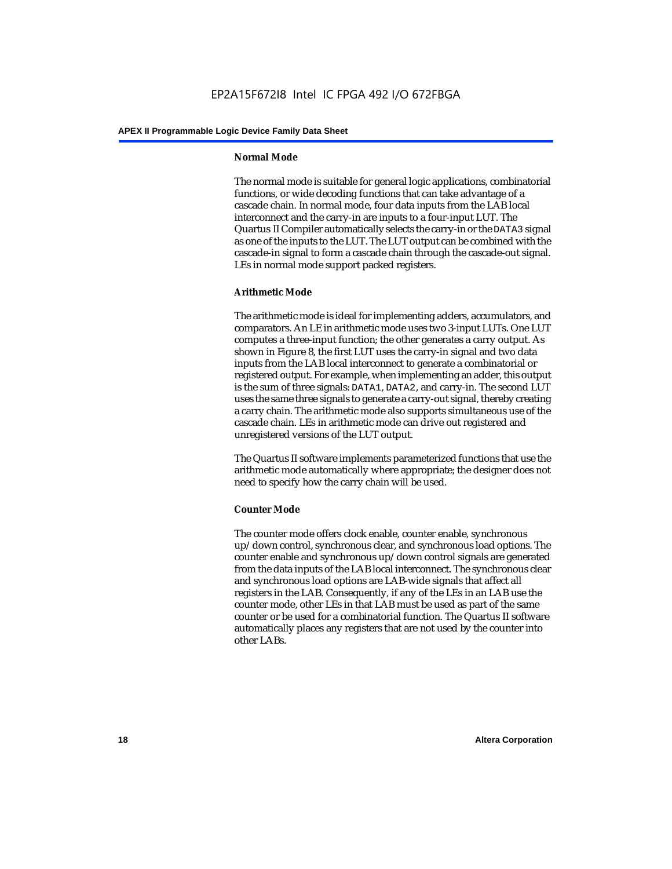#### **Normal Mode**

The normal mode is suitable for general logic applications, combinatorial functions, or wide decoding functions that can take advantage of a cascade chain. In normal mode, four data inputs from the LAB local interconnect and the carry-in are inputs to a four-input LUT. The Quartus II Compiler automatically selects the carry-in or the DATA3 signal as one of the inputs to the LUT. The LUT output can be combined with the cascade-in signal to form a cascade chain through the cascade-out signal. LEs in normal mode support packed registers.

#### **Arithmetic Mode**

The arithmetic mode is ideal for implementing adders, accumulators, and comparators. An LE in arithmetic mode uses two 3-input LUTs. One LUT computes a three-input function; the other generates a carry output. As shown in Figure 8, the first LUT uses the carry-in signal and two data inputs from the LAB local interconnect to generate a combinatorial or registered output. For example, when implementing an adder, this output is the sum of three signals: DATA1, DATA2, and carry-in. The second LUT uses the same three signals to generate a carry-out signal, thereby creating a carry chain. The arithmetic mode also supports simultaneous use of the cascade chain. LEs in arithmetic mode can drive out registered and unregistered versions of the LUT output.

The Quartus II software implements parameterized functions that use the arithmetic mode automatically where appropriate; the designer does not need to specify how the carry chain will be used.

#### **Counter Mode**

The counter mode offers clock enable, counter enable, synchronous up/down control, synchronous clear, and synchronous load options. The counter enable and synchronous up/down control signals are generated from the data inputs of the LAB local interconnect. The synchronous clear and synchronous load options are LAB-wide signals that affect all registers in the LAB. Consequently, if any of the LEs in an LAB use the counter mode, other LEs in that LAB must be used as part of the same counter or be used for a combinatorial function. The Quartus II software automatically places any registers that are not used by the counter into other LABs.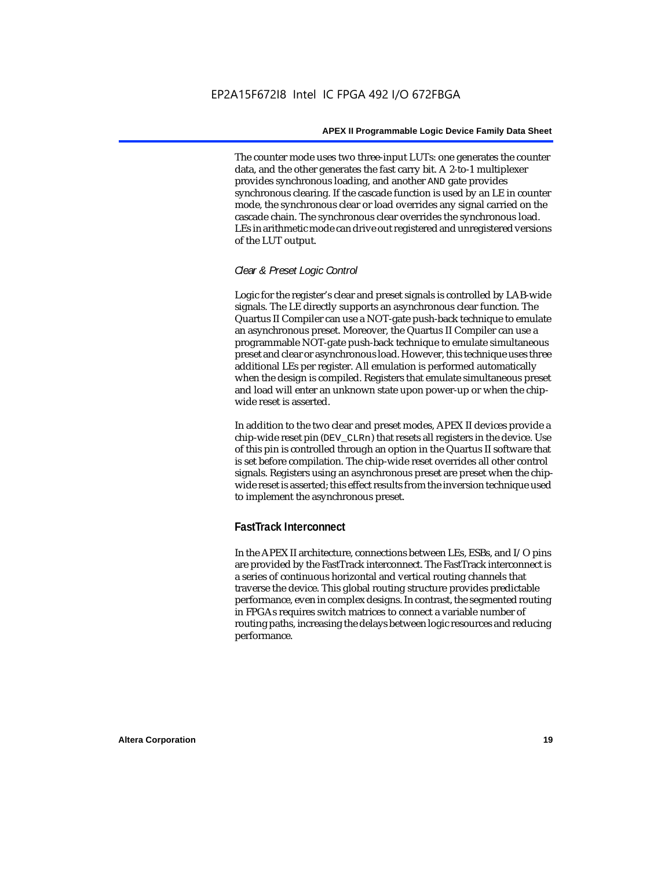The counter mode uses two three-input LUTs: one generates the counter data, and the other generates the fast carry bit. A 2-to-1 multiplexer provides synchronous loading, and another AND gate provides synchronous clearing. If the cascade function is used by an LE in counter mode, the synchronous clear or load overrides any signal carried on the cascade chain. The synchronous clear overrides the synchronous load. LEs in arithmetic mode can drive out registered and unregistered versions of the LUT output.

#### *Clear & Preset Logic Control*

Logic for the register's clear and preset signals is controlled by LAB-wide signals. The LE directly supports an asynchronous clear function. The Quartus II Compiler can use a NOT-gate push-back technique to emulate an asynchronous preset. Moreover, the Quartus II Compiler can use a programmable NOT-gate push-back technique to emulate simultaneous preset and clear or asynchronous load. However, this technique uses three additional LEs per register. All emulation is performed automatically when the design is compiled. Registers that emulate simultaneous preset and load will enter an unknown state upon power-up or when the chipwide reset is asserted.

In addition to the two clear and preset modes, APEX II devices provide a chip-wide reset pin (DEV\_CLRn) that resets all registers in the device. Use of this pin is controlled through an option in the Quartus II software that is set before compilation. The chip-wide reset overrides all other control signals. Registers using an asynchronous preset are preset when the chipwide reset is asserted; this effect results from the inversion technique used to implement the asynchronous preset.

## **FastTrack Interconnect**

In the APEX II architecture, connections between LEs, ESBs, and I/O pins are provided by the FastTrack interconnect. The FastTrack interconnect is a series of continuous horizontal and vertical routing channels that traverse the device. This global routing structure provides predictable performance, even in complex designs. In contrast, the segmented routing in FPGAs requires switch matrices to connect a variable number of routing paths, increasing the delays between logic resources and reducing performance.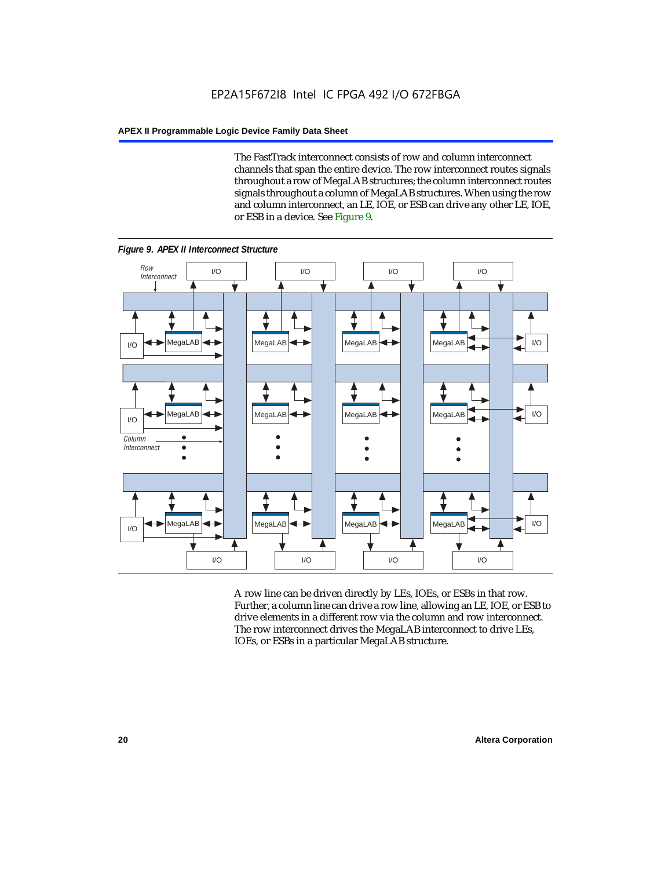The FastTrack interconnect consists of row and column interconnect channels that span the entire device. The row interconnect routes signals throughout a row of MegaLAB structures; the column interconnect routes signals throughout a column of MegaLAB structures. When using the row and column interconnect, an LE, IOE, or ESB can drive any other LE, IOE, or ESB in a device. See Figure 9.



*Figure 9. APEX II Interconnect Structure*

A row line can be driven directly by LEs, IOEs, or ESBs in that row. Further, a column line can drive a row line, allowing an LE, IOE, or ESB to drive elements in a different row via the column and row interconnect. The row interconnect drives the MegaLAB interconnect to drive LEs, IOEs, or ESBs in a particular MegaLAB structure.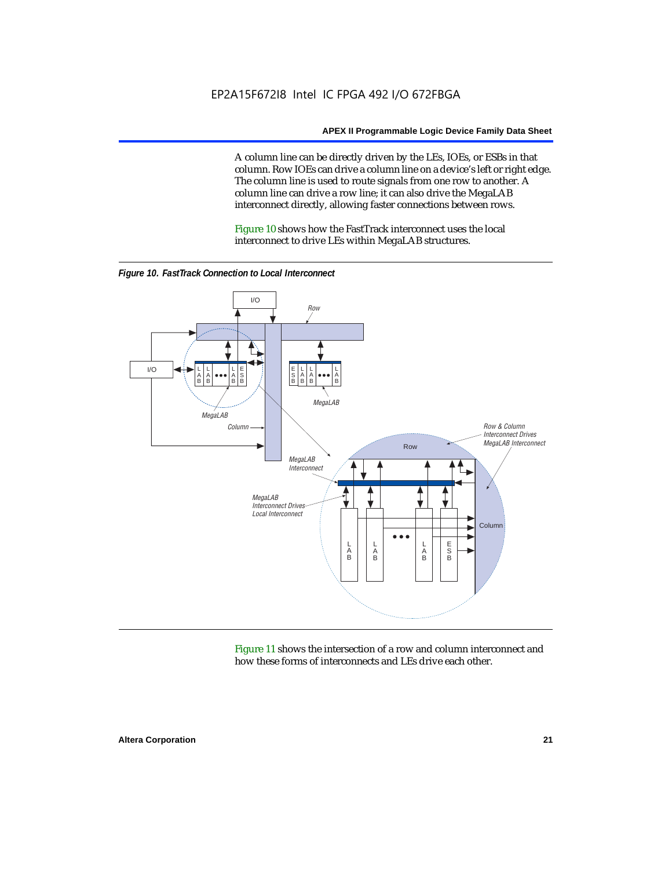A column line can be directly driven by the LEs, IOEs, or ESBs in that column. Row IOEs can drive a column line on a device's left or right edge. The column line is used to route signals from one row to another. A column line can drive a row line; it can also drive the MegaLAB interconnect directly, allowing faster connections between rows.

Figure 10 shows how the FastTrack interconnect uses the local interconnect to drive LEs within MegaLAB structures.



*Figure 10. FastTrack Connection to Local Interconnect*

Figure 11 shows the intersection of a row and column interconnect and how these forms of interconnects and LEs drive each other.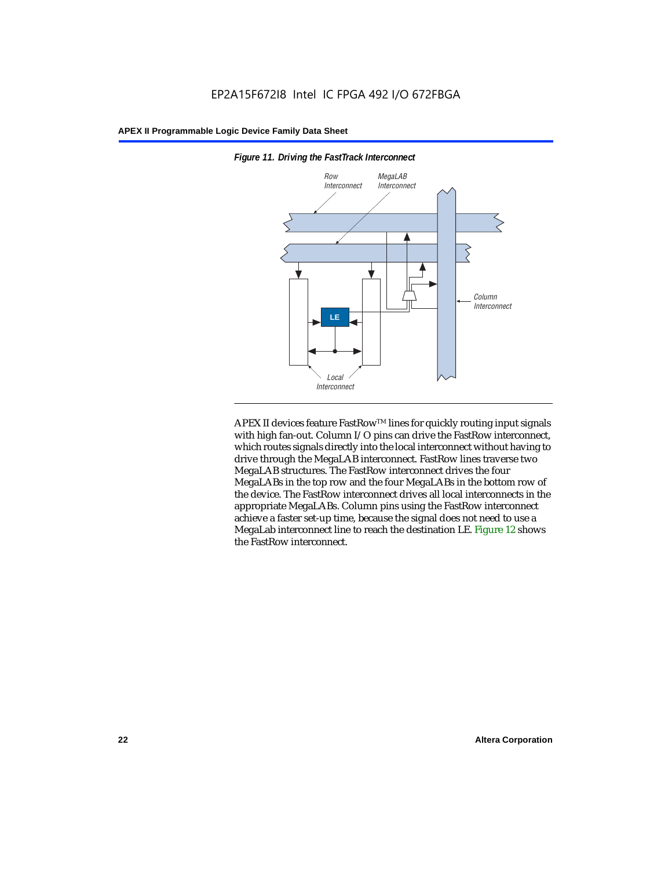

*Figure 11. Driving the FastTrack Interconnect*

APEX II devices feature FastRow™ lines for quickly routing input signals with high fan-out. Column I/O pins can drive the FastRow interconnect, which routes signals directly into the local interconnect without having to drive through the MegaLAB interconnect. FastRow lines traverse two MegaLAB structures. The FastRow interconnect drives the four MegaLABs in the top row and the four MegaLABs in the bottom row of the device. The FastRow interconnect drives all local interconnects in the appropriate MegaLABs. Column pins using the FastRow interconnect achieve a faster set-up time, because the signal does not need to use a MegaLab interconnect line to reach the destination LE. Figure 12 shows the FastRow interconnect.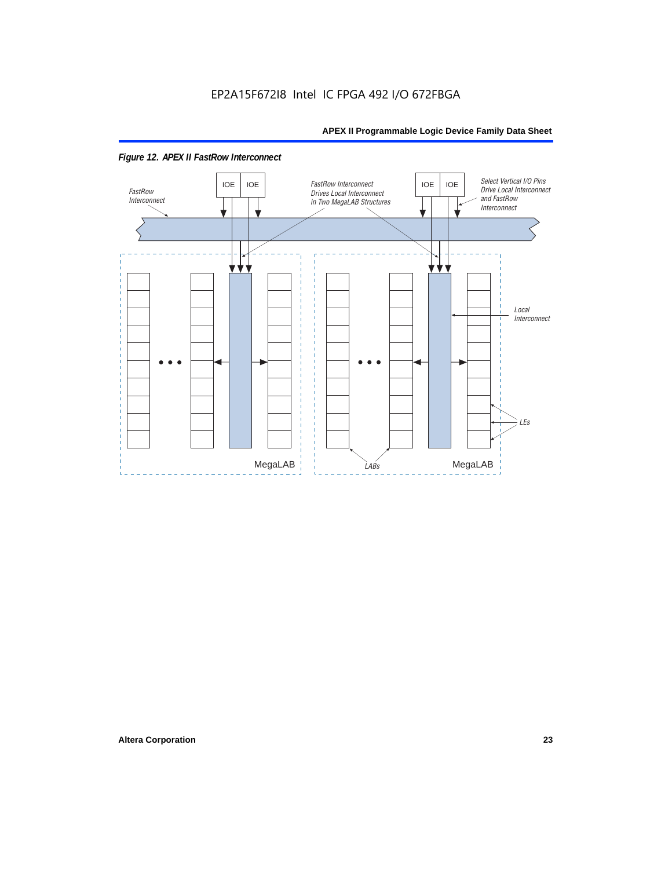

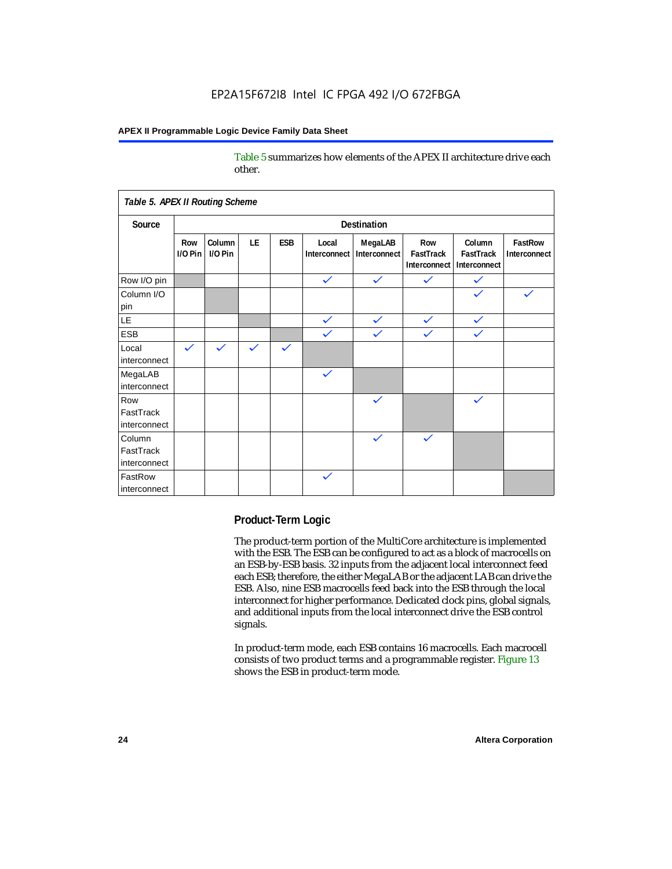Table 5 summarizes how elements of the APEX II architecture drive each other.

| Table 5. APEX II Routing Scheme     |                    |                   |              |              |                       |                         |                                  |                                     |                         |
|-------------------------------------|--------------------|-------------------|--------------|--------------|-----------------------|-------------------------|----------------------------------|-------------------------------------|-------------------------|
| Source                              | <b>Destination</b> |                   |              |              |                       |                         |                                  |                                     |                         |
|                                     | Row<br>$1/0$ Pin   | Column<br>I/O Pin | LE           | <b>ESB</b>   | Local<br>Interconnect | MegaLAB<br>Interconnect | Row<br>FastTrack<br>Interconnect | Column<br>FastTrack<br>Interconnect | FastRow<br>Interconnect |
| Row I/O pin                         |                    |                   |              |              | $\checkmark$          | $\checkmark$            | $\checkmark$                     | $\checkmark$                        |                         |
| Column I/O<br>pin                   |                    |                   |              |              |                       |                         |                                  |                                     | $\checkmark$            |
| LE                                  |                    |                   |              |              | $\checkmark$          | $\checkmark$            | $\checkmark$                     | $\checkmark$                        |                         |
| <b>ESB</b>                          |                    |                   |              |              | $\checkmark$          | $\checkmark$            | $\checkmark$                     | $\checkmark$                        |                         |
| Local<br>interconnect               | $\checkmark$       | $\checkmark$      | $\checkmark$ | $\checkmark$ |                       |                         |                                  |                                     |                         |
| MegaLAB<br>interconnect             |                    |                   |              |              | $\checkmark$          |                         |                                  |                                     |                         |
| Row<br>FastTrack<br>interconnect    |                    |                   |              |              |                       | $\checkmark$            |                                  | $\checkmark$                        |                         |
| Column<br>FastTrack<br>interconnect |                    |                   |              |              |                       | $\checkmark$            | $\checkmark$                     |                                     |                         |
| FastRow<br>interconnect             |                    |                   |              |              | $\checkmark$          |                         |                                  |                                     |                         |

#### **Product-Term Logic**

The product-term portion of the MultiCore architecture is implemented with the ESB. The ESB can be configured to act as a block of macrocells on an ESB-by-ESB basis. 32 inputs from the adjacent local interconnect feed each ESB; therefore, the either MegaLAB or the adjacent LAB can drive the ESB. Also, nine ESB macrocells feed back into the ESB through the local interconnect for higher performance. Dedicated clock pins, global signals, and additional inputs from the local interconnect drive the ESB control signals.

In product-term mode, each ESB contains 16 macrocells. Each macrocell consists of two product terms and a programmable register. Figure 13 shows the ESB in product-term mode.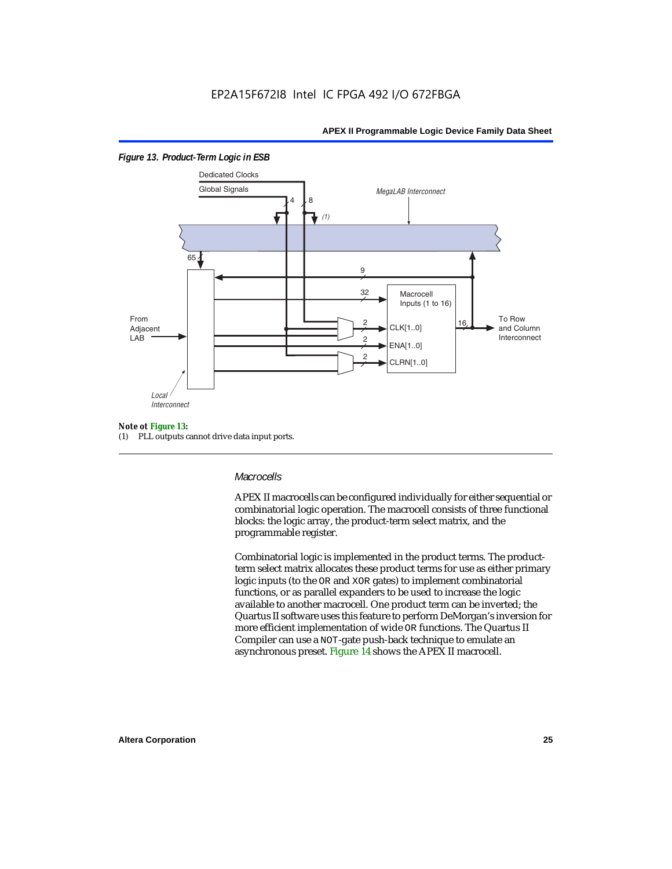

#### *Figure 13. Product-Term Logic in ESB*

#### *Note ot Figure 13:*

(1) PLL outputs cannot drive data input ports.

#### *Macrocells*

APEX II macrocells can be configured individually for either sequential or combinatorial logic operation. The macrocell consists of three functional blocks: the logic array, the product-term select matrix, and the programmable register.

Combinatorial logic is implemented in the product terms. The productterm select matrix allocates these product terms for use as either primary logic inputs (to the OR and XOR gates) to implement combinatorial functions, or as parallel expanders to be used to increase the logic available to another macrocell. One product term can be inverted; the Quartus II software uses this feature to perform DeMorgan's inversion for more efficient implementation of wide OR functions. The Quartus II Compiler can use a NOT-gate push-back technique to emulate an asynchronous preset. Figure 14 shows the APEX II macrocell.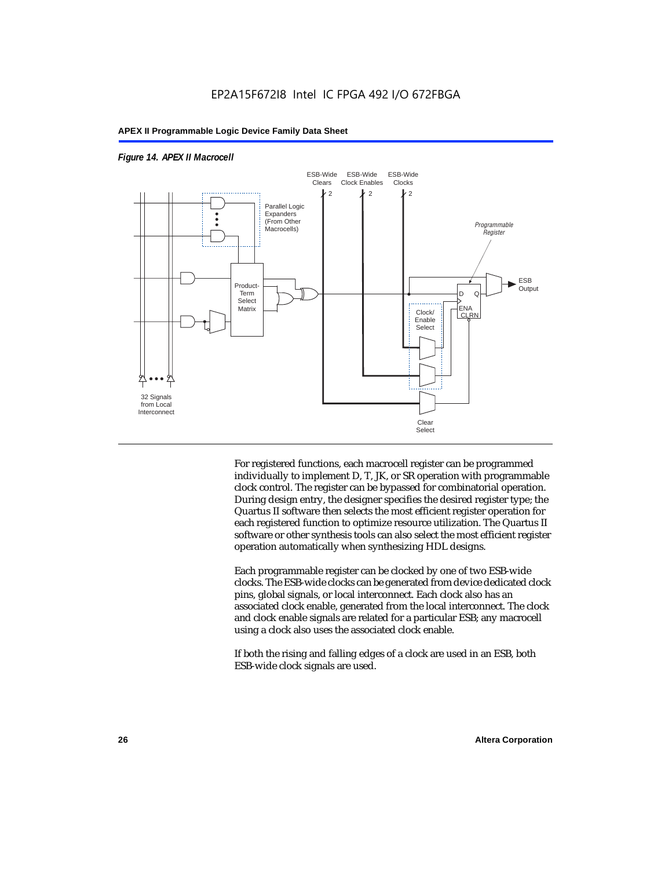

#### *Figure 14. APEX II Macrocell*

For registered functions, each macrocell register can be programmed individually to implement D, T, JK, or SR operation with programmable clock control. The register can be bypassed for combinatorial operation. During design entry, the designer specifies the desired register type; the Quartus II software then selects the most efficient register operation for each registered function to optimize resource utilization. The Quartus II software or other synthesis tools can also select the most efficient register operation automatically when synthesizing HDL designs.

Each programmable register can be clocked by one of two ESB-wide clocks. The ESB-wide clocks can be generated from device dedicated clock pins, global signals, or local interconnect. Each clock also has an associated clock enable, generated from the local interconnect. The clock and clock enable signals are related for a particular ESB; any macrocell using a clock also uses the associated clock enable.

If both the rising and falling edges of a clock are used in an ESB, both ESB-wide clock signals are used.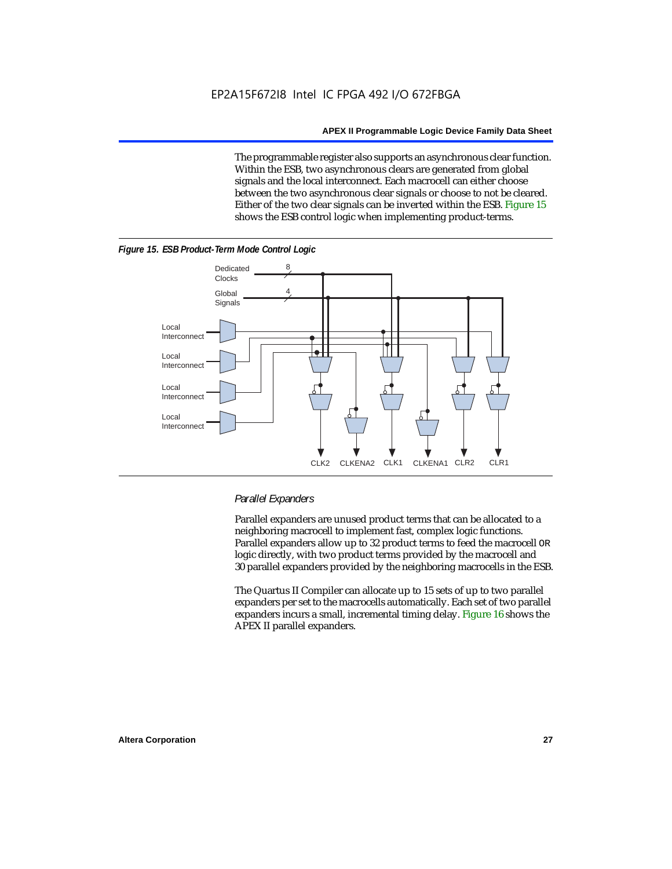The programmable register also supports an asynchronous clear function. Within the ESB, two asynchronous clears are generated from global signals and the local interconnect. Each macrocell can either choose between the two asynchronous clear signals or choose to not be cleared. Either of the two clear signals can be inverted within the ESB. Figure 15 shows the ESB control logic when implementing product-terms.



#### *Figure 15. ESB Product-Term Mode Control Logic*

#### *Parallel Expanders*

Parallel expanders are unused product terms that can be allocated to a neighboring macrocell to implement fast, complex logic functions. Parallel expanders allow up to 32 product terms to feed the macrocell OR logic directly, with two product terms provided by the macrocell and 30 parallel expanders provided by the neighboring macrocells in the ESB.

The Quartus II Compiler can allocate up to 15 sets of up to two parallel expanders per set to the macrocells automatically. Each set of two parallel expanders incurs a small, incremental timing delay. Figure 16 shows the APEX II parallel expanders.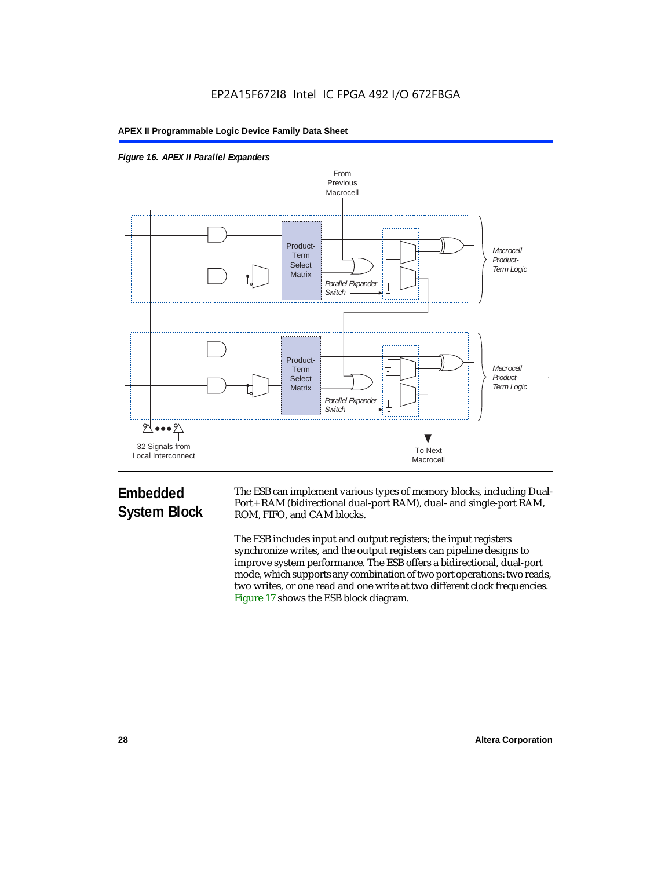



# **Embedded System Block**

The ESB can implement various types of memory blocks, including Dual-Port+ RAM (bidirectional dual-port RAM), dual- and single-port RAM, ROM, FIFO, and CAM blocks.

The ESB includes input and output registers; the input registers synchronize writes, and the output registers can pipeline designs to improve system performance. The ESB offers a bidirectional, dual-port mode, which supports any combination of two port operations: two reads, two writes, or one read and one write at two different clock frequencies. Figure 17 shows the ESB block diagram.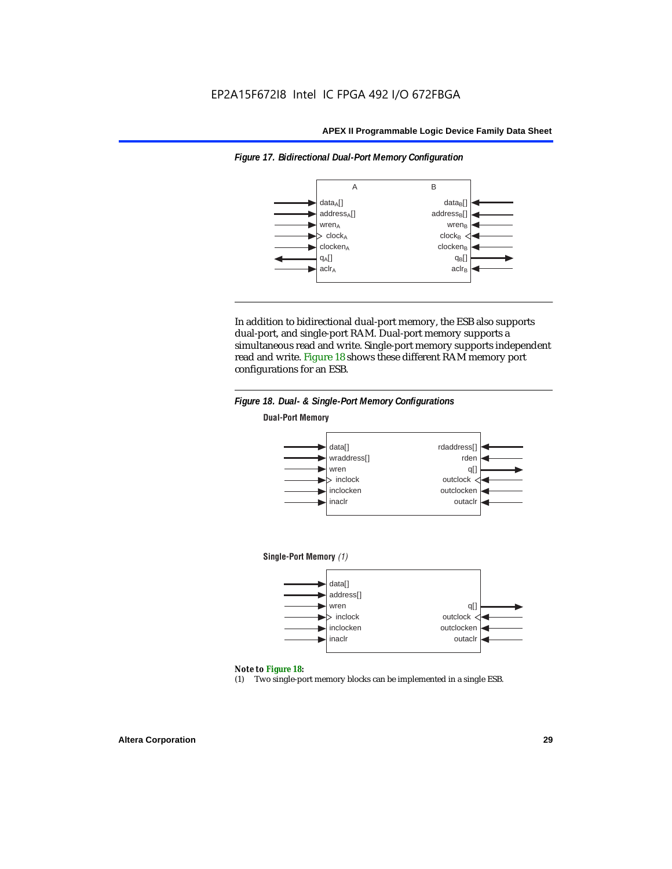

*Figure 17. Bidirectional Dual-Port Memory Configuration*

In addition to bidirectional dual-port memory, the ESB also supports dual-port, and single-port RAM. Dual-port memory supports a simultaneous read and write. Single-port memory supports independent read and write. Figure 18 shows these different RAM memory port configurations for an ESB.



#### *Note to Figure 18:*

(1) Two single-port memory blocks can be implemented in a single ESB.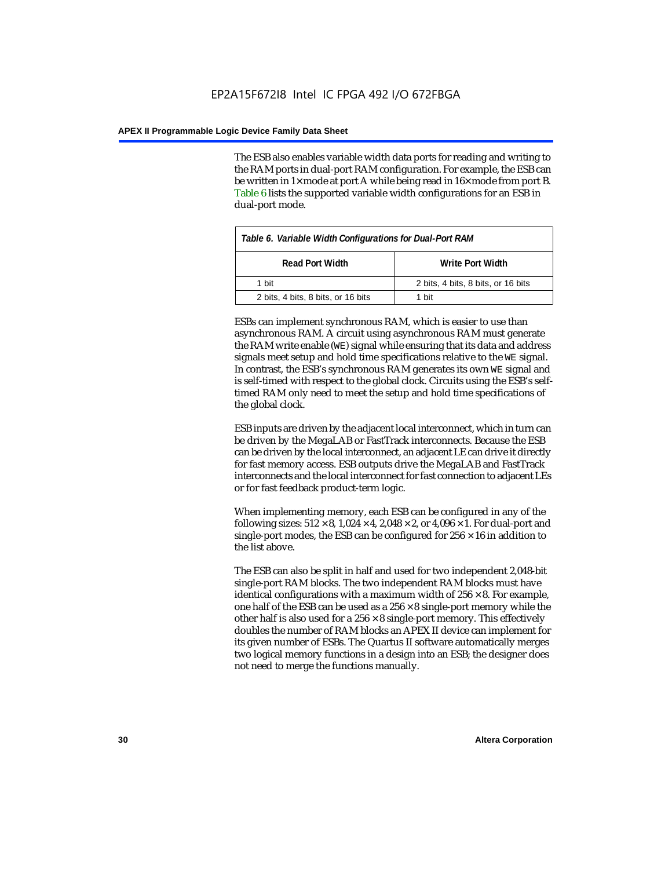The ESB also enables variable width data ports for reading and writing to the RAM ports in dual-port RAM configuration. For example, the ESB can be written in 1× mode at port A while being read in 16× mode from port B. Table 6 lists the supported variable width configurations for an ESB in dual-port mode.

| Table 6. Variable Width Configurations for Dual-Port RAM |                                    |  |  |
|----------------------------------------------------------|------------------------------------|--|--|
| <b>Read Port Width</b>                                   | Write Port Width                   |  |  |
| 1 hit                                                    | 2 bits, 4 bits, 8 bits, or 16 bits |  |  |
| 2 bits, 4 bits, 8 bits, or 16 bits                       | 1 hit                              |  |  |

ESBs can implement synchronous RAM, which is easier to use than asynchronous RAM. A circuit using asynchronous RAM must generate the RAM write enable (WE) signal while ensuring that its data and address signals meet setup and hold time specifications relative to the WE signal. In contrast, the ESB's synchronous RAM generates its own WE signal and is self-timed with respect to the global clock. Circuits using the ESB's selftimed RAM only need to meet the setup and hold time specifications of the global clock.

ESB inputs are driven by the adjacent local interconnect, which in turn can be driven by the MegaLAB or FastTrack interconnects. Because the ESB can be driven by the local interconnect, an adjacent LE can drive it directly for fast memory access. ESB outputs drive the MegaLAB and FastTrack interconnects and the local interconnect for fast connection to adjacent LEs or for fast feedback product-term logic.

When implementing memory, each ESB can be configured in any of the following sizes:  $512 \times 8$ ,  $1,024 \times 4$ ,  $2,048 \times 2$ , or  $4,096 \times 1$ . For dual-port and single-port modes, the ESB can be configured for  $256 \times 16$  in addition to the list above.

The ESB can also be split in half and used for two independent 2,048-bit single-port RAM blocks. The two independent RAM blocks must have identical configurations with a maximum width of  $256 \times 8$ . For example, one half of the ESB can be used as a  $256 \times 8$  single-port memory while the other half is also used for a  $256 \times 8$  single-port memory. This effectively doubles the number of RAM blocks an APEX II device can implement for its given number of ESBs. The Quartus II software automatically merges two logical memory functions in a design into an ESB; the designer does not need to merge the functions manually.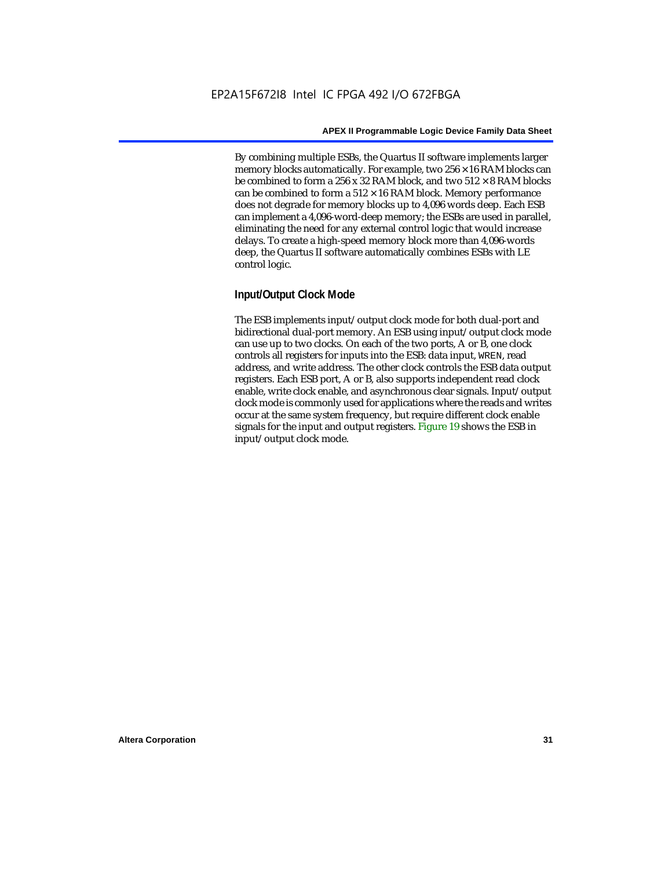By combining multiple ESBs, the Quartus II software implements larger memory blocks automatically. For example, two  $256 \times 16$  RAM blocks can be combined to form a 256 x 32 RAM block, and two  $512 \times 8$  RAM blocks can be combined to form a  $512 \times 16$  RAM block. Memory performance does not degrade for memory blocks up to 4,096 words deep. Each ESB can implement a 4,096-word-deep memory; the ESBs are used in parallel, eliminating the need for any external control logic that would increase delays. To create a high-speed memory block more than 4,096-words deep, the Quartus II software automatically combines ESBs with LE control logic.

#### **Input/Output Clock Mode**

The ESB implements input/output clock mode for both dual-port and bidirectional dual-port memory. An ESB using input/output clock mode can use up to two clocks. On each of the two ports, A or B, one clock controls all registers for inputs into the ESB: data input, WREN, read address, and write address. The other clock controls the ESB data output registers. Each ESB port, A or B, also supports independent read clock enable, write clock enable, and asynchronous clear signals. Input/output clock mode is commonly used for applications where the reads and writes occur at the same system frequency, but require different clock enable signals for the input and output registers. Figure 19 shows the ESB in input/output clock mode.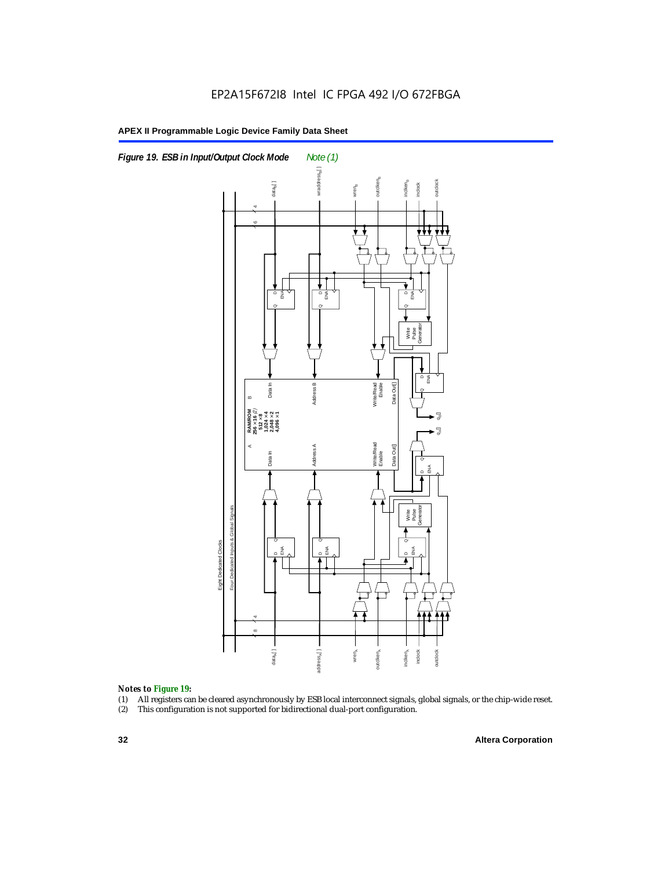

#### *Notes to Figure 19:*

- (1) All registers can be cleared asynchronously by ESB local interconnect signals, global signals, or the chip-wide reset.
-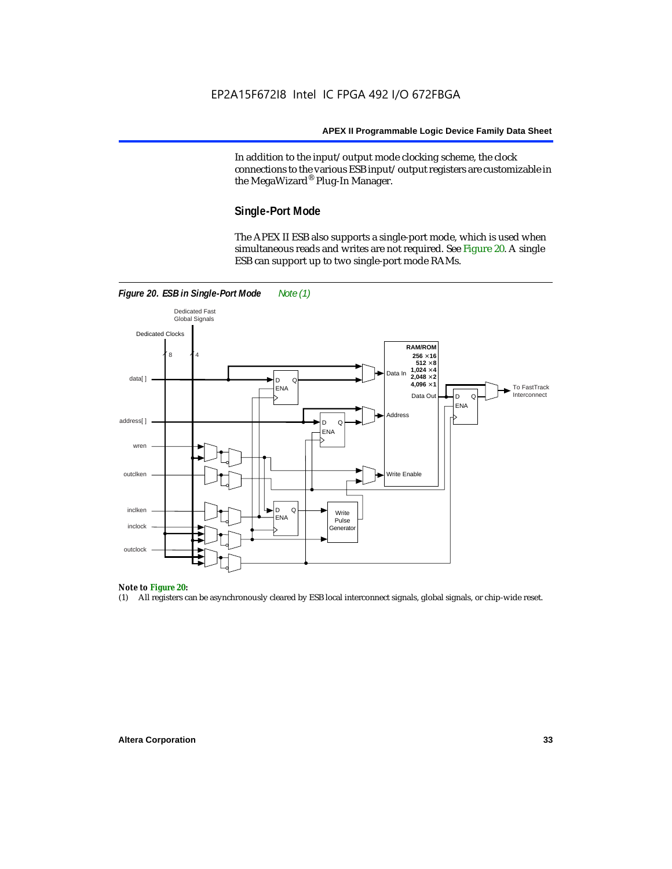In addition to the input/output mode clocking scheme, the clock connections to the various ESB input/output registers are customizable in the MegaWizard® Plug-In Manager.

#### **Single-Port Mode**

The APEX II ESB also supports a single-port mode, which is used when simultaneous reads and writes are not required. See Figure 20. A single ESB can support up to two single-port mode RAMs.



#### *Note to Figure 20:*

(1) All registers can be asynchronously cleared by ESB local interconnect signals, global signals, or chip-wide reset.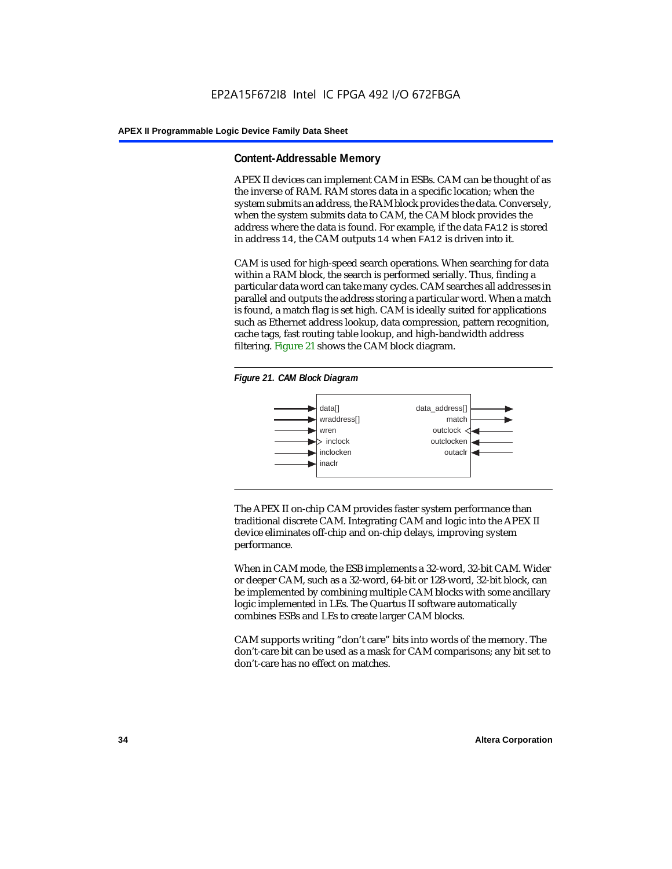#### **Content-Addressable Memory**

APEX II devices can implement CAM in ESBs. CAM can be thought of as the inverse of RAM. RAM stores data in a specific location; when the system submits an address, the RAM block provides the data. Conversely, when the system submits data to CAM, the CAM block provides the address where the data is found. For example, if the data FA12 is stored in address 14, the CAM outputs 14 when FA12 is driven into it.

CAM is used for high-speed search operations. When searching for data within a RAM block, the search is performed serially. Thus, finding a particular data word can take many cycles. CAM searches all addresses in parallel and outputs the address storing a particular word. When a match is found, a match flag is set high. CAM is ideally suited for applications such as Ethernet address lookup, data compression, pattern recognition, cache tags, fast routing table lookup, and high-bandwidth address filtering. Figure 21 shows the CAM block diagram.





The APEX II on-chip CAM provides faster system performance than traditional discrete CAM. Integrating CAM and logic into the APEX II device eliminates off-chip and on-chip delays, improving system performance.

When in CAM mode, the ESB implements a 32-word, 32-bit CAM. Wider or deeper CAM, such as a 32-word, 64-bit or 128-word, 32-bit block, can be implemented by combining multiple CAM blocks with some ancillary logic implemented in LEs. The Quartus II software automatically combines ESBs and LEs to create larger CAM blocks.

CAM supports writing "don't care" bits into words of the memory. The don't-care bit can be used as a mask for CAM comparisons; any bit set to don't-care has no effect on matches.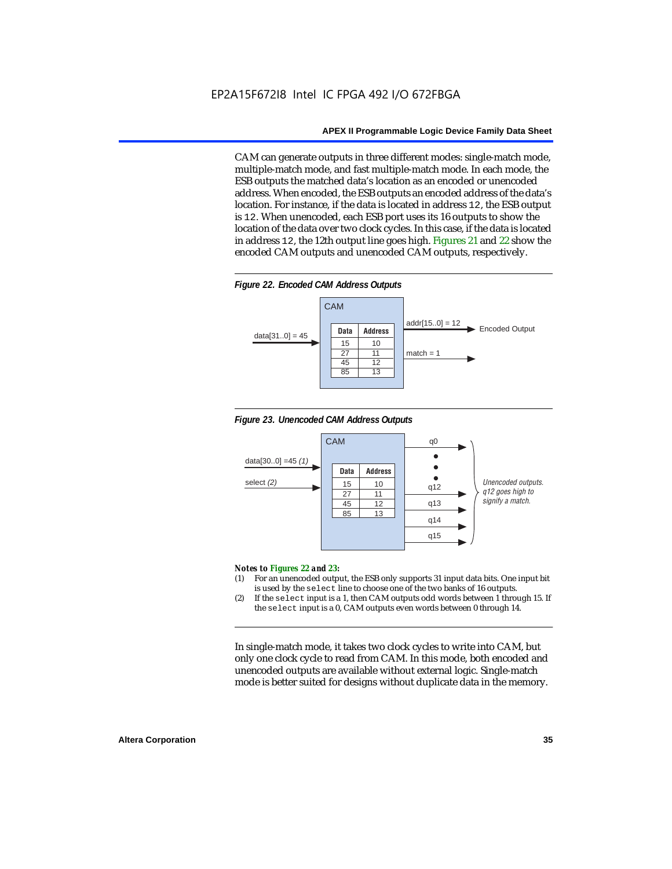CAM can generate outputs in three different modes: single-match mode, multiple-match mode, and fast multiple-match mode. In each mode, the ESB outputs the matched data's location as an encoded or unencoded address. When encoded, the ESB outputs an encoded address of the data's location. For instance, if the data is located in address 12, the ESB output is 12. When unencoded, each ESB port uses its 16 outputs to show the location of the data over two clock cycles. In this case, if the data is located in address 12, the 12th output line goes high. Figures 21 and 22 show the encoded CAM outputs and unencoded CAM outputs, respectively.









#### *Notes to Figures 22 and 23:*

- (1) For an unencoded output, the ESB only supports 31 input data bits. One input bit is used by the select line to choose one of the two banks of 16 outputs.
- (2) If the select input is a 1, then CAM outputs odd words between 1 through 15. If the select input is a 0, CAM outputs even words between 0 through 14.

In single-match mode, it takes two clock cycles to write into CAM, but only one clock cycle to read from CAM. In this mode, both encoded and unencoded outputs are available without external logic. Single-match mode is better suited for designs without duplicate data in the memory.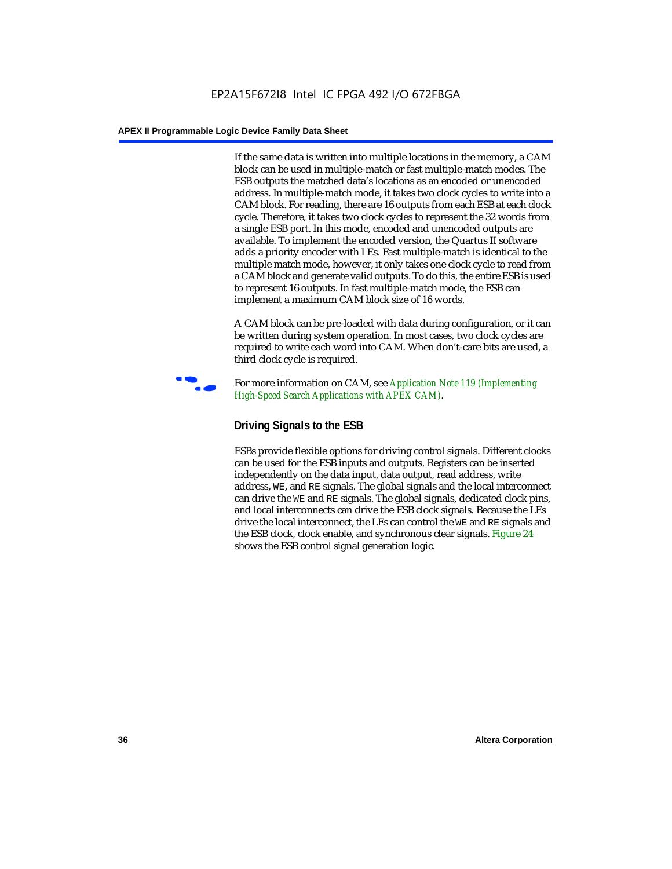If the same data is written into multiple locations in the memory, a CAM block can be used in multiple-match or fast multiple-match modes. The ESB outputs the matched data's locations as an encoded or unencoded address. In multiple-match mode, it takes two clock cycles to write into a CAM block. For reading, there are 16 outputs from each ESB at each clock cycle. Therefore, it takes two clock cycles to represent the 32 words from a single ESB port. In this mode, encoded and unencoded outputs are available. To implement the encoded version, the Quartus II software adds a priority encoder with LEs. Fast multiple-match is identical to the multiple match mode, however, it only takes one clock cycle to read from a CAM block and generate valid outputs. To do this, the entire ESB is used to represent 16 outputs. In fast multiple-match mode, the ESB can implement a maximum CAM block size of 16 words.

A CAM block can be pre-loaded with data during configuration, or it can be written during system operation. In most cases, two clock cycles are required to write each word into CAM. When don't-care bits are used, a third clock cycle is required.



f For more information on CAM, see *Application Note 119 (Implementing High-Speed Search Applications with APEX CAM)*.

# **Driving Signals to the ESB**

ESBs provide flexible options for driving control signals. Different clocks can be used for the ESB inputs and outputs. Registers can be inserted independently on the data input, data output, read address, write address, WE, and RE signals. The global signals and the local interconnect can drive the WE and RE signals. The global signals, dedicated clock pins, and local interconnects can drive the ESB clock signals. Because the LEs drive the local interconnect, the LEs can control the WE and RE signals and the ESB clock, clock enable, and synchronous clear signals. Figure 24 shows the ESB control signal generation logic.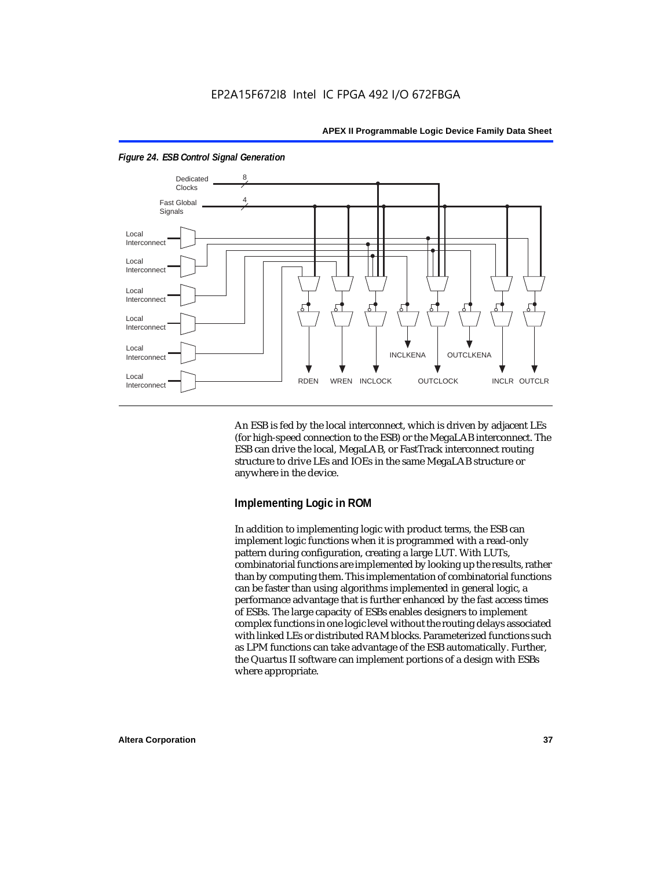

*Figure 24. ESB Control Signal Generation*

An ESB is fed by the local interconnect, which is driven by adjacent LEs (for high-speed connection to the ESB) or the MegaLAB interconnect. The ESB can drive the local, MegaLAB, or FastTrack interconnect routing structure to drive LEs and IOEs in the same MegaLAB structure or anywhere in the device.

### **Implementing Logic in ROM**

In addition to implementing logic with product terms, the ESB can implement logic functions when it is programmed with a read-only pattern during configuration, creating a large LUT. With LUTs, combinatorial functions are implemented by looking up the results, rather than by computing them. This implementation of combinatorial functions can be faster than using algorithms implemented in general logic, a performance advantage that is further enhanced by the fast access times of ESBs. The large capacity of ESBs enables designers to implement complex functions in one logic level without the routing delays associated with linked LEs or distributed RAM blocks. Parameterized functions such as LPM functions can take advantage of the ESB automatically. Further, the Quartus II software can implement portions of a design with ESBs where appropriate.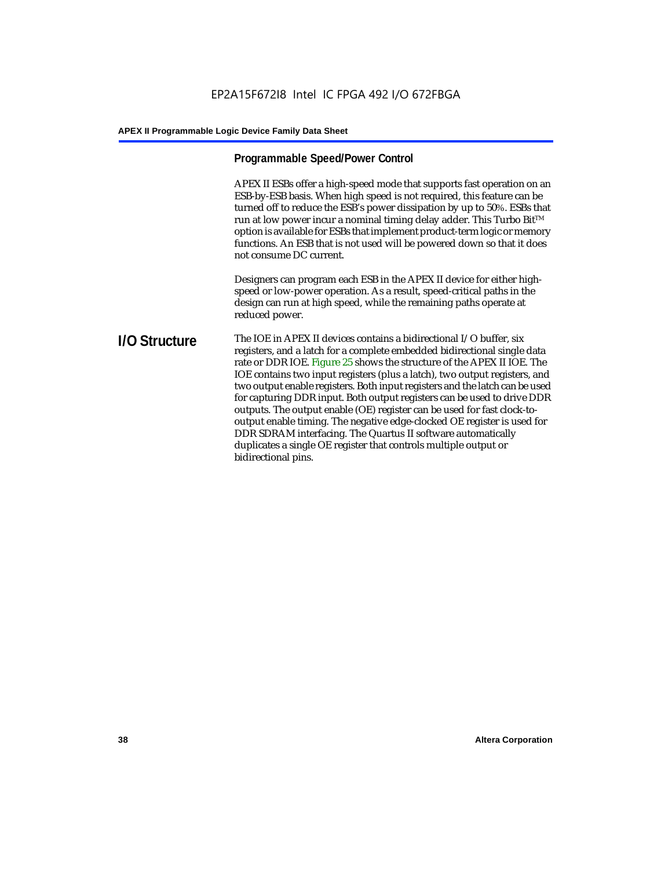# **Programmable Speed/Power Control**

APEX II ESBs offer a high-speed mode that supports fast operation on an ESB-by-ESB basis. When high speed is not required, this feature can be turned off to reduce the ESB's power dissipation by up to 50%. ESBs that run at low power incur a nominal timing delay adder. This Turbo Bit $TM$ option is available for ESBs that implement product-term logic or memory functions. An ESB that is not used will be powered down so that it does not consume DC current.

Designers can program each ESB in the APEX II device for either highspeed or low-power operation. As a result, speed-critical paths in the design can run at high speed, while the remaining paths operate at reduced power.

### **I/O Structure** The IOE in APEX II devices contains a bidirectional I/O buffer, six registers, and a latch for a complete embedded bidirectional single data rate or DDR IOE. Figure 25 shows the structure of the APEX II IOE. The IOE contains two input registers (plus a latch), two output registers, and two output enable registers. Both input registers and the latch can be used for capturing DDR input. Both output registers can be used to drive DDR outputs. The output enable (OE) register can be used for fast clock-tooutput enable timing. The negative edge-clocked OE register is used for DDR SDRAM interfacing. The Quartus II software automatically duplicates a single OE register that controls multiple output or bidirectional pins.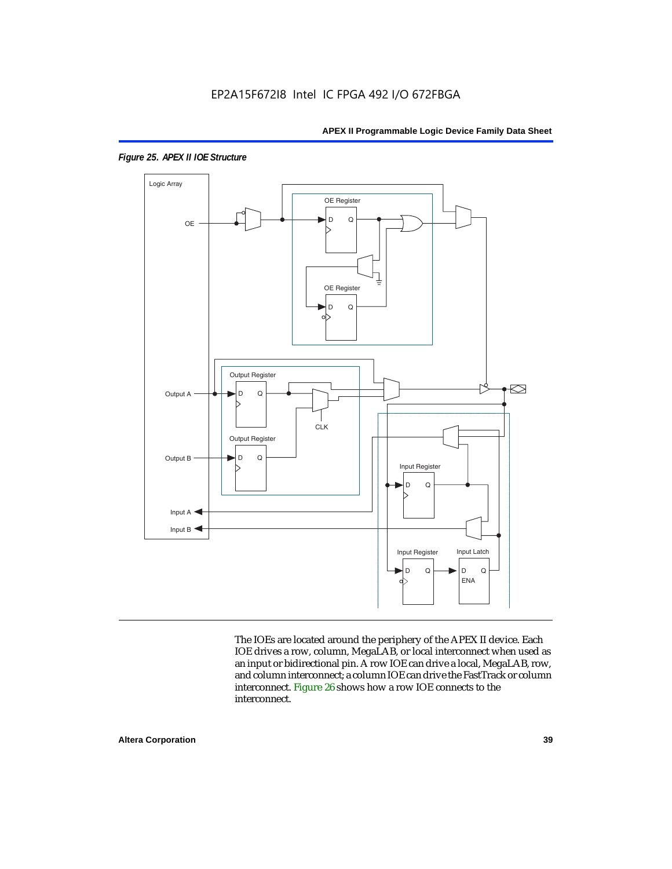

*Figure 25. APEX II IOE Structure*

The IOEs are located around the periphery of the APEX II device. Each IOE drives a row, column, MegaLAB, or local interconnect when used as an input or bidirectional pin. A row IOE can drive a local, MegaLAB, row, and column interconnect; a column IOE can drive the FastTrack or column interconnect. Figure 26 shows how a row IOE connects to the interconnect.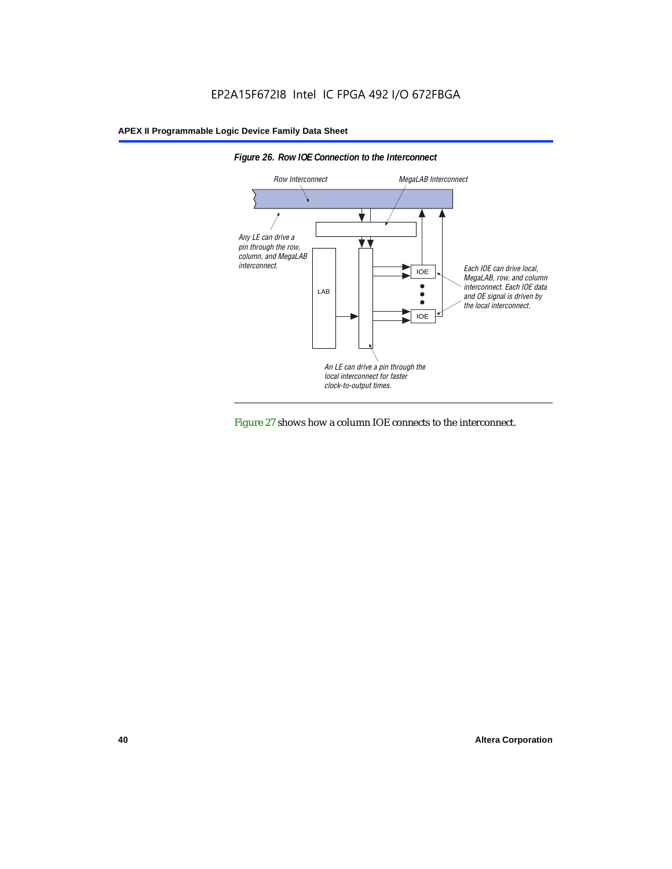



Figure 27 shows how a column IOE connects to the interconnect.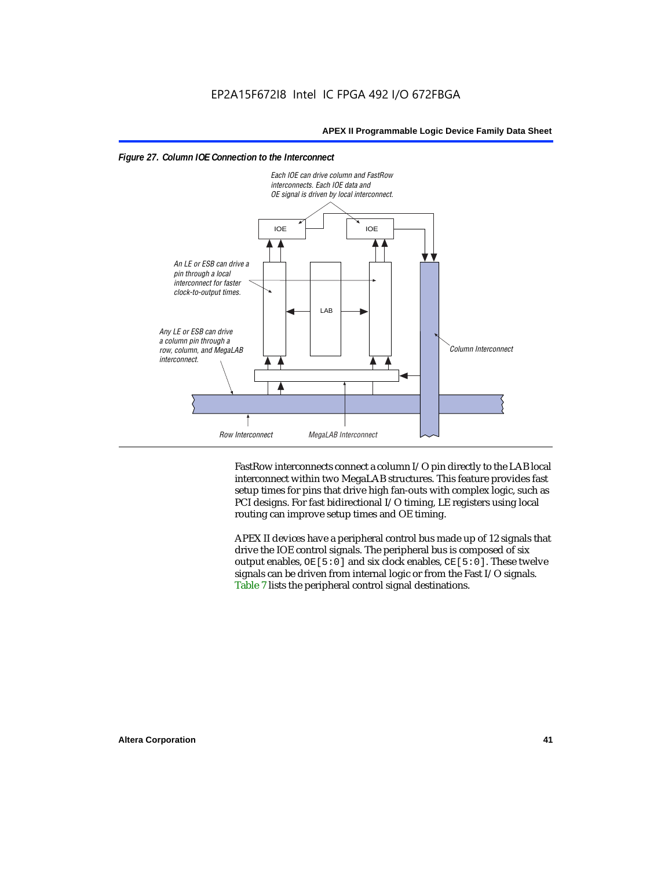



FastRow interconnects connect a column I/O pin directly to the LAB local interconnect within two MegaLAB structures. This feature provides fast setup times for pins that drive high fan-outs with complex logic, such as PCI designs. For fast bidirectional I/O timing, LE registers using local routing can improve setup times and OE timing.

APEX II devices have a peripheral control bus made up of 12 signals that drive the IOE control signals. The peripheral bus is composed of six output enables,  $OE[5:0]$  and six clock enables,  $CE[5:0]$ . These twelve signals can be driven from internal logic or from the Fast I/O signals. Table 7 lists the peripheral control signal destinations.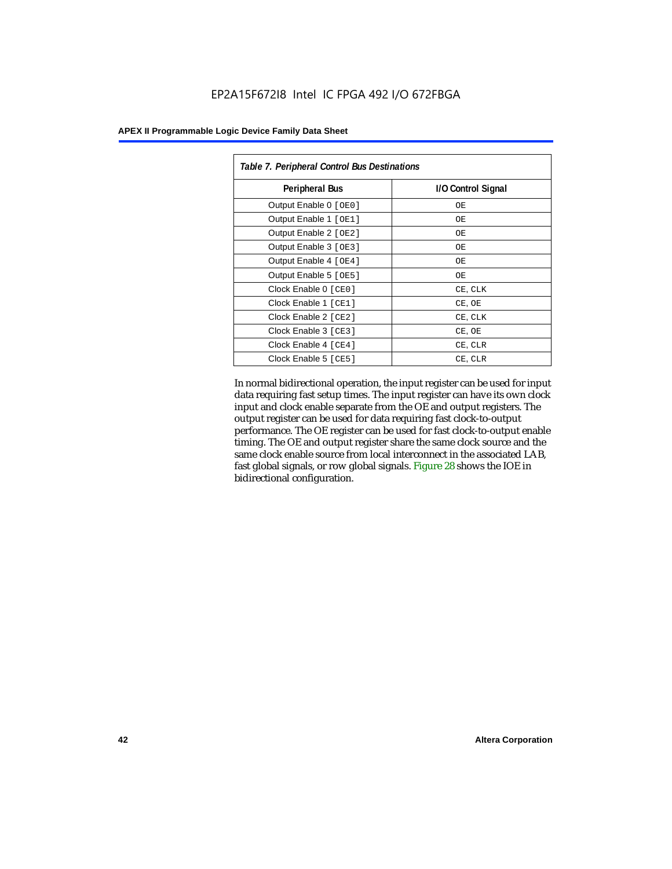# EP2A15F672I8 Intel IC FPGA 492 I/O 672FBGA

#### **APEX II Programmable Logic Device Family Data Sheet**

| Table 7. Peripheral Control Bus Destinations |                    |  |  |
|----------------------------------------------|--------------------|--|--|
| <b>Peripheral Bus</b>                        | I/O Control Signal |  |  |
| Output Enable 0 [OE0]                        | OЕ                 |  |  |
| Output Enable 1 [OE1]                        | OE.                |  |  |
| Output Enable 2 [OE2]                        | OE.                |  |  |
| Output Enable 3 [OE3]                        | OЕ                 |  |  |
| Output Enable 4 [OE4]                        | ОE                 |  |  |
| Output Enable 5 [OE5]                        | ОE                 |  |  |
| Clock Enable 0 [ CEO ]                       | CE, CLK            |  |  |
| Clock Enable 1 [CE1]                         | CE, OE             |  |  |
| Clock Enable 2 [ CE2 ]                       | CE, CLK            |  |  |
| Clock Enable 3 [CE3]                         | CE, OE             |  |  |
| Clock Enable 4 [CE4]                         | CE, CLR            |  |  |
| Clock Enable 5 [ CE5 ]                       | CE, CLR            |  |  |

In normal bidirectional operation, the input register can be used for input data requiring fast setup times. The input register can have its own clock input and clock enable separate from the OE and output registers. The output register can be used for data requiring fast clock-to-output performance. The OE register can be used for fast clock-to-output enable timing. The OE and output register share the same clock source and the same clock enable source from local interconnect in the associated LAB, fast global signals, or row global signals. Figure 28 shows the IOE in bidirectional configuration.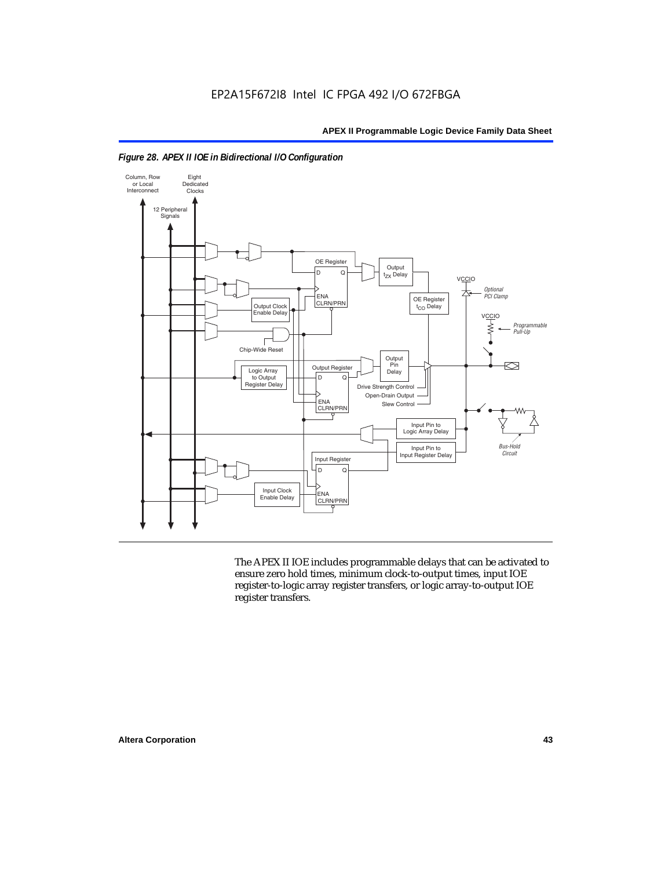



The APEX II IOE includes programmable delays that can be activated to ensure zero hold times, minimum clock-to-output times, input IOE register-to-logic array register transfers, or logic array-to-output IOE register transfers.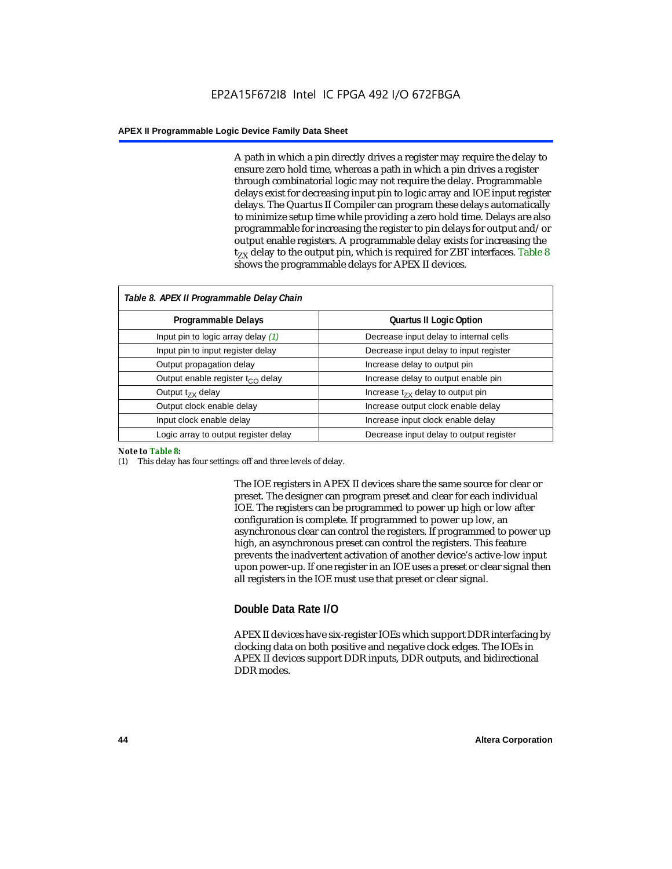A path in which a pin directly drives a register may require the delay to ensure zero hold time, whereas a path in which a pin drives a register through combinatorial logic may not require the delay. Programmable delays exist for decreasing input pin to logic array and IOE input register delays. The Quartus II Compiler can program these delays automatically to minimize setup time while providing a zero hold time. Delays are also programmable for increasing the register to pin delays for output and/or output enable registers. A programmable delay exists for increasing the  $t_{ZX}$  delay to the output pin, which is required for ZBT interfaces. Table 8 shows the programmable delays for APEX II devices.

| Table 8. APEX II Programmable Delay Chain |                                         |
|-------------------------------------------|-----------------------------------------|
| Programmable Delays                       | <b>Quartus II Logic Option</b>          |
| Input pin to logic array delay $(1)$      | Decrease input delay to internal cells  |
| Input pin to input register delay         | Decrease input delay to input register  |
| Output propagation delay                  | Increase delay to output pin            |
| Output enable register $t_{\rm CO}$ delay | Increase delay to output enable pin     |
| Output $t_{\rm rx}$ delay                 | Increase $t_{zx}$ delay to output pin   |
| Output clock enable delay                 | Increase output clock enable delay      |
| Input clock enable delay                  | Increase input clock enable delay       |
| Logic array to output register delay      | Decrease input delay to output register |

#### *Note to Table 8:*

(1) This delay has four settings: off and three levels of delay.

The IOE registers in APEX II devices share the same source for clear or preset. The designer can program preset and clear for each individual IOE. The registers can be programmed to power up high or low after configuration is complete. If programmed to power up low, an asynchronous clear can control the registers. If programmed to power up high, an asynchronous preset can control the registers. This feature prevents the inadvertent activation of another device's active-low input upon power-up. If one register in an IOE uses a preset or clear signal then all registers in the IOE must use that preset or clear signal.

# **Double Data Rate I/O**

APEX II devices have six-register IOEs which support DDR interfacing by clocking data on both positive and negative clock edges. The IOEs in APEX II devices support DDR inputs, DDR outputs, and bidirectional DDR modes.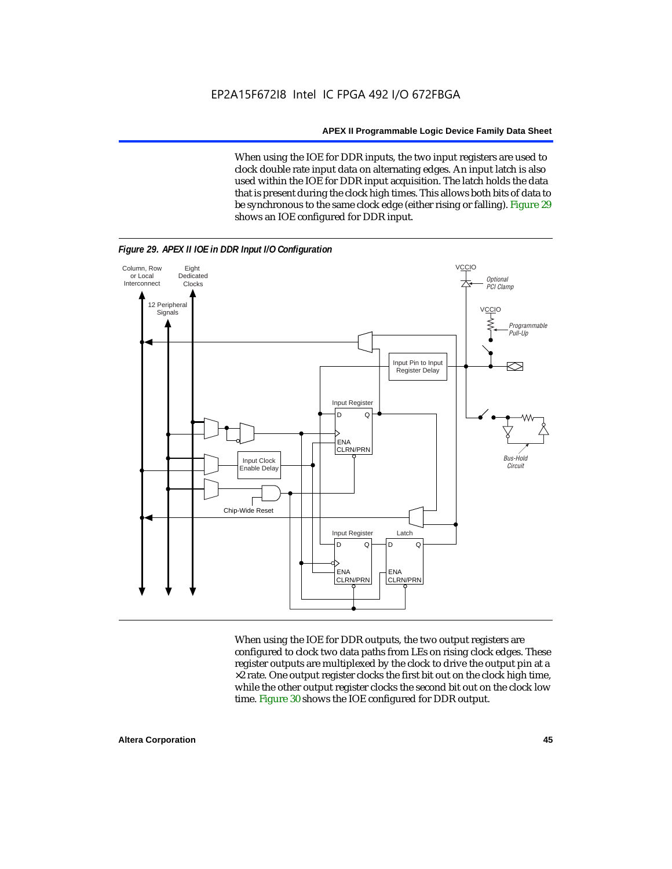When using the IOE for DDR inputs, the two input registers are used to clock double rate input data on alternating edges. An input latch is also used within the IOE for DDR input acquisition. The latch holds the data that is present during the clock high times. This allows both bits of data to be synchronous to the same clock edge (either rising or falling). Figure 29 shows an IOE configured for DDR input.



When using the IOE for DDR outputs, the two output registers are configured to clock two data paths from LEs on rising clock edges. These register outputs are multiplexed by the clock to drive the output pin at a  $\times 2$  rate. One output register clocks the first bit out on the clock high time, while the other output register clocks the second bit out on the clock low time. Figure 30 shows the IOE configured for DDR output.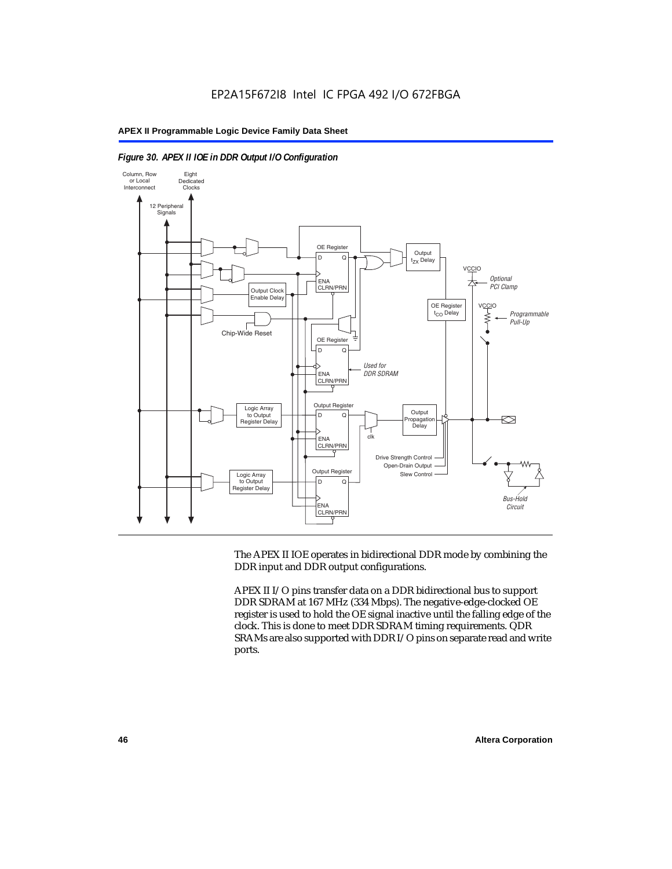



The APEX II IOE operates in bidirectional DDR mode by combining the DDR input and DDR output configurations.

APEX II I/O pins transfer data on a DDR bidirectional bus to support DDR SDRAM at 167 MHz (334 Mbps). The negative-edge-clocked OE register is used to hold the OE signal inactive until the falling edge of the clock. This is done to meet DDR SDRAM timing requirements. QDR SRAMs are also supported with DDR I/O pins on separate read and write ports.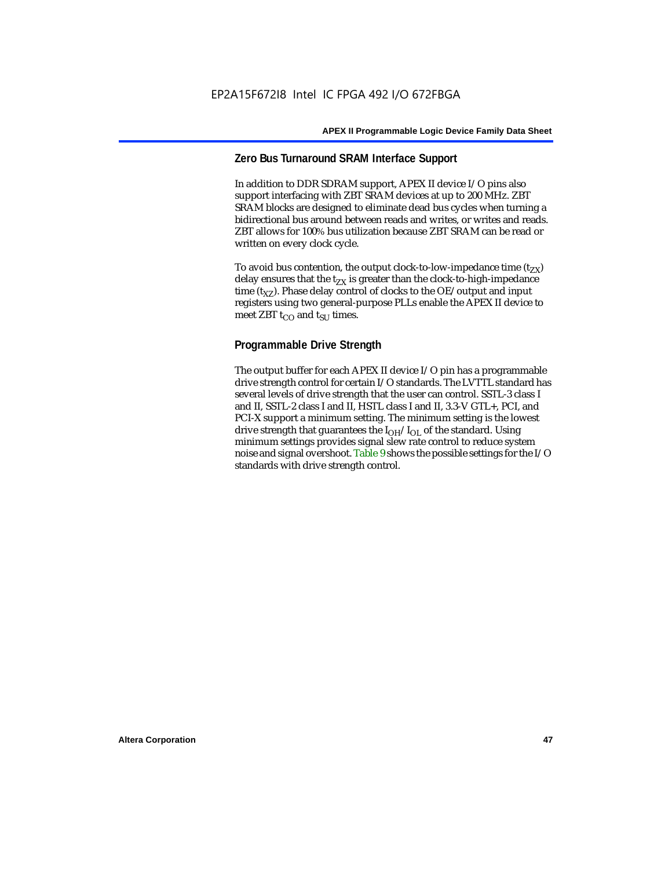# **Zero Bus Turnaround SRAM Interface Support**

In addition to DDR SDRAM support, APEX II device I/O pins also support interfacing with ZBT SRAM devices at up to 200 MHz. ZBT SRAM blocks are designed to eliminate dead bus cycles when turning a bidirectional bus around between reads and writes, or writes and reads. ZBT allows for 100% bus utilization because ZBT SRAM can be read or written on every clock cycle.

To avoid bus contention, the output clock-to-low-impedance time  $(t_{ZX})$ delay ensures that the  $t_{ZX}$  is greater than the clock-to-high-impedance time  $(t_{\text{YZ}})$ . Phase delay control of clocks to the OE/output and input registers using two general-purpose PLLs enable the APEX II device to meet ZBT  $t_{CO}$  and  $t_{SUI}$  times.

# **Programmable Drive Strength**

The output buffer for each APEX II device I/O pin has a programmable drive strength control for certain I/O standards. The LVTTL standard has several levels of drive strength that the user can control. SSTL-3 class I and II, SSTL-2 class I and II, HSTL class I and II, 3.3-V GTL+, PCI, and PCI-X support a minimum setting. The minimum setting is the lowest drive strength that guarantees the  $I<sub>OH</sub>/I<sub>OL</sub>$  of the standard. Using minimum settings provides signal slew rate control to reduce system noise and signal overshoot. Table 9 shows the possible settings for the I/O standards with drive strength control.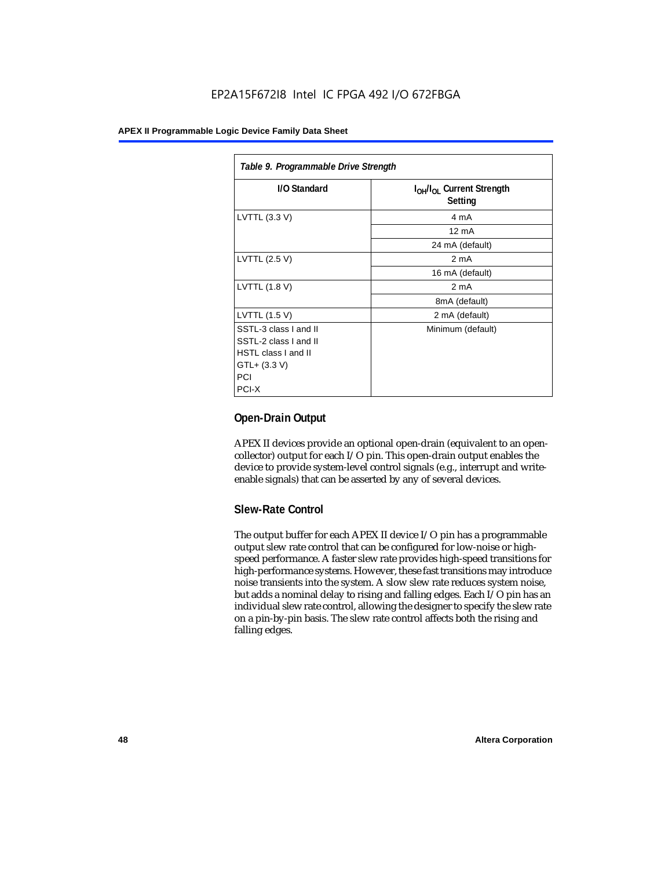# EP2A15F672I8 Intel IC FPGA 492 I/O 672FBGA

#### **APEX II Programmable Logic Device Family Data Sheet**

| Table 9. Programmable Drive Strength |                                                              |  |  |
|--------------------------------------|--------------------------------------------------------------|--|--|
| I/O Standard                         | I <sub>OH</sub> /I <sub>OL</sub> Current Strength<br>Setting |  |  |
| LVTTL (3.3 V)                        | 4 mA                                                         |  |  |
|                                      | $12 \text{ mA}$                                              |  |  |
|                                      | 24 mA (default)                                              |  |  |
| LVTTL (2.5 V)                        | 2 <sub>m</sub> A                                             |  |  |
|                                      | 16 mA (default)                                              |  |  |
| LVTTL (1.8 V)                        | 2 <sub>m</sub> A                                             |  |  |
|                                      | 8mA (default)                                                |  |  |
| LVTTL (1.5 V)                        | 2 mA (default)                                               |  |  |
| SSTL-3 class I and II                | Minimum (default)                                            |  |  |
| SSTL-2 class I and II                |                                                              |  |  |
| HSTL class I and II                  |                                                              |  |  |
| $GTL+ (3.3 V)$                       |                                                              |  |  |
| PCI                                  |                                                              |  |  |
| PCI-X                                |                                                              |  |  |

# **Open-Drain Output**

APEX II devices provide an optional open-drain (equivalent to an opencollector) output for each I/O pin. This open-drain output enables the device to provide system-level control signals (e.g., interrupt and writeenable signals) that can be asserted by any of several devices.

# **Slew-Rate Control**

The output buffer for each APEX II device I/O pin has a programmable output slew rate control that can be configured for low-noise or highspeed performance. A faster slew rate provides high-speed transitions for high-performance systems. However, these fast transitions may introduce noise transients into the system. A slow slew rate reduces system noise, but adds a nominal delay to rising and falling edges. Each I/O pin has an individual slew rate control, allowing the designer to specify the slew rate on a pin-by-pin basis. The slew rate control affects both the rising and falling edges.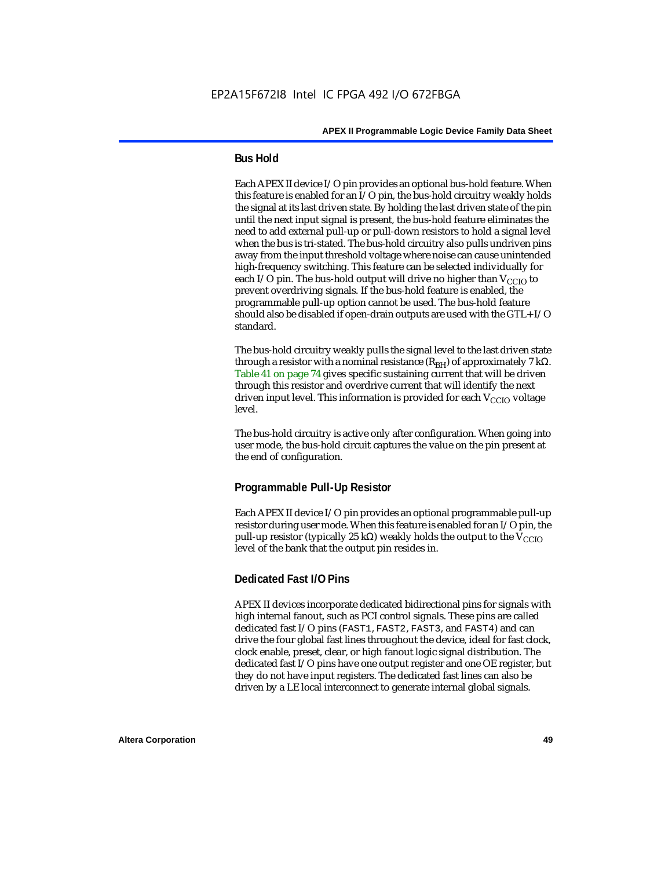#### **Bus Hold**

Each APEX II device I/O pin provides an optional bus-hold feature. When this feature is enabled for an I/O pin, the bus-hold circuitry weakly holds the signal at its last driven state. By holding the last driven state of the pin until the next input signal is present, the bus-hold feature eliminates the need to add external pull-up or pull-down resistors to hold a signal level when the bus is tri-stated. The bus-hold circuitry also pulls undriven pins away from the input threshold voltage where noise can cause unintended high-frequency switching. This feature can be selected individually for each I/O pin. The bus-hold output will drive no higher than  $V_{CCIO}$  to prevent overdriving signals. If the bus-hold feature is enabled, the programmable pull-up option cannot be used. The bus-hold feature should also be disabled if open-drain outputs are used with the GTL+ I/O standard.

The bus-hold circuitry weakly pulls the signal level to the last driven state through a resistor with a nominal resistance  $(R_{BH})$  of approximately 7 kΩ. Table 41 on page 74 gives specific sustaining current that will be driven through this resistor and overdrive current that will identify the next driven input level. This information is provided for each  $V_{CCIO}$  voltage level.

The bus-hold circuitry is active only after configuration. When going into user mode, the bus-hold circuit captures the value on the pin present at the end of configuration.

# **Programmable Pull-Up Resistor**

Each APEX II device I/O pin provides an optional programmable pull-up resistor during user mode. When this feature is enabled for an I/O pin, the pull-up resistor (typically 25 kΩ) weakly holds the output to the  $V_{CCIO}$ level of the bank that the output pin resides in.

# **Dedicated Fast I/O Pins**

APEX II devices incorporate dedicated bidirectional pins for signals with high internal fanout, such as PCI control signals. These pins are called dedicated fast I/O pins (FAST1, FAST2, FAST3, and FAST4) and can drive the four global fast lines throughout the device, ideal for fast clock, clock enable, preset, clear, or high fanout logic signal distribution. The dedicated fast I/O pins have one output register and one OE register, but they do not have input registers. The dedicated fast lines can also be driven by a LE local interconnect to generate internal global signals.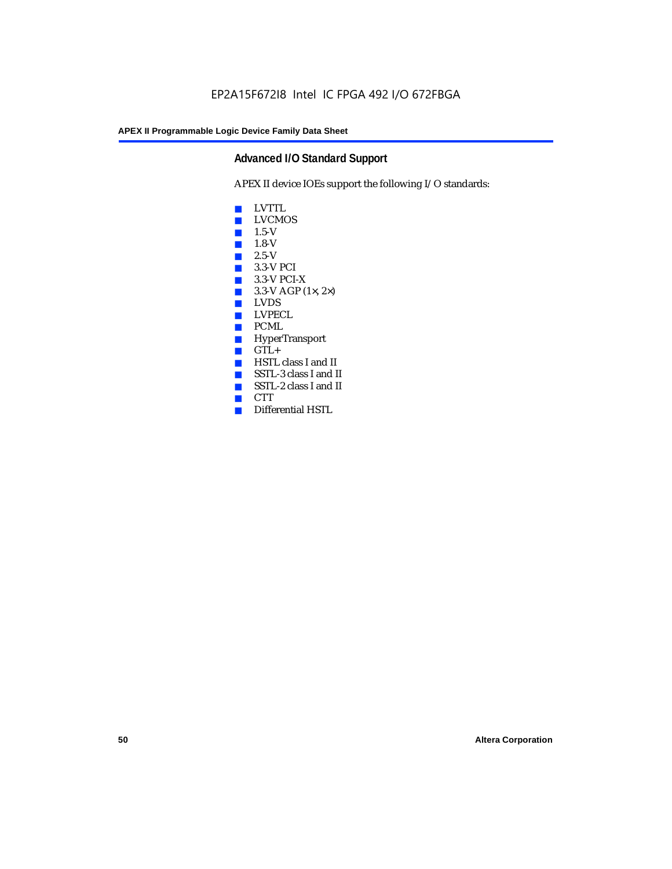# **Advanced I/O Standard Support**

APEX II device IOEs support the following I/O standards:

- LVTTL
- LVCMOS
- 1.5-V
- 1.8-V
- 2.5-V
- 3.3-V PCI
- 3.3-V PCI-X
- $\blacksquare$  3.3-V AGP (1 $\times$ , 2 $\times$ )
- LVDS<br>■ LVPE
- LVPECL
- PCML
- HyperTransport
- GTL+<br>■ HSTL
- HSTL class I and II
- SSTL-3 class I and II
- SSTL-2 class I and II
- CTT
- Differential HSTL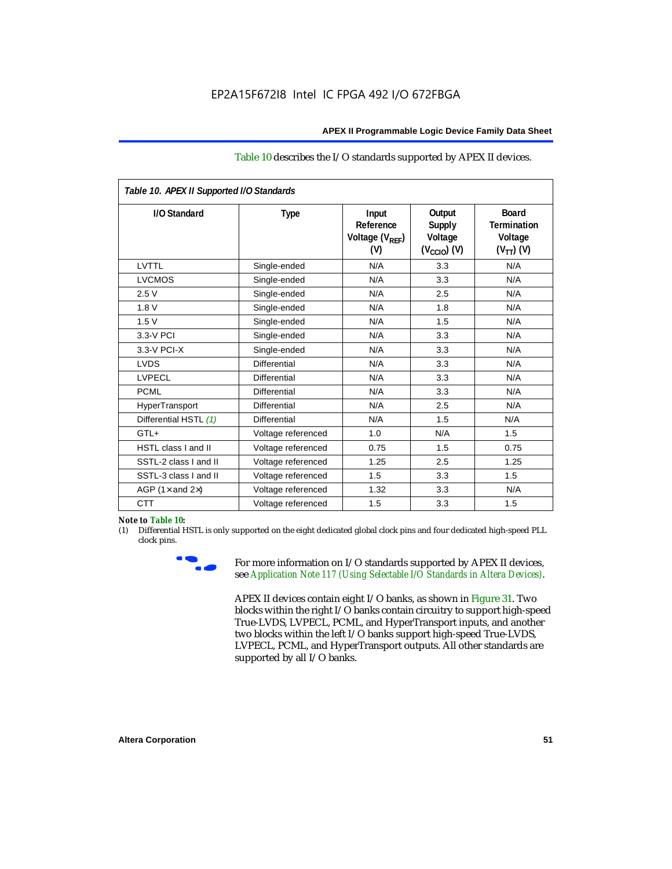#### Table 10 describes the I/O standards supported by APEX II devices.

| Table 10. APEX II Supported I/O Standards |                     |                                                  |                                                               |                                                                   |
|-------------------------------------------|---------------------|--------------------------------------------------|---------------------------------------------------------------|-------------------------------------------------------------------|
| I/O Standard                              | <b>Type</b>         | Input<br>Reference<br>Voltage $(V_{RFF})$<br>(V) | Output<br><b>Supply</b><br>Voltage<br>$(V_{\text{CCIO}})$ (V) | <b>Board</b><br><b>Termination</b><br>Voltage<br>$(V_{TT})$ $(V)$ |
| LVTTL                                     | Single-ended        | N/A                                              | 3.3                                                           | N/A                                                               |
| <b>LVCMOS</b>                             | Single-ended        | N/A                                              | 3.3                                                           | N/A                                                               |
| 2.5V                                      | Single-ended        | N/A                                              | 2.5                                                           | N/A                                                               |
| 1.8V                                      | Single-ended        | N/A                                              | 1.8                                                           | N/A                                                               |
| 1.5V                                      | Single-ended        | N/A                                              | 1.5                                                           | N/A                                                               |
| 3.3-V PCI                                 | Single-ended        | N/A                                              | 3.3                                                           | N/A                                                               |
| $3.3-V$ PCI-X                             | Single-ended        | N/A                                              | 3.3                                                           | N/A                                                               |
| <b>LVDS</b>                               | <b>Differential</b> | N/A                                              | 3.3                                                           | N/A                                                               |
| <b>LVPECL</b>                             | Differential        | N/A                                              | 3.3                                                           | N/A                                                               |
| <b>PCML</b>                               | <b>Differential</b> | N/A                                              | 3.3                                                           | N/A                                                               |
| HyperTransport                            | Differential        | N/A                                              | 2.5                                                           | N/A                                                               |
| Differential HSTL (1)                     | Differential        | N/A                                              | 1.5                                                           | N/A                                                               |
| $GTL+$                                    | Voltage referenced  | 1.0                                              | N/A                                                           | 1.5                                                               |
| HSTL class I and II                       | Voltage referenced  | 0.75                                             | 1.5                                                           | 0.75                                                              |
| SSTL-2 class I and II                     | Voltage referenced  | 1.25                                             | 2.5                                                           | 1.25                                                              |
| SSTL-3 class I and II                     | Voltage referenced  | 1.5                                              | 3.3                                                           | 1.5                                                               |
| AGP (1 $\times$ and 2 $\times$ )          | Voltage referenced  | 1.32                                             | 3.3                                                           | N/A                                                               |
| <b>CTT</b>                                | Voltage referenced  | 1.5                                              | 3.3                                                           | 1.5                                                               |

#### *Note to Table 10:*

(1) Differential HSTL is only supported on the eight dedicated global clock pins and four dedicated high-speed PLL clock pins.



For more information on I/O standards supported by APEX II devices, see *Application Note 117 (Using Selectable I/O Standards in Altera Devices)*.

APEX II devices contain eight I/O banks, as shown in Figure 31. Two blocks within the right I/O banks contain circuitry to support high-speed True-LVDS, LVPECL, PCML, and HyperTransport inputs, and another two blocks within the left I/O banks support high-speed True-LVDS, LVPECL, PCML, and HyperTransport outputs. All other standards are supported by all I/O banks.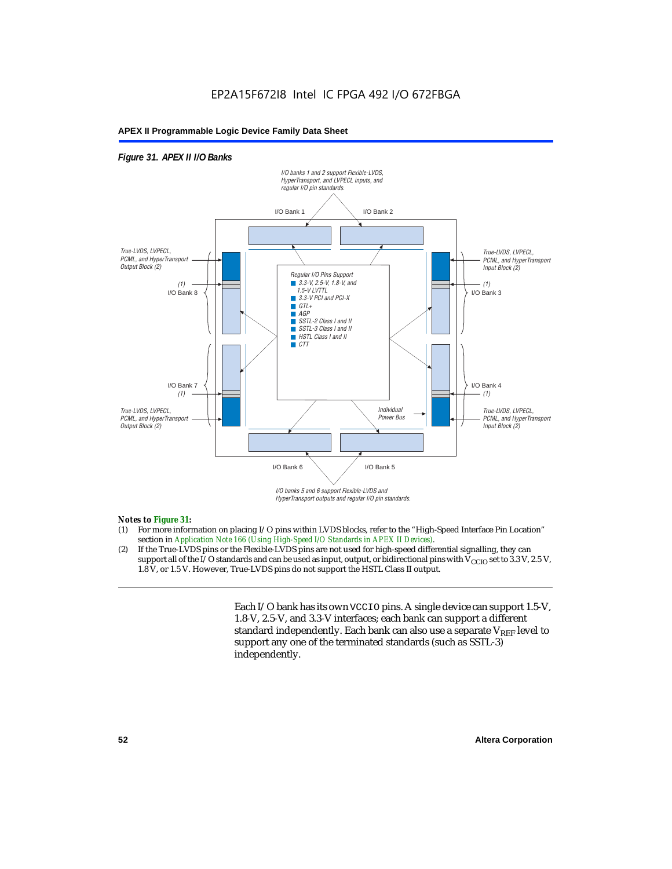### *Figure 31. APEX II I/O Banks*



HyperTransport outputs and regular I/O pin standards.

#### *Notes to Figure 31:*

- (1) For more information on placing I/O pins within LVDS blocks, refer to the "High-Speed Interface Pin Location" section in *Application Note 166 (Using High-Speed I/O Standards in APEX II Devices)*.
- (2) If the True-LVDS pins or the Flexible-LVDS pins are not used for high-speed differential signalling, they can support all of the I/O standards and can be used as input, output, or bidirectional pins with  $V_{CCIO}$  set to 3.3 V, 2.5 V, 1.8 V, or 1.5 V. However, True-LVDS pins do not support the HSTL Class II output.

Each I/O bank has its own VCCIO pins. A single device can support 1.5-V, 1.8-V, 2.5-V, and 3.3-V interfaces; each bank can support a different standard independently. Each bank can also use a separate  $V_{REF}$  level to support any one of the terminated standards (such as SSTL-3) independently.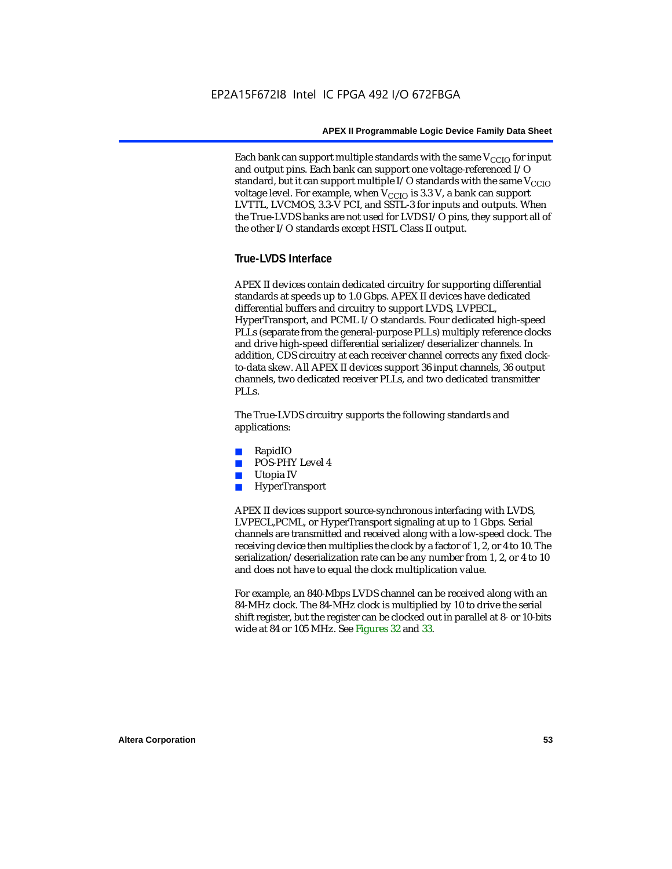Each bank can support multiple standards with the same  $V_{\text{CCIO}}$  for input and output pins. Each bank can support one voltage-referenced I/O standard, but it can support multiple I/O standards with the same  $V_{CCIO}$ voltage level. For example, when  $V_{CCIO}$  is 3.3 V, a bank can support LVTTL, LVCMOS, 3.3-V PCI, and SSTL-3 for inputs and outputs. When the True-LVDS banks are not used for LVDS I/O pins, they support all of the other I/O standards except HSTL Class II output.

# **True-LVDS Interface**

APEX II devices contain dedicated circuitry for supporting differential standards at speeds up to 1.0 Gbps. APEX II devices have dedicated differential buffers and circuitry to support LVDS, LVPECL, HyperTransport, and PCML I/O standards. Four dedicated high-speed PLLs (separate from the general-purpose PLLs) multiply reference clocks and drive high-speed differential serializer/deserializer channels. In addition, CDS circuitry at each receiver channel corrects any fixed clockto-data skew. All APEX II devices support 36 input channels, 36 output channels, two dedicated receiver PLLs, and two dedicated transmitter PLL<sub>s</sub>.

The True-LVDS circuitry supports the following standards and applications:

- RapidIO
- POS-PHY Level 4
- Utopia IV
- **HyperTransport**

APEX II devices support source-synchronous interfacing with LVDS, LVPECL,PCML, or HyperTransport signaling at up to 1 Gbps. Serial channels are transmitted and received along with a low-speed clock. The receiving device then multiplies the clock by a factor of 1, 2, or 4 to 10. The serialization/deserialization rate can be any number from 1, 2, or 4 to 10 and does not have to equal the clock multiplication value.

For example, an 840-Mbps LVDS channel can be received along with an 84-MHz clock. The 84-MHz clock is multiplied by 10 to drive the serial shift register, but the register can be clocked out in parallel at 8- or 10-bits wide at 84 or 105 MHz. See Figures 32 and 33.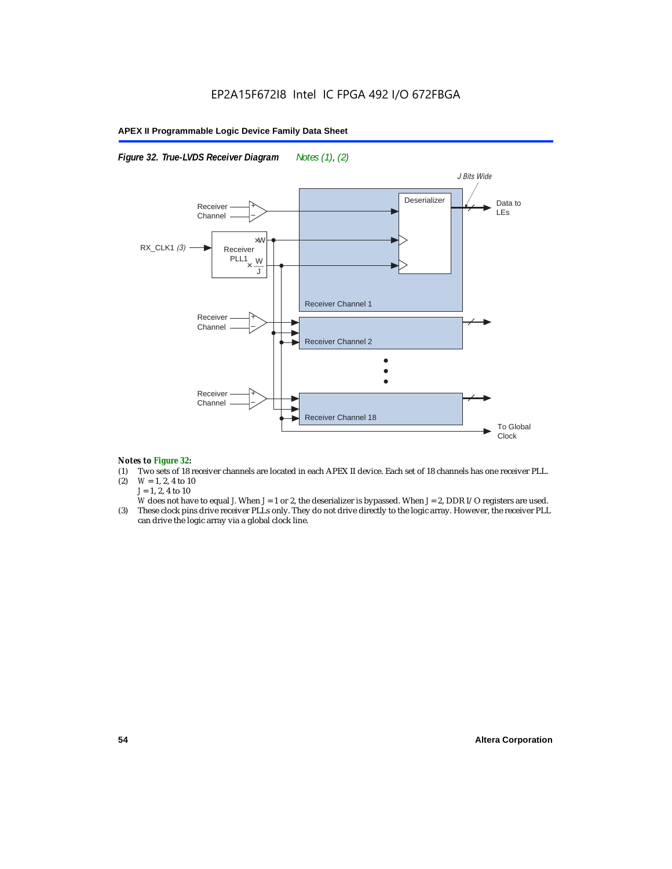#### *Figure 32. True-LVDS Receiver Diagram Notes (1), (2)*



#### *Notes to Figure 32:*

- (1) Two sets of 18 receiver channels are located in each APEX II device. Each set of 18 channels has one receiver PLL.<br>(2)  $W = 1, 2, 4$  to 10
- $W = 1, 2, 4$  to 10 *J* = 1, 2, 4 to 10
- *W* does not have to equal *J*. When *J* = 1 or 2, the deserializer is bypassed. When *J* = 2, DDR I/O registers are used.
- (3) These clock pins drive receiver PLLs only. They do not drive directly to the logic array. However, the receiver PLL can drive the logic array via a global clock line.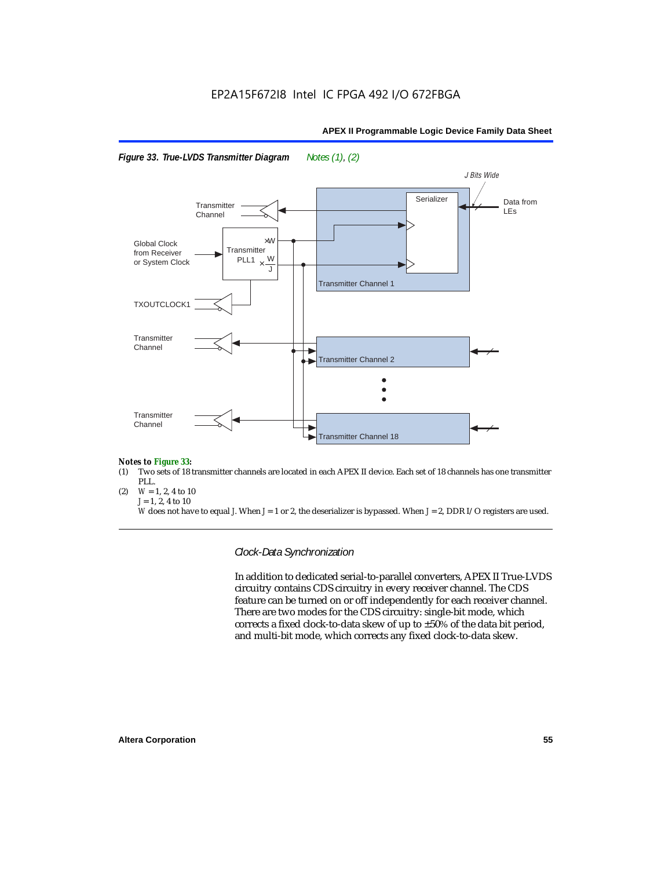



#### *Notes to Figure 33:*

- (1) Two sets of 18 transmitter channels are located in each APEX II device. Each set of 18 channels has one transmitter PLL.
- (2)  $W = 1, 2, 4$  to 10 *J* = 1, 2, 4 to 10

*W* does not have to equal *J*. When *J* = 1 or 2, the deserializer is bypassed. When *J* = 2, DDR I/O registers are used.

*Clock-Data Synchronization*

In addition to dedicated serial-to-parallel converters, APEX II True-LVDS circuitry contains CDS circuitry in every receiver channel. The CDS feature can be turned on or off independently for each receiver channel. There are two modes for the CDS circuitry: single-bit mode, which corrects a fixed clock-to-data skew of up to ±50% of the data bit period, and multi-bit mode, which corrects any fixed clock-to-data skew.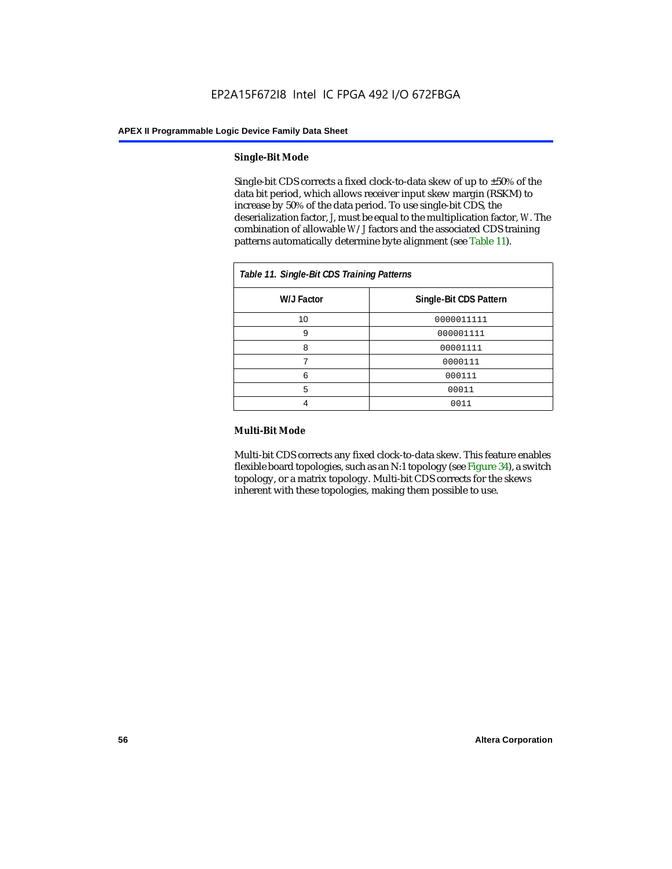#### **Single-Bit Mode**

Single-bit CDS corrects a fixed clock-to-data skew of up to  $\pm 50\%$  of the data bit period, which allows receiver input skew margin (RSKM) to increase by 50% of the data period. To use single-bit CDS, the deserialization factor, *J*, must be equal to the multiplication factor, *W*. The combination of allowable *W*/*J* factors and the associated CDS training patterns automatically determine byte alignment (see Table 11).

| Table 11. Single-Bit CDS Training Patterns |                        |  |
|--------------------------------------------|------------------------|--|
| W/J Factor                                 | Single-Bit CDS Pattern |  |
| 10                                         | 0000011111             |  |
| 9                                          | 000001111              |  |
| 8                                          | 00001111               |  |
|                                            | 0000111                |  |
| 6                                          | 000111                 |  |
| 5                                          | 00011                  |  |
|                                            | 0011                   |  |

#### **Multi-Bit Mode**

Multi-bit CDS corrects any fixed clock-to-data skew. This feature enables flexible board topologies, such as an N:1 topology (see Figure 34), a switch topology, or a matrix topology. Multi-bit CDS corrects for the skews inherent with these topologies, making them possible to use.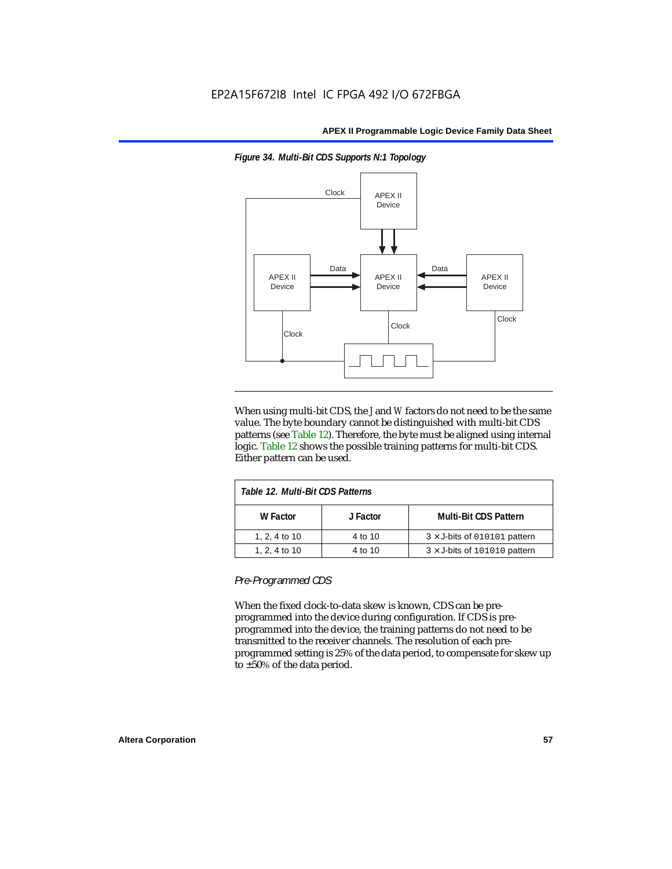

*Figure 34. Multi-Bit CDS Supports N:1 Topology*

When using multi-bit CDS, the *J* and *W* factors do not need to be the same value. The byte boundary cannot be distinguished with multi-bit CDS patterns (see Table 12). Therefore, the byte must be aligned using internal logic. Table 12 shows the possible training patterns for multi-bit CDS. Either pattern can be used.

| Table 12. Multi-Bit CDS Patterns |          |                                     |  |
|----------------------------------|----------|-------------------------------------|--|
| W Factor                         | J Factor | <b>Multi-Bit CDS Pattern</b>        |  |
| 1, 2, 4 to 10                    | 4 to 10  | $3 \times$ J-bits of 010101 pattern |  |
| 1, 2, 4 to 10                    | 4 to 10  | $3 \times$ J-bits of 101010 pattern |  |

*Pre-Programmed CDS*

When the fixed clock-to-data skew is known, CDS can be preprogrammed into the device during configuration. If CDS is preprogrammed into the device, the training patterns do not need to be transmitted to the receiver channels. The resolution of each preprogrammed setting is 25% of the data period, to compensate for skew up to ±50% of the data period.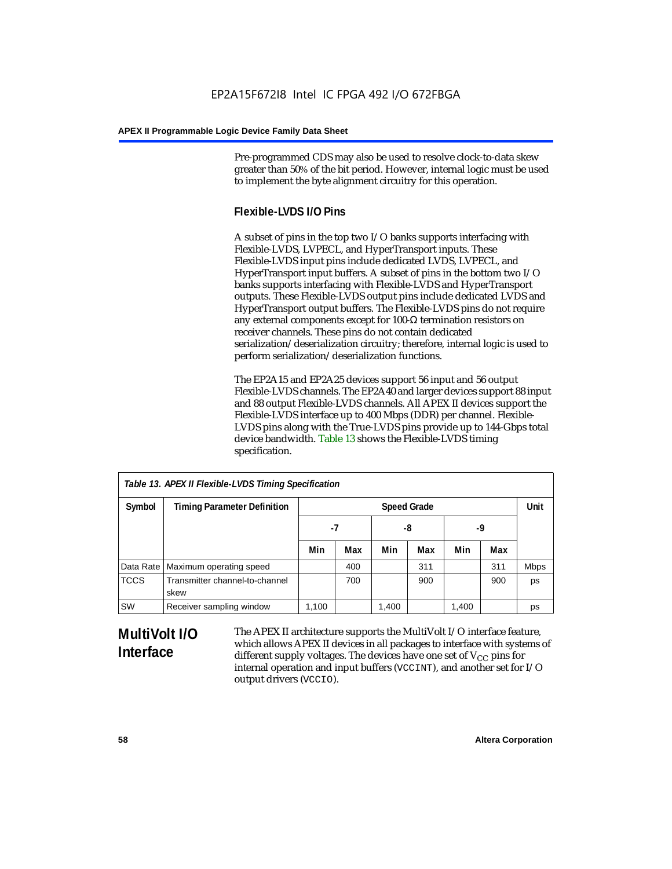Pre-programmed CDS may also be used to resolve clock-to-data skew greater than 50% of the bit period. However, internal logic must be used to implement the byte alignment circuitry for this operation.

# **Flexible-LVDS I/O Pins**

A subset of pins in the top two I/O banks supports interfacing with Flexible-LVDS, LVPECL, and HyperTransport inputs. These Flexible-LVDS input pins include dedicated LVDS, LVPECL, and HyperTransport input buffers. A subset of pins in the bottom two I/O banks supports interfacing with Flexible-LVDS and HyperTransport outputs. These Flexible-LVDS output pins include dedicated LVDS and HyperTransport output buffers. The Flexible-LVDS pins do not require any external components except for 100-Ω termination resistors on receiver channels. These pins do not contain dedicated serialization/deserialization circuitry; therefore, internal logic is used to perform serialization/deserialization functions.

The EP2A15 and EP2A25 devices support 56 input and 56 output Flexible-LVDS channels. The EP2A40 and larger devices support 88 input and 88 output Flexible-LVDS channels. All APEX II devices support the Flexible-LVDS interface up to 400 Mbps (DDR) per channel. Flexible-LVDS pins along with the True-LVDS pins provide up to 144-Gbps total device bandwidth. Table 13 shows the Flexible-LVDS timing specification.

| Table 13. APEX II Flexible-LVDS Timing Specification |                                        |       |                    |       |     |       |      |             |
|------------------------------------------------------|----------------------------------------|-------|--------------------|-------|-----|-------|------|-------------|
| Symbol                                               | <b>Timing Parameter Definition</b>     |       | <b>Speed Grade</b> |       |     |       | Unit |             |
|                                                      |                                        | -7    |                    | -8    |     | -9    |      |             |
|                                                      |                                        | Min   | Max                | Min   | Max | Min   | Max  |             |
|                                                      | Data Rate   Maximum operating speed    |       | 400                |       | 311 |       | 311  | <b>Mbps</b> |
| <b>TCCS</b>                                          | Transmitter channel-to-channel<br>skew |       | 700                |       | 900 |       | 900  | ps          |
| <b>SW</b>                                            | Receiver sampling window               | 1,100 |                    | 1,400 |     | 1,400 |      | ps          |

# **MultiVolt I/O Interface**

The APEX II architecture supports the MultiVolt I/O interface feature, which allows APEX II devices in all packages to interface with systems of different supply voltages. The devices have one set of  $V_{CC}$  pins for internal operation and input buffers (VCCINT), and another set for I/O output drivers (VCCIO).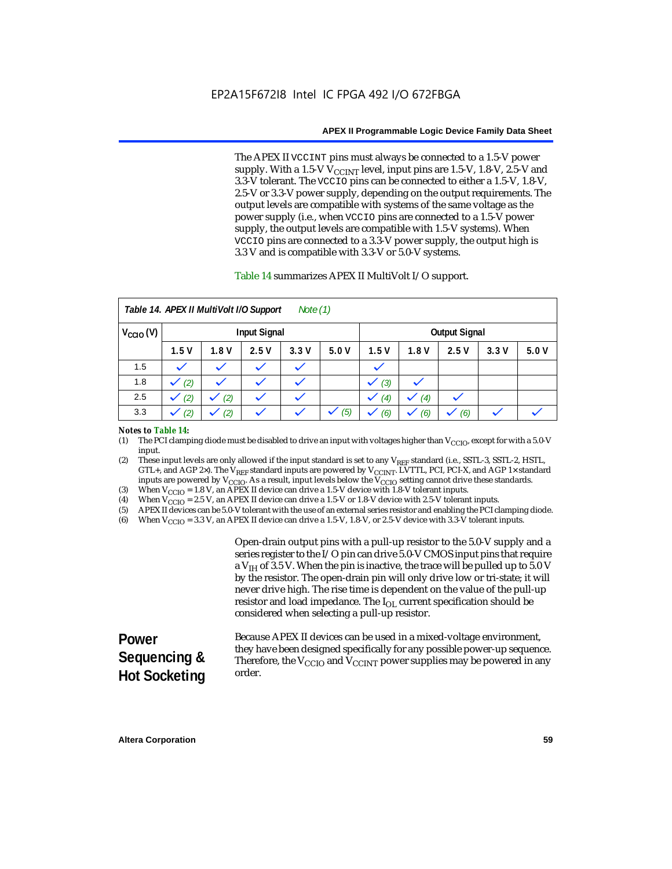The APEX II VCCINT pins must always be connected to a 1.5-V power supply. With a 1.5-V  $V_{\text{CCINT}}$  level, input pins are 1.5-V, 1.8-V, 2.5-V and 3.3-V tolerant. The VCCIO pins can be connected to either a 1.5-V, 1.8-V, 2.5-V or 3.3-V power supply, depending on the output requirements. The output levels are compatible with systems of the same voltage as the power supply (i.e., when VCCIO pins are connected to a 1.5-V power supply, the output levels are compatible with 1.5-V systems). When VCCIO pins are connected to a 3.3-V power supply, the output high is 3.3 V and is compatible with 3.3-V or 5.0-V systems.

#### Table 14 summarizes APEX II MultiVolt I/O support.

|                                             | Table 14. APEX II MultiVolt I/O Support<br>Note $(1)$ |      |              |                      |      |              |                      |      |      |      |
|---------------------------------------------|-------------------------------------------------------|------|--------------|----------------------|------|--------------|----------------------|------|------|------|
| $V_{\text{CCIO}}(V)$<br><b>Input Signal</b> |                                                       |      |              |                      |      |              | <b>Output Signal</b> |      |      |      |
|                                             | 1.5V                                                  | 1.8V | 2.5V         | 3.3V                 | 5.0V | 1.5V         | 1.8V                 | 2.5V | 3.3V | 5.0V |
| 1.5                                         |                                                       |      |              | $\checkmark$         |      | $\checkmark$ |                      |      |      |      |
| 1.8                                         | (2)                                                   |      |              | $\checkmark$         |      | (3)          |                      |      |      |      |
| 2.5                                         | (2)<br>$\checkmark$                                   | (2)  | $\checkmark$ | $\checkmark$         |      | (4)          | (4)<br>$\checkmark$  |      |      |      |
| 3.3                                         | (2)                                                   | (2)  |              | $\ddot{\phantom{0}}$ | (5)  | (6)          | (6)<br>$\checkmark$  | (6)  |      |      |

#### *Notes to Table 14:*

(1) The PCI clamping diode must be disabled to drive an input with voltages higher than  $V_{\rm CClO}$ , except for with a 5.0-V input.

(2) These input levels are only allowed if the input standard is set to any V<sub>REF</sub> standard (i.e., SSTL-3, SSTL-2, HSTL, GTL+, and AGP 2×). The V<sub>REF</sub> standard inputs are powered by V<sub>CCINT</sub>. LVTTL, PCI, PCI-X, and AGP 1× standard inputs are powered by  $V_{\text{CCIO}}$ . As a result, input levels below the  $V_{\text{CCIO}}$  setting cannot drive these standards.

(3) When  $V_{\text{CCIO}} = 1.8$  V, an APEX II device can drive a 1.5-V device with 1.8-V tolerant inputs.<br>(4) When  $V_{\text{CCIO}} = 2.5$  V, an APEX II device can drive a 1.5-V or 1.8-V device with 2.5-V toleran

(4) When  $V_{\text{CCIO}} = 2.5$  V, an APEX II device can drive a 1.5-V or 1.8-V device with 2.5-V tolerant inputs.<br>(5) APEX II devices can be 5.0-V tolerant with the use of an external series resistor and enabling the PCI cl

(5) APEX II devices can be 5.0-V tolerant with the use of an external series resistor and enabling the PCI clamping diode.

(6) When  $V_{\text{CCIO}} = 3.3$  V, an APEX II device can drive a 1.5-V, 1.8-V, or 2.5-V device with 3.3-V tolerant inputs.

Open-drain output pins with a pull-up resistor to the 5.0-V supply and a series register to the I/O pin can drive 5.0-V CMOS input pins that require a  $V<sub>IH</sub>$  of 3.5 V. When the pin is inactive, the trace will be pulled up to 5.0 V by the resistor. The open-drain pin will only drive low or tri-state; it will never drive high. The rise time is dependent on the value of the pull-up resistor and load impedance. The  $I_{OL}$  current specification should be considered when selecting a pull-up resistor.

#### **Power Sequencing & Hot Socketing** Because APEX II devices can be used in a mixed-voltage environment, they have been designed specifically for any possible power-up sequence. Therefore, the  $V_{\text{CCIO}}$  and  $V_{\text{CCINT}}$  power supplies may be powered in any order.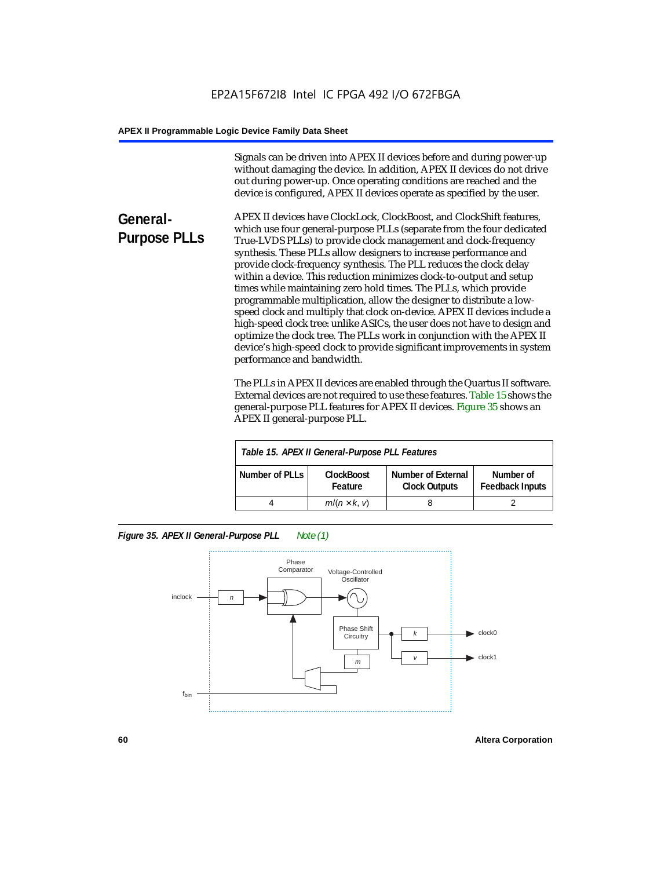Signals can be driven into APEX II devices before and during power-up without damaging the device. In addition, APEX II devices do not drive out during power-up. Once operating conditions are reached and the device is configured, APEX II devices operate as specified by the user.

**General-Purpose PLLs** APEX II devices have ClockLock, ClockBoost, and ClockShift features, which use four general-purpose PLLs (separate from the four dedicated True-LVDS PLLs) to provide clock management and clock-frequency synthesis. These PLLs allow designers to increase performance and provide clock-frequency synthesis. The PLL reduces the clock delay within a device. This reduction minimizes clock-to-output and setup times while maintaining zero hold times. The PLLs, which provide programmable multiplication, allow the designer to distribute a lowspeed clock and multiply that clock on-device. APEX II devices include a high-speed clock tree: unlike ASICs, the user does not have to design and optimize the clock tree. The PLLs work in conjunction with the APEX II device's high-speed clock to provide significant improvements in system performance and bandwidth.

> The PLLs in APEX II devices are enabled through the Quartus II software. External devices are not required to use these features. Table 15 shows the general-purpose PLL features for APEX II devices. Figure 35 shows an APEX II general-purpose PLL.

| Table 15. APEX II General-Purpose PLL Features                                                                                             |                     |  |  |
|--------------------------------------------------------------------------------------------------------------------------------------------|---------------------|--|--|
| <b>Number of External</b><br>Number of PLLs<br><b>ClockBoost</b><br>Number of<br><b>Feedback Inputs</b><br><b>Clock Outputs</b><br>Feature |                     |  |  |
|                                                                                                                                            | $m/(n \times k, v)$ |  |  |

*Figure 35. APEX II General-Purpose PLL Note (1)*

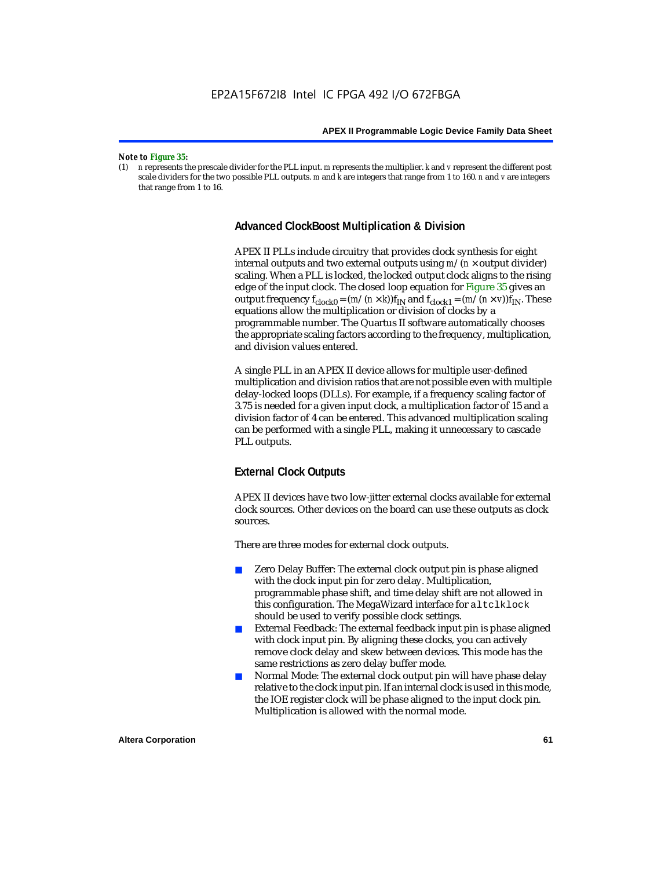#### *Note to Figure 35:*

(1) *n* represents the prescale divider for the PLL input. *m* represents the multiplier. *k* and *v* represent the different post scale dividers for the two possible PLL outputs. *m* and *k* are integers that range from 1 to 160. *n* and *v* are integers that range from 1 to 16.

#### **Advanced ClockBoost Multiplication & Division**

APEX II PLLs include circuitry that provides clock synthesis for eight internal outputs and two external outputs using  $m/(n \times$  output divider) scaling. When a PLL is locked, the locked output clock aligns to the rising edge of the input clock. The closed loop equation for Figure 35 gives an output frequency  $f_{clock0} = (m/(n \times k))f_{IN}$  and  $f_{clock1} = (m/(n \times v))f_{IN}$ . These equations allow the multiplication or division of clocks by a programmable number. The Quartus II software automatically chooses the appropriate scaling factors according to the frequency, multiplication, and division values entered.

A single PLL in an APEX II device allows for multiple user-defined multiplication and division ratios that are not possible even with multiple delay-locked loops (DLLs). For example, if a frequency scaling factor of 3.75 is needed for a given input clock, a multiplication factor of 15 and a division factor of 4 can be entered. This advanced multiplication scaling can be performed with a single PLL, making it unnecessary to cascade PLL outputs.

#### **External Clock Outputs**

APEX II devices have two low-jitter external clocks available for external clock sources. Other devices on the board can use these outputs as clock sources.

There are three modes for external clock outputs.

- Zero Delay Buffer: The external clock output pin is phase aligned with the clock input pin for zero delay. Multiplication, programmable phase shift, and time delay shift are not allowed in this configuration. The MegaWizard interface for altclklock should be used to verify possible clock settings.
- External Feedback: The external feedback input pin is phase aligned with clock input pin. By aligning these clocks, you can actively remove clock delay and skew between devices. This mode has the same restrictions as zero delay buffer mode.
- Normal Mode: The external clock output pin will have phase delay relative to the clock input pin. If an internal clock is used in this mode, the IOE register clock will be phase aligned to the input clock pin. Multiplication is allowed with the normal mode.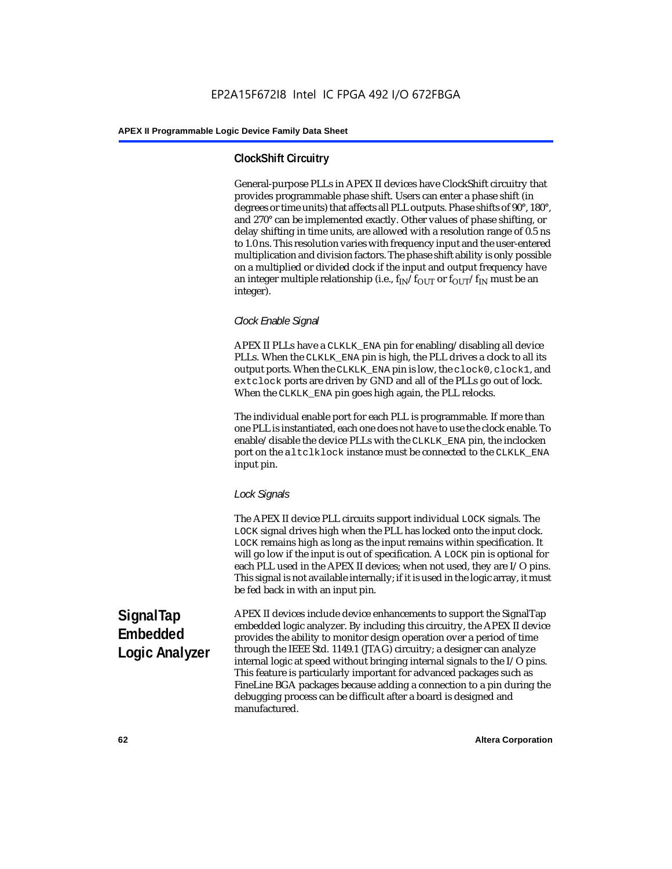# **ClockShift Circuitry**

General-purpose PLLs in APEX II devices have ClockShift circuitry that provides programmable phase shift. Users can enter a phase shift (in degrees or time units) that affects all PLL outputs. Phase shifts of 90°, 180°, and 270° can be implemented exactly. Other values of phase shifting, or delay shifting in time units, are allowed with a resolution range of 0.5 ns to 1.0 ns. This resolution varies with frequency input and the user-entered multiplication and division factors. The phase shift ability is only possible on a multiplied or divided clock if the input and output frequency have an integer multiple relationship (i.e.,  $f_{IN}/f_{OUT}$  or  $f_{OUT}/f_{IN}$  must be an integer).

#### *Clock Enable Signal*

APEX II PLLs have a CLKLK\_ENA pin for enabling/disabling all device PLLs. When the CLKLK\_ENA pin is high, the PLL drives a clock to all its output ports. When the CLKLK\_ENA pin is low, the clock0, clock1, and extclock ports are driven by GND and all of the PLLs go out of lock. When the CLKLK\_ENA pin goes high again, the PLL relocks.

The individual enable port for each PLL is programmable. If more than one PLL is instantiated, each one does not have to use the clock enable. To enable/disable the device PLLs with the CLKLK\_ENA pin, the inclocken port on the altclklock instance must be connected to the CLKLK\_ENA input pin.

#### *Lock Signals*

The APEX II device PLL circuits support individual LOCK signals. The LOCK signal drives high when the PLL has locked onto the input clock. LOCK remains high as long as the input remains within specification. It will go low if the input is out of specification. A LOCK pin is optional for each PLL used in the APEX II devices; when not used, they are I/O pins. This signal is not available internally; if it is used in the logic array, it must be fed back in with an input pin.

**SignalTap Embedded Logic Analyzer** APEX II devices include device enhancements to support the SignalTap embedded logic analyzer. By including this circuitry, the APEX II device provides the ability to monitor design operation over a period of time through the IEEE Std. 1149.1 (JTAG) circuitry; a designer can analyze internal logic at speed without bringing internal signals to the I/O pins. This feature is particularly important for advanced packages such as FineLine BGA packages because adding a connection to a pin during the debugging process can be difficult after a board is designed and manufactured.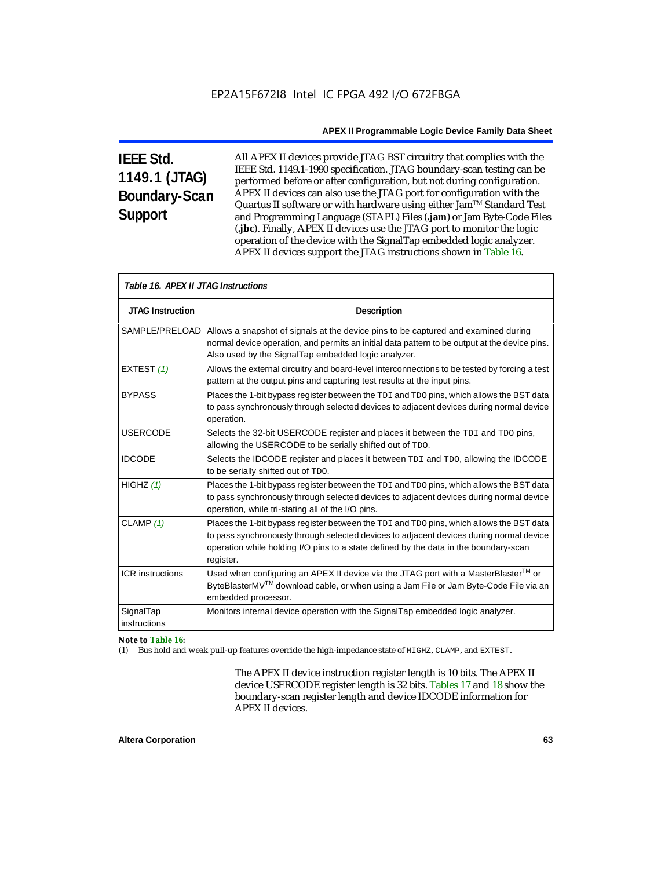# **IEEE Std. 1149.1 (JTAG) Boundary-Scan Support**

All APEX II devices provide JTAG BST circuitry that complies with the IEEE Std. 1149.1-1990 specification. JTAG boundary-scan testing can be performed before or after configuration, but not during configuration. APEX II devices can also use the JTAG port for configuration with the Quartus II software or with hardware using either Jam<sup>TM</sup> Standard Test and Programming Language (STAPL) Files (**.jam**) or Jam Byte-Code Files (**.jbc**). Finally, APEX II devices use the JTAG port to monitor the logic operation of the device with the SignalTap embedded logic analyzer. APEX II devices support the JTAG instructions shown in Table 16.

|                           | Table 16. APEX II JTAG Instructions                                                                                                                                                                                                                                                      |  |  |  |
|---------------------------|------------------------------------------------------------------------------------------------------------------------------------------------------------------------------------------------------------------------------------------------------------------------------------------|--|--|--|
| <b>JTAG Instruction</b>   | <b>Description</b>                                                                                                                                                                                                                                                                       |  |  |  |
| SAMPLE/PRELOAD            | Allows a snapshot of signals at the device pins to be captured and examined during<br>normal device operation, and permits an initial data pattern to be output at the device pins.<br>Also used by the SignalTap embedded logic analyzer.                                               |  |  |  |
| EXTEST (1)                | Allows the external circuitry and board-level interconnections to be tested by forcing a test<br>pattern at the output pins and capturing test results at the input pins.                                                                                                                |  |  |  |
| <b>BYPASS</b>             | Places the 1-bit bypass register between the TDI and TDO pins, which allows the BST data<br>to pass synchronously through selected devices to adjacent devices during normal device<br>operation.                                                                                        |  |  |  |
| <b>USERCODE</b>           | Selects the 32-bit USERCODE register and places it between the TDI and TDO pins,<br>allowing the USERCODE to be serially shifted out of TDO.                                                                                                                                             |  |  |  |
| <b>IDCODE</b>             | Selects the IDCODE register and places it between TDI and TDO, allowing the IDCODE<br>to be serially shifted out of TDO.                                                                                                                                                                 |  |  |  |
| HIGHZ $(1)$               | Places the 1-bit bypass register between the TDI and TDO pins, which allows the BST data<br>to pass synchronously through selected devices to adjacent devices during normal device<br>operation, while tri-stating all of the I/O pins.                                                 |  |  |  |
| CLAMP $(1)$               | Places the 1-bit bypass register between the TDI and TDO pins, which allows the BST data<br>to pass synchronously through selected devices to adjacent devices during normal device<br>operation while holding I/O pins to a state defined by the data in the boundary-scan<br>register. |  |  |  |
| <b>ICR</b> instructions   | Used when configuring an APEX II device via the JTAG port with a MasterBlaster™ or<br>ByteBlasterMV <sup>TM</sup> download cable, or when using a Jam File or Jam Byte-Code File via an<br>embedded processor.                                                                           |  |  |  |
| SignalTap<br>instructions | Monitors internal device operation with the SignalTap embedded logic analyzer.                                                                                                                                                                                                           |  |  |  |

#### *Note to Table 16:*

(1) Bus hold and weak pull-up features override the high-impedance state of HIGHZ, CLAMP, and EXTEST.

The APEX II device instruction register length is 10 bits. The APEX II device USERCODE register length is 32 bits. Tables 17 and 18 show the boundary-scan register length and device IDCODE information for APEX II devices.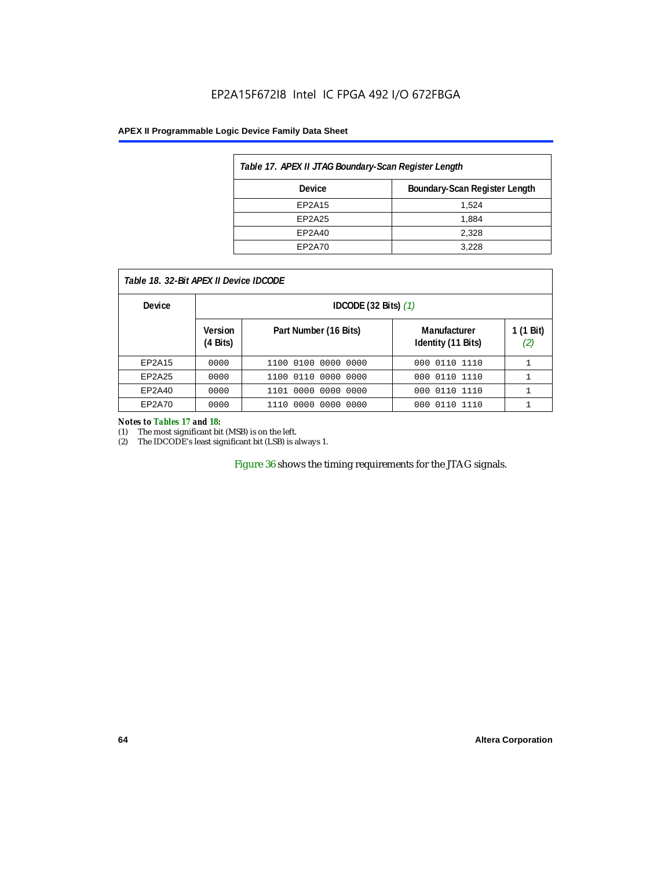# EP2A15F672I8 Intel IC FPGA 492 I/O 672FBGA

#### **APEX II Programmable Logic Device Family Data Sheet**

| Table 17. APEX II JTAG Boundary-Scan Register Length |                               |  |
|------------------------------------------------------|-------------------------------|--|
| Device                                               | Boundary-Scan Register Length |  |
| EP2A15                                               | 1.524                         |  |
| EP2A25                                               | 1.884                         |  |
| EP2A40                                               | 2,328                         |  |
| EP2A70                                               | 3.228                         |  |

|  | Table 18. 32-Bit APEX II Device IDCODE |
|--|----------------------------------------|
|--|----------------------------------------|

| <b>Device</b> |                            | IDCODE $(32 \text{ Bits})$ $(1)$ |                                    |                  |  |  |  |
|---------------|----------------------------|----------------------------------|------------------------------------|------------------|--|--|--|
|               | <b>Version</b><br>(4 Bits) | Part Number (16 Bits)            | Manufacturer<br>Identity (11 Bits) | 1 (1 Bit)<br>(2) |  |  |  |
| EP2A15        | 0000                       | 1100 0100<br>0000 0000           | 000 0110 1110                      |                  |  |  |  |
| EP2A25        | 0000                       | 1100 0110 0000 0000              | 000 0110 1110                      |                  |  |  |  |
| EP2A40        | 0000                       | 1101 0000 0000 0000              | 000 0110 1110                      |                  |  |  |  |
| EP2A70        | 0000                       | 0000<br>0000 0000<br>1110        | 000 0110 1110                      |                  |  |  |  |

#### *Notes to Tables 17 and 18:*

(1) The most significant bit (MSB) is on the left.

(2) The IDCODE's least significant bit (LSB) is always 1.

Figure 36 shows the timing requirements for the JTAG signals.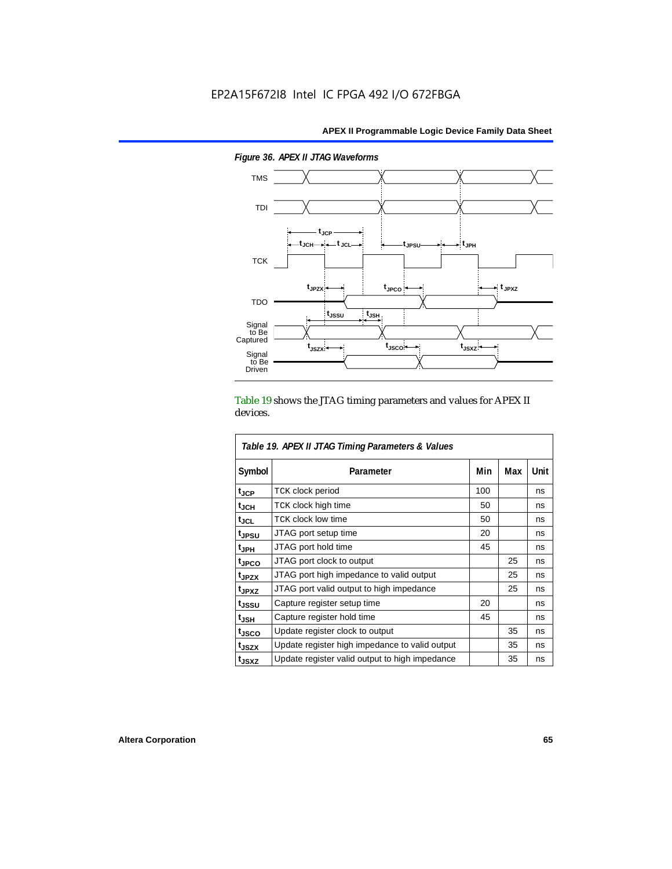

*Figure 36. APEX II JTAG Waveforms*

Table 19 shows the JTAG timing parameters and values for APEX II devices.

| Table 19. APEX II JTAG Timing Parameters & Values |                                                |     |     |      |  |  |
|---------------------------------------------------|------------------------------------------------|-----|-----|------|--|--|
| Symbol                                            | Parameter                                      | Min | Max | Unit |  |  |
| $t_{\sf JCP}$                                     | <b>TCK clock period</b>                        | 100 |     | ns   |  |  |
| $t_{JCH}$                                         | TCK clock high time                            | 50  |     | ns   |  |  |
| tjcl                                              | <b>TCK clock low time</b>                      | 50  |     | ns   |  |  |
| t <sub>JPSU</sub>                                 | JTAG port setup time                           | 20  |     | ns   |  |  |
| t <sub>JPH</sub>                                  | JTAG port hold time                            | 45  |     | ns   |  |  |
| <sup>t</sup> JPCO                                 | JTAG port clock to output                      |     | 25  | ns   |  |  |
| t <sub>JPZX</sub>                                 | JTAG port high impedance to valid output       |     | 25  | ns   |  |  |
| t <sub>JPXZ</sub>                                 | JTAG port valid output to high impedance       |     | 25  | ns   |  |  |
| tjssu                                             | Capture register setup time                    | 20  |     | ns   |  |  |
| $t_{\mathsf{JSH}}$                                | Capture register hold time                     | 45  |     | ns   |  |  |
| tjsco                                             | Update register clock to output                |     | 35  | ns   |  |  |
| t <sub>JSZX</sub>                                 | Update register high impedance to valid output |     | 35  | ns   |  |  |
| t <sub>JSXZ</sub>                                 | Update register valid output to high impedance |     | 35  | ns   |  |  |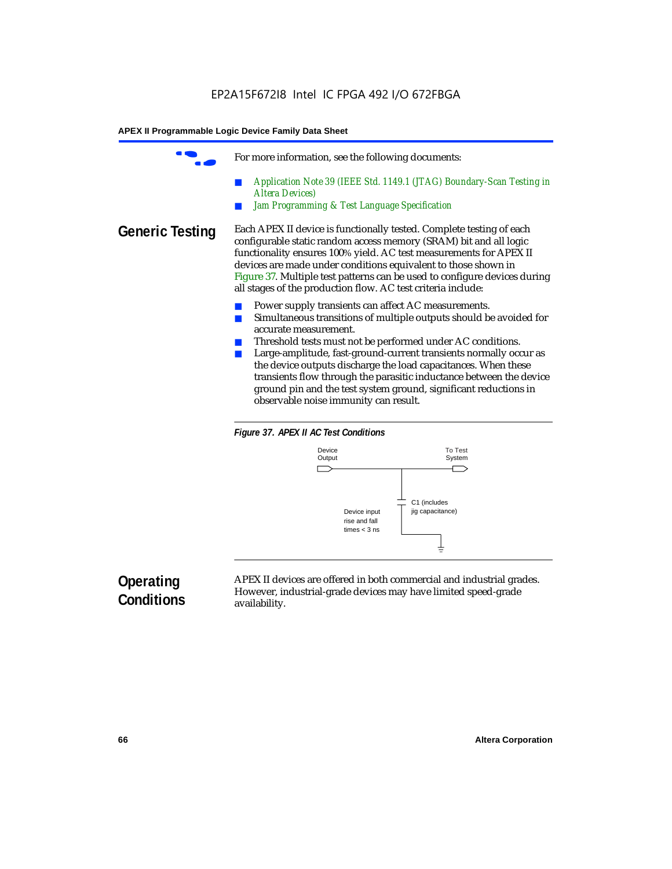|                        | For more information, see the following documents:                                                                                                                                                                                                                                                                                                                                                                                                                                                                                          |  |  |
|------------------------|---------------------------------------------------------------------------------------------------------------------------------------------------------------------------------------------------------------------------------------------------------------------------------------------------------------------------------------------------------------------------------------------------------------------------------------------------------------------------------------------------------------------------------------------|--|--|
|                        | Application Note 39 (IEEE Std. 1149.1 (JTAG) Boundary-Scan Testing in<br><b>Altera Devices</b> )<br>Jam Programming & Test Language Specification                                                                                                                                                                                                                                                                                                                                                                                           |  |  |
| <b>Generic Testing</b> | Each APEX II device is functionally tested. Complete testing of each<br>configurable static random access memory (SRAM) bit and all logic<br>functionality ensures 100% yield. AC test measurements for APEX II<br>devices are made under conditions equivalent to those shown in<br>Figure 37. Multiple test patterns can be used to configure devices during<br>all stages of the production flow. AC test criteria include:                                                                                                              |  |  |
|                        | Power supply transients can affect AC measurements.<br>Simultaneous transitions of multiple outputs should be avoided for<br>accurate measurement.<br>Threshold tests must not be performed under AC conditions.<br>Large-amplitude, fast-ground-current transients normally occur as<br>the device outputs discharge the load capacitances. When these<br>transients flow through the parasitic inductance between the device<br>ground pin and the test system ground, significant reductions in<br>observable noise immunity can result. |  |  |





# **Operating Conditions**

APEX II devices are offered in both commercial and industrial grades. However, industrial-grade devices may have limited speed-grade availability.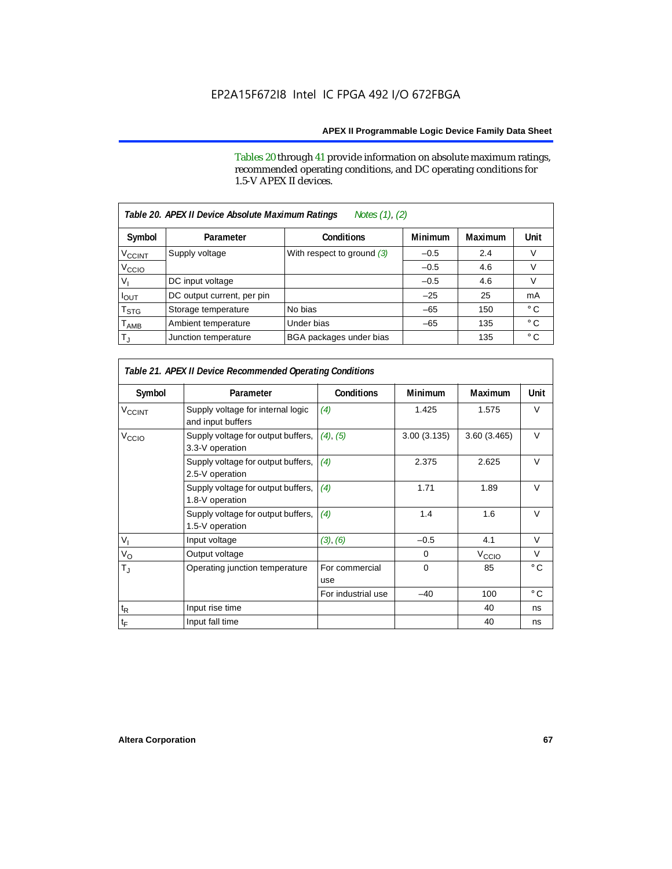Tables 20 through 41 provide information on absolute maximum ratings, recommended operating conditions, and DC operating conditions for 1.5-V APEX II devices.

| Notes (1), (2)<br>Table 20. APEX II Device Absolute Maximum Ratings |                            |                              |                |                |              |  |  |
|---------------------------------------------------------------------|----------------------------|------------------------------|----------------|----------------|--------------|--|--|
| Symbol                                                              | Parameter                  | <b>Conditions</b>            | <b>Minimum</b> | <b>Maximum</b> | Unit         |  |  |
| $V_{\text{CCINT}}$                                                  | Supply voltage             | With respect to ground $(3)$ | $-0.5$         | 2.4            | V            |  |  |
| V <sub>CCIO</sub>                                                   |                            |                              | $-0.5$         | 4.6            | V            |  |  |
| v,                                                                  | DC input voltage           |                              | $-0.5$         | 4.6            | V            |  |  |
| <b>POUT</b>                                                         | DC output current, per pin |                              | $-25$          | 25             | mA           |  |  |
| T <sub>STG</sub>                                                    | Storage temperature        | No bias                      | $-65$          | 150            | $^{\circ}$ C |  |  |
| $\mathsf{T}_{\mathsf{AMB}}$                                         | Ambient temperature        | Under bias                   | $-65$          | 135            | $^{\circ}$ C |  |  |
| $T_{\rm J}$                                                         | Junction temperature       | BGA packages under bias      |                | 135            | $^{\circ}$ C |  |  |

| Table 21. APEX II Device Recommended Operating Conditions |                                                        |                       |                |                   |              |  |
|-----------------------------------------------------------|--------------------------------------------------------|-----------------------|----------------|-------------------|--------------|--|
| Symbol                                                    | Parameter                                              | <b>Conditions</b>     | <b>Minimum</b> | <b>Maximum</b>    | Unit         |  |
| <b>V<sub>CCINT</sub></b>                                  | Supply voltage for internal logic<br>and input buffers | (4)                   | 1.425          | 1.575             | $\vee$       |  |
| V <sub>CCIO</sub>                                         | Supply voltage for output buffers,<br>3.3-V operation  | (4), (5)              | 3.00(3.135)    | 3.60(3.465)       | $\vee$       |  |
|                                                           | Supply voltage for output buffers,<br>2.5-V operation  | (4)                   | 2.375          | 2.625             | $\vee$       |  |
|                                                           | Supply voltage for output buffers,<br>1.8-V operation  | (4)                   | 1.71           | 1.89              | $\vee$       |  |
|                                                           | Supply voltage for output buffers,<br>1.5-V operation  | (4)                   | 1.4            | 1.6               | $\vee$       |  |
| $V_{1}$                                                   | Input voltage                                          | (3), (6)              | $-0.5$         | 4.1               | V            |  |
| $V_{\rm O}$                                               | Output voltage                                         |                       | $\Omega$       | V <sub>CCIO</sub> | $\vee$       |  |
| $T_{\rm J}$                                               | Operating junction temperature                         | For commercial<br>use | $\Omega$       | 85                | $^{\circ}$ C |  |
|                                                           |                                                        | For industrial use    | $-40$          | 100               | $^{\circ}$ C |  |
| $t_{\mathsf{R}}$                                          | Input rise time                                        |                       |                | 40                | ns           |  |
| $t_{\mathsf{F}}$                                          | Input fall time                                        |                       |                | 40                | ns           |  |

Г

٦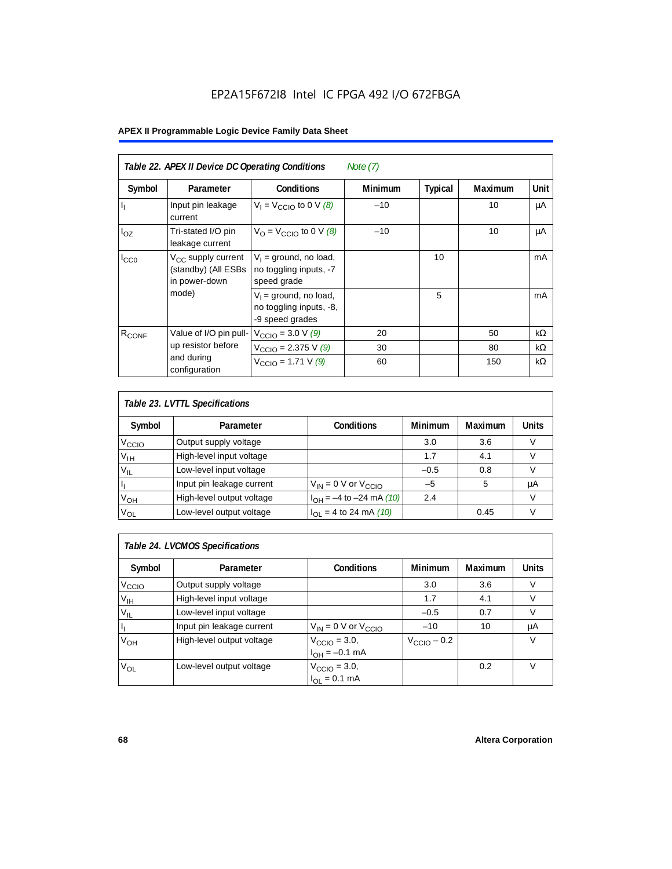# EP2A15F672I8 Intel IC FPGA 492 I/O 672FBGA

# **APEX II Programmable Logic Device Family Data Sheet**

| Table 22. APEX II Device DC Operating Conditions<br>Note $(7)$ |                                                                        |                                                                        |                |                |                |             |
|----------------------------------------------------------------|------------------------------------------------------------------------|------------------------------------------------------------------------|----------------|----------------|----------------|-------------|
| Symbol                                                         | Parameter                                                              | <b>Conditions</b>                                                      | <b>Minimum</b> | <b>Typical</b> | <b>Maximum</b> | <b>Unit</b> |
| -li                                                            | Input pin leakage<br>current                                           | $V_1 = V_{CCD}$ to 0 V (8)                                             | $-10$          |                | 10             | μA          |
| $I_{OZ}$                                                       | Tri-stated I/O pin<br>leakage current                                  | $V_{\Omega}$ = V <sub>CCIO</sub> to 0 V (8)                            | $-10$          |                | 10             | μA          |
| $I_{CC0}$                                                      | V <sub>CC</sub> supply current<br>(standby) (All ESBs<br>in power-down | $V_1$ = ground, no load,<br>no toggling inputs, -7<br>speed grade      |                | 10             |                | mA          |
|                                                                | mode)                                                                  | $V_1$ = ground, no load,<br>no toggling inputs, -8,<br>-9 speed grades |                | 5              |                | mA          |
| $R_{CONF}$                                                     | Value of I/O pin pull-                                                 | $V_{\text{CCIO}} = 3.0 \text{ V } (9)$                                 | 20             |                | 50             | $k\Omega$   |
|                                                                | up resistor before                                                     | $V_{\text{CCIO}} = 2.375 \text{ V} (9)$                                | 30             |                | 80             | $k\Omega$   |
|                                                                | and during<br>configuration                                            | $V_{\text{CCIO}} = 1.71 V (9)$                                         | 60             |                | 150            | $k\Omega$   |

| Table 23. LVTTL Specifications |                           |                                |         |         |              |  |
|--------------------------------|---------------------------|--------------------------------|---------|---------|--------------|--|
| Symbol                         | Parameter                 | <b>Conditions</b>              | Minimum | Maximum | <b>Units</b> |  |
| V <sub>CCIO</sub>              | Output supply voltage     |                                | 3.0     | 3.6     |              |  |
| $V_{IH}$                       | High-level input voltage  |                                | 1.7     | 4.1     |              |  |
| $V_{IL}$                       | Low-level input voltage   |                                | $-0.5$  | 0.8     |              |  |
| H                              | Input pin leakage current | $V_{IN}$ = 0 V or $V_{CCIO}$   | $-5$    | 5       | μA           |  |
| $V_{OH}$                       | High-level output voltage | $I_{OH} = -4$ to $-24$ mA (10) | 2.4     |         | V            |  |
| $V_{OL}$                       | Low-level output voltage  | $I_{OL}$ = 4 to 24 mA (10)     |         | 0.45    |              |  |

| Table 24. LVCMOS Specifications |                           |                                                               |                         |                |        |  |  |
|---------------------------------|---------------------------|---------------------------------------------------------------|-------------------------|----------------|--------|--|--|
| Symbol                          | Parameter                 | <b>Conditions</b>                                             | Minimum                 | <b>Maximum</b> | Units  |  |  |
| V <sub>CCIO</sub>               | Output supply voltage     |                                                               | 3.0                     | 3.6            | v      |  |  |
| $V_{\text{IH}}$                 | High-level input voltage  |                                                               | 1.7                     | 4.1            | $\vee$ |  |  |
| $V_{IL}$                        | Low-level input voltage   |                                                               | $-0.5$                  | 0.7            | V      |  |  |
| H,                              | Input pin leakage current | $V_{IN}$ = 0 V or $V_{CCIO}$                                  | $-10$                   | 10             | μA     |  |  |
| $V_{OH}$                        | High-level output voltage | $V_{\text{CCIO}} = 3.0,$<br>$I_{\text{OH}} = -0.1 \text{ mA}$ | $V_{\text{CCIO}} - 0.2$ |                | v      |  |  |
| $V_{OL}$                        | Low-level output voltage  | $V_{\text{CCIO}} = 3.0,$<br>$I_{OL} = 0.1$ mA                 |                         | 0.2            | V      |  |  |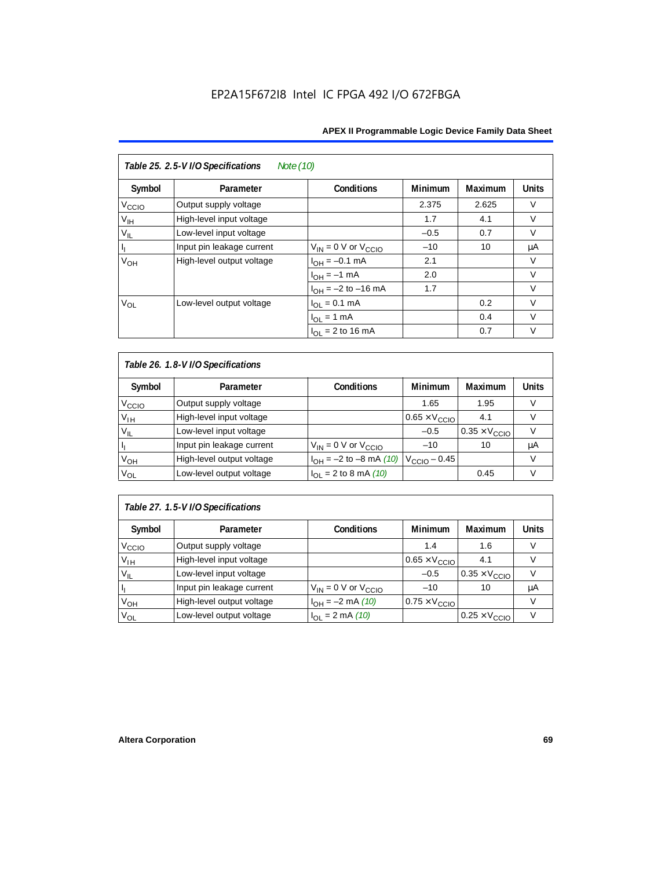| Table 25. 2.5-V I/O Specifications<br>Note (10) |                           |                              |                |         |              |  |  |
|-------------------------------------------------|---------------------------|------------------------------|----------------|---------|--------------|--|--|
| Symbol                                          | Parameter                 | Conditions                   | <b>Minimum</b> | Maximum | <b>Units</b> |  |  |
| $V_{\text{CC}10}$                               | Output supply voltage     |                              | 2.375          | 2.625   | $\vee$       |  |  |
| $V_{\text{IH}}$                                 | High-level input voltage  |                              | 1.7            | 4.1     | $\vee$       |  |  |
| $V_{IL}$                                        | Low-level input voltage   |                              | $-0.5$         | 0.7     | $\vee$       |  |  |
| $\vert \, \vert_1$                              | Input pin leakage current | $V_{IN} = 0$ V or $V_{CCIO}$ | $-10$          | 10      | μA           |  |  |
| V <sub>OH</sub>                                 | High-level output voltage | $I_{OH} = -0.1$ mA           | 2.1            |         | V            |  |  |
|                                                 |                           | $I_{OH} = -1$ mA             | 2.0            |         | $\vee$       |  |  |
|                                                 |                           | $I_{OH} = -2$ to $-16$ mA    | 1.7            |         | $\vee$       |  |  |
| $V_{OL}$                                        | Low-level output voltage  | $I_{OL} = 0.1$ mA            |                | 0.2     | $\vee$       |  |  |
|                                                 |                           | $I_{OL} = 1$ mA              |                | 0.4     | $\vee$       |  |  |
|                                                 |                           | $I_{\Omega I}$ = 2 to 16 mA  |                | 0.7     | v            |  |  |

| Table 26. 1.8-V I/O Specifications |                           |                                                 |                               |                               |              |  |  |
|------------------------------------|---------------------------|-------------------------------------------------|-------------------------------|-------------------------------|--------------|--|--|
| Symbol                             | Parameter                 | <b>Conditions</b>                               | <b>Minimum</b>                | Maximum                       | <b>Units</b> |  |  |
| V <sub>ccio</sub>                  | Output supply voltage     |                                                 | 1.65                          | 1.95                          | V            |  |  |
| $V_{IH}$                           | High-level input voltage  |                                                 | $0.65 \times V_{\text{CCIO}}$ | 4.1                           | V            |  |  |
| $V_{IL}$                           | Low-level input voltage   |                                                 | $-0.5$                        | $0.35 \times V_{\text{CCIO}}$ |              |  |  |
| H                                  | Input pin leakage current | $V_{IN} = 0$ V or $V_{CCIO}$                    | $-10$                         | 10                            | μA           |  |  |
| $V_{OH}$                           | High-level output voltage | $I_{OH} = -2$ to $-8$ mA (10) $V_{CCIO} - 0.45$ |                               |                               | V            |  |  |
| $V_{OL}$                           | Low-level output voltage  | $I_{OL}$ = 2 to 8 mA (10)                       |                               | 0.45                          | V            |  |  |

# *Table 27. 1.5-V I/O Specifications*

| Symbol            | Parameter                 | <b>Conditions</b>            | <b>Minimum</b>                | <b>Maximum</b>                | <b>Units</b> |
|-------------------|---------------------------|------------------------------|-------------------------------|-------------------------------|--------------|
| V <sub>CCIO</sub> | Output supply voltage     |                              | 1.4                           | 1.6                           |              |
| $V_{\text{IH}}$   | High-level input voltage  |                              | $0.65 \times V_{\text{CCIO}}$ | 4.1                           |              |
| $V_{IL}$          | Low-level input voltage   |                              | $-0.5$                        | $0.35 \times V_{\text{CCIO}}$ |              |
| П                 | Input pin leakage current | $V_{IN} = 0$ V or $V_{CCIO}$ | $-10$                         | 10                            | μA           |
| V <sub>OH</sub>   | High-level output voltage | $I_{OH} = -2$ mA (10)        | $0.75 \times V_{\text{CCIO}}$ |                               |              |
| $V_{OL}$          | Low-level output voltage  | $I_{OL} = 2 \text{ mA} (10)$ |                               | $0.25 \times V_{\text{CCIO}}$ |              |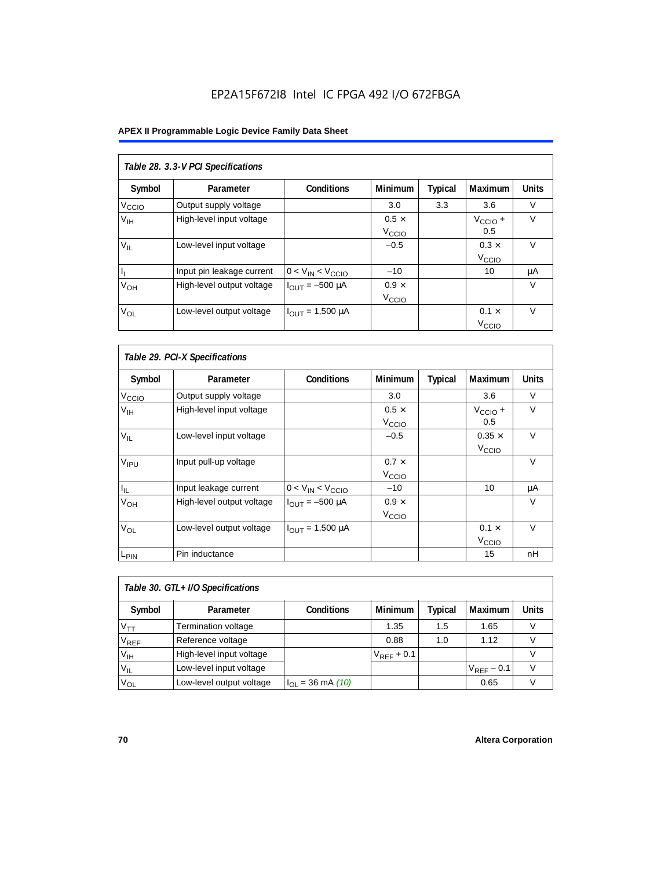# EP2A15F672I8 Intel IC FPGA 492 I/O 672FBGA

# **APEX II Programmable Logic Device Family Data Sheet**

| Table 28. 3.3-V PCI Specifications |                           |                         |                                   |         |                                   |              |  |
|------------------------------------|---------------------------|-------------------------|-----------------------------------|---------|-----------------------------------|--------------|--|
| Symbol                             | Parameter                 | <b>Conditions</b>       | <b>Minimum</b>                    | Typical | Maximum                           | <b>Units</b> |  |
| V <sub>CCIO</sub>                  | Output supply voltage     |                         | 3.0                               | 3.3     | 3.6                               | $\vee$       |  |
| V <sub>IH</sub>                    | High-level input voltage  |                         | $0.5 \times$<br>V <sub>CCIO</sub> |         | $V_{\text{CCIO}} +$<br>0.5        | $\vee$       |  |
| $V_{IL}$                           | Low-level input voltage   |                         | $-0.5$                            |         | $0.3 \times$<br>V <sub>CCIO</sub> | $\vee$       |  |
| h,                                 | Input pin leakage current | $0 < V_{IN} < V_{CCIO}$ | $-10$                             |         | 10                                | μA           |  |
| $V_{OH}$                           | High-level output voltage | $I_{OUIT} = -500 \mu A$ | $0.9 \times$<br>V <sub>CCIO</sub> |         |                                   | $\vee$       |  |
| $V_{OL}$                           | Low-level output voltage  | $I_{OUT} = 1,500 \mu A$ |                                   |         | $0.1 \times$<br>V <sub>ccio</sub> | $\vee$       |  |

| Table 29. PCI-X Specifications |                           |                                |                                   |                |                                    |              |  |
|--------------------------------|---------------------------|--------------------------------|-----------------------------------|----------------|------------------------------------|--------------|--|
| Symbol                         | Parameter                 | <b>Conditions</b>              | <b>Minimum</b>                    | <b>Typical</b> | Maximum                            | <b>Units</b> |  |
| $V_{\text{CCIO}}$              | Output supply voltage     |                                | 3.0                               |                | 3.6                                | V            |  |
| $V_{\text{IH}}$                | High-level input voltage  |                                | $0.5 \times$<br>V <sub>CCIO</sub> |                | $V_{\text{CCIO}} +$<br>0.5         | $\vee$       |  |
| $V_{IL}$                       | Low-level input voltage   |                                | $-0.5$                            |                | $0.35 \times$<br>V <sub>CCIO</sub> | $\vee$       |  |
| V <sub>IPU</sub>               | Input pull-up voltage     |                                | $0.7 \times$<br>V <sub>CCIO</sub> |                |                                    | $\vee$       |  |
| ΙL.                            | Input leakage current     | $0 < V_{IN} < V_{CCIO}$        | $-10$                             |                | 10                                 | μA           |  |
| V <sub>OH</sub>                | High-level output voltage | $I_{\text{OUT}} = -500 \mu A$  | $0.9 \times$<br>V <sub>CCIO</sub> |                |                                    | $\vee$       |  |
| $V_{OL}$                       | Low-level output voltage  | $I_{\text{OUT}} = 1,500 \mu A$ |                                   |                | $0.1 \times$<br>V <sub>CCIO</sub>  | $\vee$       |  |
| L <sub>PIN</sub>               | Pin inductance            |                                |                                   |                | 15                                 | nH           |  |

| Table 30. GTL+ I/O Specifications |                            |                       |                 |         |                 |              |
|-----------------------------------|----------------------------|-----------------------|-----------------|---------|-----------------|--------------|
| Symbol                            | Parameter                  | <b>Conditions</b>     | <b>Minimum</b>  | Typical | <b>Maximum</b>  | <b>Units</b> |
| $V_{TT}$                          | <b>Termination voltage</b> |                       | 1.35            | 1.5     | 1.65            |              |
| $V_{REF}$                         | Reference voltage          |                       | 0.88            | 1.0     | 1.12            |              |
| V <sub>IH</sub>                   | High-level input voltage   |                       | $V_{REF}$ + 0.1 |         |                 |              |
| $V_{IL}$                          | Low-level input voltage    |                       |                 |         | $V_{RFF}$ – 0.1 |              |
| $V_{OL}$                          | Low-level output voltage   | $I_{OL}$ = 36 mA (10) |                 |         | 0.65            |              |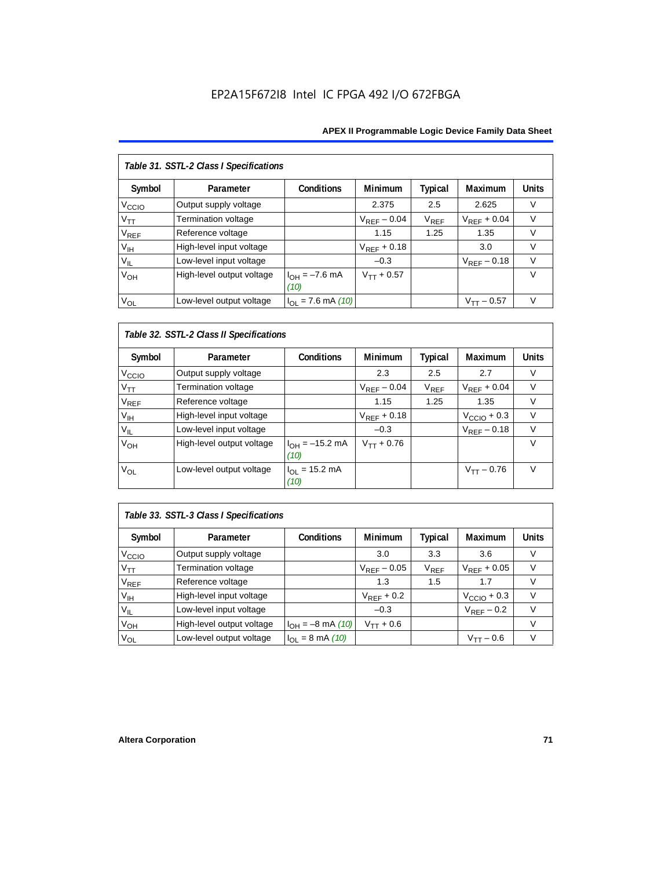# EP2A15F672I8 Intel IC FPGA 492 I/O 672FBGA

#### **APEX II Programmable Logic Device Family Data Sheet**

| Table 31. SSTL-2 Class I Specifications |                           |                            |                  |                |                  |              |  |
|-----------------------------------------|---------------------------|----------------------------|------------------|----------------|------------------|--------------|--|
| Symbol                                  | Parameter                 | <b>Conditions</b>          | <b>Minimum</b>   | <b>Typical</b> | Maximum          | <b>Units</b> |  |
| V <sub>CCIO</sub>                       | Output supply voltage     |                            | 2.375            | 2.5            | 2.625            | $\vee$       |  |
| $V_{TT}$                                | Termination voltage       |                            | $V_{RFF}$ – 0.04 | $V_{REF}$      | $V_{RFF}$ + 0.04 | $\vee$       |  |
| <b>V<sub>REF</sub></b>                  | Reference voltage         |                            | 1.15             | 1.25           | 1.35             | V            |  |
| V <sub>IH</sub>                         | High-level input voltage  |                            | $V_{REF}$ + 0.18 |                | 3.0              | $\vee$       |  |
| $V_{IL}$                                | Low-level input voltage   |                            | $-0.3$           |                | $V_{RFF}$ – 0.18 | $\vee$       |  |
| V <sub>OH</sub>                         | High-level output voltage | $I_{OH} = -7.6$ mA<br>(10) | $V_{TT} + 0.57$  |                |                  | $\vee$       |  |
| $V_{OL}$                                | Low-level output voltage  | $I_{OL}$ = 7.6 mA (10)     |                  |                | $V_{TT}$ – 0.57  | $\vee$       |  |

# *Table 32. SSTL-2 Class II Specifications*

| Symbol            | Parameter                 | <b>Conditions</b>           | <b>Minimum</b>   | Typical   | <b>Maximum</b>          | <b>Units</b> |
|-------------------|---------------------------|-----------------------------|------------------|-----------|-------------------------|--------------|
| V <sub>CCIO</sub> | Output supply voltage     |                             | 2.3              | 2.5       | 2.7                     | v            |
| $\rm V_{TT}$      | Termination voltage       |                             | $V_{REF} - 0.04$ | $V_{REF}$ | $V_{RFF}$ + 0.04        | $\vee$       |
| $V_{REF}$         | Reference voltage         |                             | 1.15             | 1.25      | 1.35                    | $\vee$       |
| V <sub>IH</sub>   | High-level input voltage  |                             | $V_{REF}$ + 0.18 |           | $V_{\text{CCIO}} + 0.3$ | $\vee$       |
| $V_{IL}$          | Low-level input voltage   |                             | $-0.3$           |           | $V_{REF} - 0.18$        | $\vee$       |
| V <sub>OH</sub>   | High-level output voltage | $I_{OH} = -15.2$ mA<br>(10) | $V_{TT} + 0.76$  |           |                         | $\vee$       |
| V <sub>OL</sub>   | Low-level output voltage  | $I_{OL}$ = 15.2 mA<br>(10)  |                  |           | $V_{TT} - 0.76$         | $\vee$       |

# *Table 33. SSTL-3 Class I Specifications*

| Symbol            | Parameter                 | <b>Conditions</b>            | <b>Minimum</b>   | <b>Typical</b>              | Maximum                 | <b>Units</b> |
|-------------------|---------------------------|------------------------------|------------------|-----------------------------|-------------------------|--------------|
| V <sub>CCIO</sub> | Output supply voltage     |                              | 3.0              | 3.3                         | 3.6                     |              |
| $V_{TT}$          | Termination voltage       |                              | $V_{REF}$ – 0.05 | $\mathsf{V}_{\mathsf{REF}}$ | $V_{RFF}$ + 0.05        | V            |
| $V_{REF}$         | Reference voltage         |                              | 1.3              | 1.5                         | 1.7                     |              |
| $V_{\text{IH}}$   | High-level input voltage  |                              | $V_{RFF}$ + 0.2  |                             | $V_{\text{CCIO}} + 0.3$ |              |
| $V_{IL}$          | Low-level input voltage   |                              | $-0.3$           |                             | $V_{REF}$ – 0.2         |              |
| V <sub>OH</sub>   | High-level output voltage | $I_{OH} = -8$ mA (10)        | $V_{TT} + 0.6$   |                             |                         |              |
| $V_{OL}$          | Low-level output voltage  | $I_{OL} = 8 \text{ mA} (10)$ |                  |                             | $V_{TT}$ – 0.6          |              |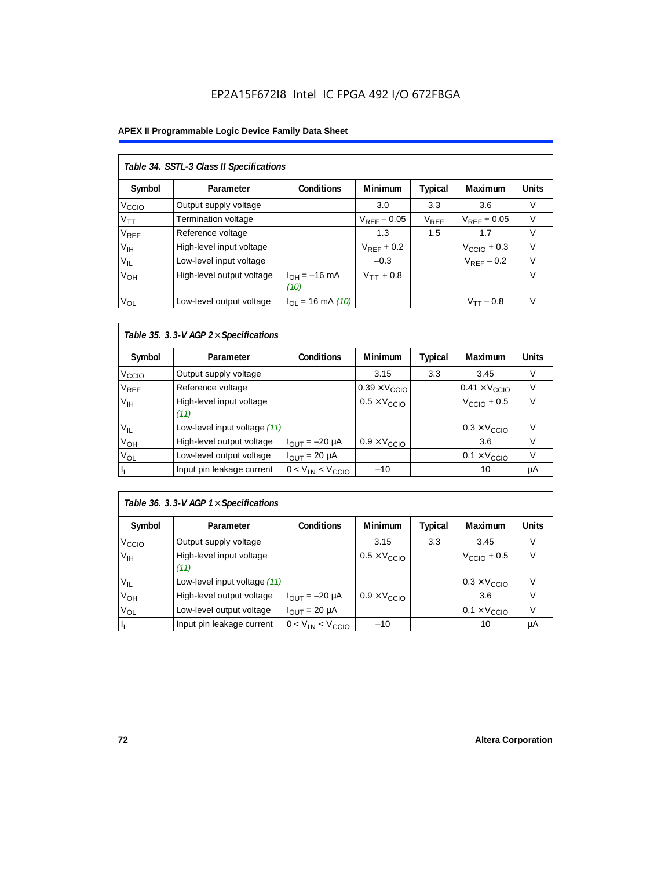#### **APEX II Programmable Logic Device Family Data Sheet**

| Table 34. SSTL-3 Class II Specifications |                           |                           |                  |           |                         |              |  |  |  |
|------------------------------------------|---------------------------|---------------------------|------------------|-----------|-------------------------|--------------|--|--|--|
| Symbol                                   | Parameter                 | <b>Conditions</b>         | <b>Minimum</b>   | Typical   | Maximum                 | <b>Units</b> |  |  |  |
| V <sub>CCIO</sub>                        | Output supply voltage     |                           | 3.0              | 3.3       | 3.6                     | V            |  |  |  |
| $V_{\mathsf{TT}}$                        | Termination voltage       |                           | $V_{RFF}$ – 0.05 | $V_{REF}$ | $V_{RFF}$ + 0.05        | V            |  |  |  |
| VREF                                     | Reference voltage         |                           | 1.3              | 1.5       | 1.7                     | $\vee$       |  |  |  |
| V <sub>IH</sub>                          | High-level input voltage  |                           | $V_{RFF}$ + 0.2  |           | $V_{\text{CCIO}} + 0.3$ | $\vee$       |  |  |  |
| $V_{IL}$                                 | Low-level input voltage   |                           | $-0.3$           |           | $V_{RFF}$ – 0.2         | $\vee$       |  |  |  |
| V <sub>OH</sub>                          | High-level output voltage | $I_{OH} = -16$ mA<br>(10) | $V_{TT} + 0.8$   |           |                         | $\vee$       |  |  |  |
| $V_{OL}$                                 | Low-level output voltage  | $I_{OL}$ = 16 mA (10)     |                  |           | $V_{TT} - 0.8$          | $\vee$       |  |  |  |

### *Table 35. 3.3-V AGP 2*× *Specifications*

| Symbol            | Parameter                        | <b>Conditions</b>       | <b>Minimum</b>                | Typical | <b>Maximum</b>                | <b>Units</b> |
|-------------------|----------------------------------|-------------------------|-------------------------------|---------|-------------------------------|--------------|
| V <sub>CCIO</sub> | Output supply voltage            |                         | 3.15                          | 3.3     | 3.45                          | V            |
| $\rm V_{REF}$     | Reference voltage                |                         | $0.39 \times V_{\text{CCIO}}$ |         | $0.41 \times V_{\text{CCIO}}$ |              |
| V <sub>IH</sub>   | High-level input voltage<br>(11) |                         | $0.5 \times V_{\text{CCIO}}$  |         | $V_{\text{CCIO}} + 0.5$       | V            |
| $V_{IL}$          | Low-level input voltage (11)     |                         |                               |         | $0.3 \times V_{\text{CCIO}}$  |              |
| V <sub>OH</sub>   | High-level output voltage        | $I_{OUT} = -20 \mu A$   | $0.9 \times V_{\text{CCIO}}$  |         | 3.6                           | V            |
| V <sub>OL</sub>   | Low-level output voltage         | $I_{OUT}$ = 20 µA       |                               |         | $0.1 \times V_{\text{CCIO}}$  |              |
|                   | Input pin leakage current        | $0 < V_{IN} < V_{CCIO}$ | $-10$                         |         | 10                            | μA           |

### *Table 36. 3.3-V AGP 1*× *Specifications*

| Symbol            | Parameter                        | <b>Conditions</b>       | Minimum                      | <b>Typical</b> | Maximum                      | Units |
|-------------------|----------------------------------|-------------------------|------------------------------|----------------|------------------------------|-------|
| V <sub>CCIO</sub> | Output supply voltage            |                         | 3.15                         | 3.3            | 3.45                         | V     |
| V <sub>IH</sub>   | High-level input voltage<br>(11) |                         | $0.5 \times V_{\text{CCIO}}$ |                | $VCCIO + 0.5$                | v     |
| $V_{IL}$          | Low-level input voltage (11)     |                         |                              |                | $0.3 \times V_{\text{CCIO}}$ |       |
| V <sub>ОН</sub>   | High-level output voltage        | $I_{OUT} = -20 \mu A$   | $0.9 \times V_{\text{CCIO}}$ |                | 3.6                          |       |
| $V_{OL}$          | Low-level output voltage         | $I_{OUT}$ = 20 µA       |                              |                | $0.1 \times V_{\text{CCIO}}$ |       |
|                   | Input pin leakage current        | $0 < V_{IN} < V_{CCIO}$ | $-10$                        |                | 10                           | μA    |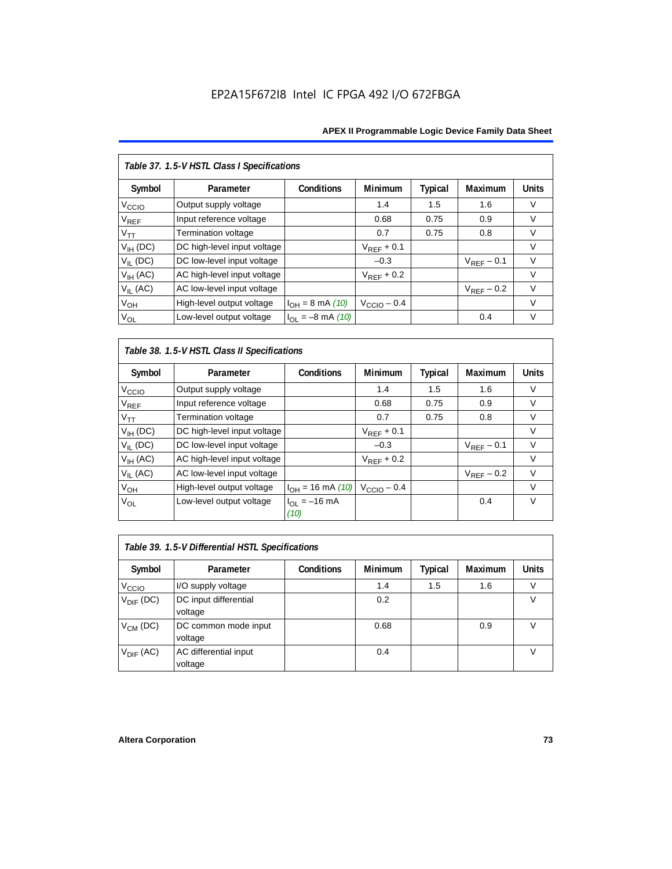| Table 37. 1.5-V HSTL Class I Specifications |                             |                       |                         |                |                        |              |  |  |  |
|---------------------------------------------|-----------------------------|-----------------------|-------------------------|----------------|------------------------|--------------|--|--|--|
| Symbol                                      | Parameter                   | Conditions            | Minimum                 | <b>Typical</b> | Maximum                | <b>Units</b> |  |  |  |
| V <sub>CCIO</sub>                           | Output supply voltage       |                       | 1.4                     | 1.5            | 1.6                    | $\vee$       |  |  |  |
| $\mathsf{V}_{\mathsf{REF}}$                 | Input reference voltage     |                       | 0.68                    | 0.75           | 0.9                    | V            |  |  |  |
| $V_{TT}$                                    | Termination voltage         |                       | 0.7                     | 0.75           | 0.8                    | $\vee$       |  |  |  |
| $V_{IH}$ (DC)                               | DC high-level input voltage |                       | $V_{RFF}$ + 0.1         |                |                        | $\vee$       |  |  |  |
| $V_{II}$ (DC)                               | DC low-level input voltage  |                       | $-0.3$                  |                | $V_{\text{REF}}$ – 0.1 | $\vee$       |  |  |  |
| $V_{IH}$ (AC)                               | AC high-level input voltage |                       | $V_{RFF}$ + 0.2         |                |                        | $\vee$       |  |  |  |
| $V_{II}$ (AC)                               | AC low-level input voltage  |                       |                         |                | $V_{REF}$ – 0.2        | $\vee$       |  |  |  |
| V <sub>OH</sub>                             | High-level output voltage   | $I_{OH} = 8$ mA (10)  | $V_{\text{CCIO}} - 0.4$ |                |                        | V            |  |  |  |
| $V_{OL}$                                    | Low-level output voltage    | $I_{OL} = -8$ mA (10) |                         |                | 0.4                    | V            |  |  |  |

*Table 38. 1.5-V HSTL Class II Specifications*

| Symbol            | Parameter                   | Conditions                            | <b>Minimum</b>          | Typical | Maximum         | <b>Units</b> |
|-------------------|-----------------------------|---------------------------------------|-------------------------|---------|-----------------|--------------|
| V <sub>CCIO</sub> | Output supply voltage       |                                       | 1.4                     | 1.5     | 1.6             | V            |
| $V_{REF}$         | Input reference voltage     |                                       | 0.68                    | 0.75    | 0.9             | $\vee$       |
| $V_{TT}$          | Termination voltage         |                                       | 0.7                     | 0.75    | 0.8             | $\vee$       |
| $V_{IH}$ (DC)     | DC high-level input voltage |                                       | $V_{REF}$ + 0.1         |         |                 | V            |
| $V_{IL}$ (DC)     | DC low-level input voltage  |                                       | $-0.3$                  |         | $V_{RFF}$ – 0.1 | $\vee$       |
| $V_{IH}$ (AC)     | AC high-level input voltage |                                       | $V_{RFF}$ + 0.2         |         |                 | V            |
| $V_{IL}$ (AC)     | AC low-level input voltage  |                                       |                         |         | $V_{RFF}$ – 0.2 | $\vee$       |
| V <sub>OH</sub>   | High-level output voltage   | $I_{OH} = 16$ mA (10)                 | $V_{\text{CCIO}} - 0.4$ |         |                 | V            |
| $V_{OL}$          | Low-level output voltage    | $I_{\Omega} = -16 \text{ mA}$<br>(10) |                         |         | 0.4             | $\vee$       |

| Table 39. 1.5-V Differential HSTL Specifications |                                  |                   |                |         |                |              |  |  |  |
|--------------------------------------------------|----------------------------------|-------------------|----------------|---------|----------------|--------------|--|--|--|
| Symbol                                           | Parameter                        | <b>Conditions</b> | <b>Minimum</b> | Typical | <b>Maximum</b> | <b>Units</b> |  |  |  |
| V <sub>CCIO</sub>                                | I/O supply voltage               |                   | 1.4            | 1.5     | 1.6            |              |  |  |  |
| $V_{\text{DIF}}$ (DC)                            | DC input differential<br>voltage |                   | 0.2            |         |                | V            |  |  |  |
| $V_{CM}$ (DC)                                    | DC common mode input<br>voltage  |                   | 0.68           |         | 0.9            |              |  |  |  |
| $V_{\text{DIF}}$ (AC)                            | AC differential input<br>voltage |                   | 0.4            |         |                |              |  |  |  |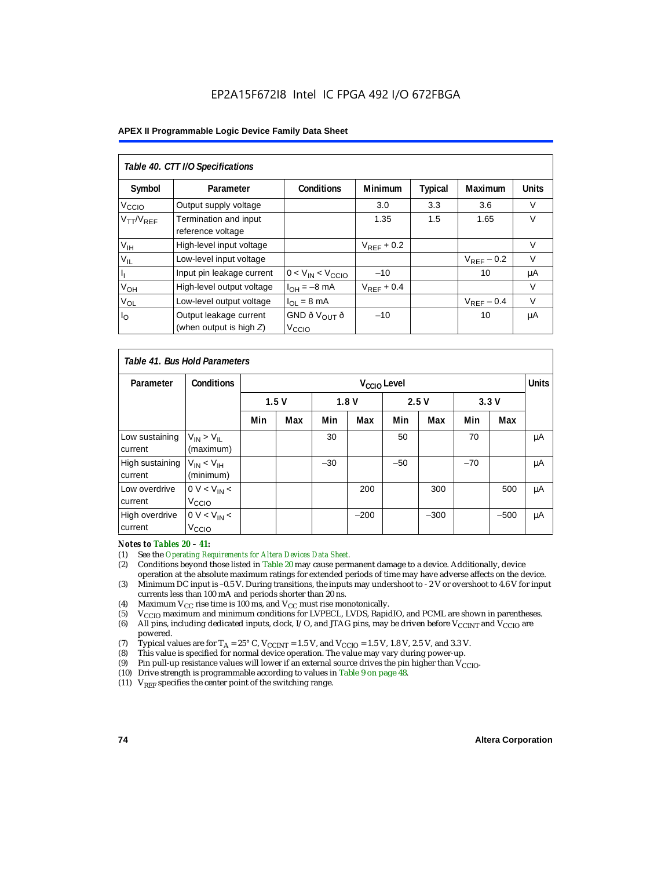#### **APEX II Programmable Logic Device Family Data Sheet**

| Table 40. CTT I/O Specifications |                                            |                           |                 |         |                 |              |  |  |  |
|----------------------------------|--------------------------------------------|---------------------------|-----------------|---------|-----------------|--------------|--|--|--|
| Symbol                           | Parameter                                  | <b>Conditions</b>         | <b>Minimum</b>  | Typical | Maximum         | <b>Units</b> |  |  |  |
| V <sub>CCIO</sub>                | Output supply voltage                      |                           | 3.0             | 3.3     | 3.6             | $\vee$       |  |  |  |
| $V_{TT}/V_{REF}$                 | Termination and input<br>reference voltage |                           | 1.35            | 1.5     | 1.65            | $\vee$       |  |  |  |
| V <sub>IH</sub>                  | High-level input voltage                   |                           | $V_{RFF}$ + 0.2 |         |                 | V            |  |  |  |
| $V_{IL}$                         | Low-level input voltage                    |                           |                 |         | $V_{RFF}$ – 0.2 | V            |  |  |  |
|                                  | Input pin leakage current                  | $0 < V_{IN} < V_{CCIO}$   | $-10$           |         | 10              | μA           |  |  |  |
| $V_{OH}$                         | High-level output voltage                  | $I_{OH} = -8$ mA          | $V_{REF}$ + 0.4 |         |                 | V            |  |  |  |
| $V_{OL}$                         | Low-level output voltage                   | $I_{OL} = 8 \text{ mA}$   |                 |         | $V_{REF}$ – 0.4 | $\vee$       |  |  |  |
| $I_{\rm O}$                      | Output leakage current                     | GND ð V $_{\text{OUT}}$ ð | $-10$           |         | 10              | μA           |  |  |  |
|                                  | (when output is high $Z$ )                 | V <sub>CCIO</sub>         |                 |         |                 |              |  |  |  |

|                            | Table 41, Bus Hold Parameters       |     |                         |       |        |       |        |       |              |    |
|----------------------------|-------------------------------------|-----|-------------------------|-------|--------|-------|--------|-------|--------------|----|
| Parameter                  | <b>Conditions</b>                   |     | V <sub>CCIO</sub> Level |       |        |       |        |       | <b>Units</b> |    |
|                            |                                     |     | 1.5V<br>1.8V            |       | 2.5V   |       | 3.3V   |       |              |    |
|                            |                                     | Min | Max                     | Min   | Max    | Min   | Max    | Min   | Max          |    |
| Low sustaining<br>current  | $V_{IN}$ > $V_{II}$<br>(maximum)    |     |                         | 30    |        | 50    |        | 70    |              | μA |
| High sustaining<br>current | $V_{IN}$ < $V_{IH}$<br>(minimum)    |     |                         | $-30$ |        | $-50$ |        | $-70$ |              | μA |
| Low overdrive<br>current   | $0 V < V_{IN}$<br>V <sub>CCIO</sub> |     |                         |       | 200    |       | 300    |       | 500          | μA |
| High overdrive<br>current  | $0 V < V_{IN}$<br>V <sub>CCIO</sub> |     |                         |       | $-200$ |       | $-300$ |       | $-500$       | μA |

# *Notes to Tables 20 – 41:*<br>(1) See the *Operating Res*

- (1) See the *Operating Requirements for Altera Devices Data Sheet.*
- (2) Conditions beyond those listed in Table 20 may cause permanent damage to a device. Additionally, device operation at the absolute maximum ratings for extended periods of time may have adverse affects on the device.
- (3) Minimum DC input is –0.5 V. During transitions, the inputs may undershoot to 2 V or overshoot to 4.6 V for input currents less than 100 mA and periods shorter than 20 ns.
- (4) Maximum  $V_{CC}$  rise time is 100 ms, and  $V_{CC}$  must rise monotonically.<br>(5)  $V_{CC}$  maximum and minimum conditions for LVPECL, LVDS, Rapic
- V<sub>CCIO</sub> maximum and minimum conditions for LVPECL, LVDS, RapidIO, and PCML are shown in parentheses.
- (6) All pins, including dedicated inputs, clock, I/O, and JTAG pins, may be driven before V<sub>CCINT</sub> and V<sub>CCIO</sub> are powered.
- (7) Typical values are for  $T_A = 25^\circ$  C,  $V_{\text{CCINT}} = 1.5$  V, and  $V_{\text{CCIO}} = 1.5$  V, 1.8 V, 2.5 V, and 3.3 V.<br>(8) This value is specified for normal device operation. The value may vary during power-up.
- This value is specified for normal device operation. The value may vary during power-up.
- (9) Pin pull-up resistance values will lower if an external source drives the pin higher than  $V_{\text{CCIO}}$ .
- (10) Drive strength is programmable according to values in Table 9 on page 48.
- (11)  $V_{REF}$  specifies the center point of the switching range.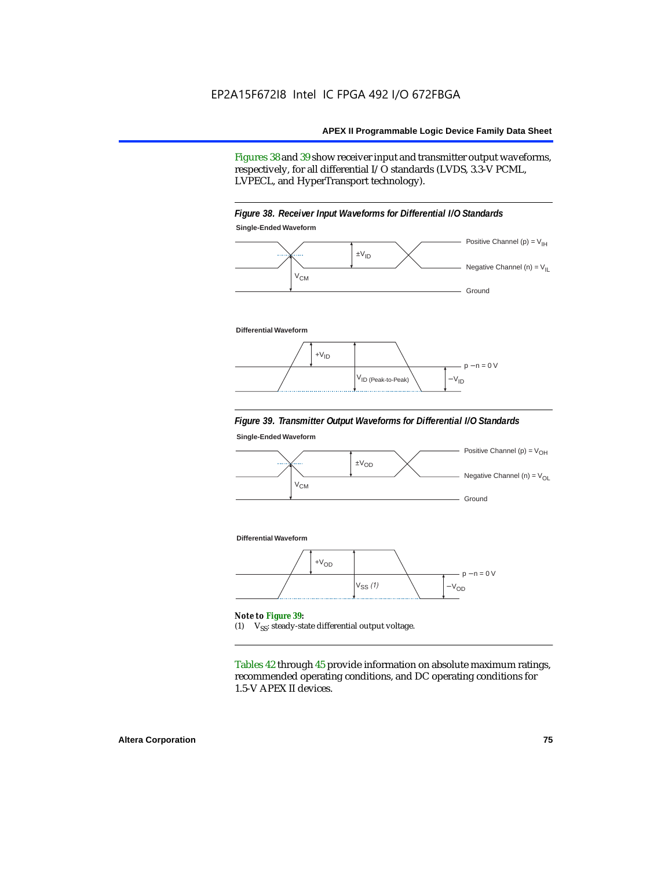Figures 38 and 39 show receiver input and transmitter output waveforms, respectively, for all differential I/O standards (LVDS, 3.3-V PCML, LVPECL, and HyperTransport technology).





#### **Differential Waveform**



#### *Figure 39. Transmitter Output Waveforms for Differential I/O Standards*

**Single-Ended Waveform**



(1)  $V_{SS}$ : steady-state differential output voltage.

Tables 42 through 45 provide information on absolute maximum ratings, recommended operating conditions, and DC operating conditions for 1.5-V APEX II devices.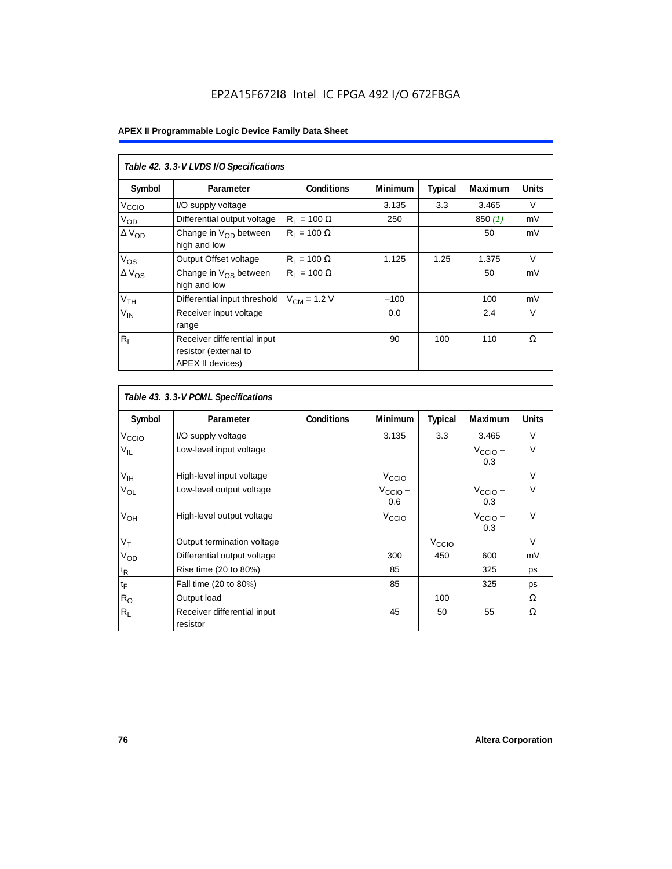|                   | Table 42. 3.3-V LVDS I/O Specifications                                  |                    |                |                |                |              |  |  |  |  |  |
|-------------------|--------------------------------------------------------------------------|--------------------|----------------|----------------|----------------|--------------|--|--|--|--|--|
| Symbol            | Parameter                                                                | <b>Conditions</b>  | <b>Minimum</b> | <b>Typical</b> | <b>Maximum</b> | <b>Units</b> |  |  |  |  |  |
| V <sub>CCIO</sub> | I/O supply voltage                                                       |                    | 3.135          | 3.3            | 3.465          | V            |  |  |  |  |  |
| V <sub>OD</sub>   | Differential output voltage                                              | $R_1 = 100 \Omega$ | 250            |                | 850(1)         | mV           |  |  |  |  |  |
| $\Delta V_{OD}$   | Change in $V_{OD}$ between<br>high and low                               | $R_1 = 100 \Omega$ |                |                | 50             | mV           |  |  |  |  |  |
| $V_{OS}$          | Output Offset voltage                                                    | $R_1 = 100 \Omega$ | 1.125          | 1.25           | 1.375          | $\vee$       |  |  |  |  |  |
| $\Delta V_{OS}$   | Change in $V_{OS}$ between<br>high and low                               | $R_1 = 100 \Omega$ |                |                | 50             | mV           |  |  |  |  |  |
| V <sub>TH</sub>   | Differential input threshold                                             | $V_{CM}$ = 1.2 V   | $-100$         |                | 100            | mV           |  |  |  |  |  |
| $V_{IN}$          | Receiver input voltage<br>range                                          |                    | 0.0            |                | 2.4            | $\vee$       |  |  |  |  |  |
| $R_{\rm L}$       | Receiver differential input<br>resistor (external to<br>APEX II devices) |                    | 90             | 100            | 110            | Ω            |  |  |  |  |  |

| Table 43. 3.3-V PCML Specifications |                                         |                   |                            |                   |                            |              |  |  |  |
|-------------------------------------|-----------------------------------------|-------------------|----------------------------|-------------------|----------------------------|--------------|--|--|--|
| Symbol                              | Parameter                               | <b>Conditions</b> | <b>Minimum</b>             | <b>Typical</b>    | <b>Maximum</b>             | <b>Units</b> |  |  |  |
| $V_{\text{CCIQ}}$                   | I/O supply voltage                      |                   | 3.135                      | 3.3               | 3.465                      | $\vee$       |  |  |  |
| $V_{IL}$                            | Low-level input voltage                 |                   |                            |                   | $V_{\text{CCIO}}$ –<br>0.3 | $\vee$       |  |  |  |
| $V_{\text{IH}}$                     | High-level input voltage                |                   | V <sub>CCIO</sub>          |                   |                            | $\vee$       |  |  |  |
| $V_{OL}$                            | Low-level output voltage                |                   | $V_{\text{CCIO}} -$<br>0.6 |                   | $V_{\text{CCIO}}$ –<br>0.3 | $\vee$       |  |  |  |
| V <sub>OH</sub>                     | High-level output voltage               |                   | V <sub>CCIO</sub>          |                   | $V_{\text{CCIO}}$ –<br>0.3 | $\vee$       |  |  |  |
| $V_T$                               | Output termination voltage              |                   |                            | V <sub>CCIO</sub> |                            | $\vee$       |  |  |  |
| $V_{OD}$                            | Differential output voltage             |                   | 300                        | 450               | 600                        | mV           |  |  |  |
| $t_{\mathsf{R}}$                    | Rise time (20 to 80%)                   |                   | 85                         |                   | 325                        | ps           |  |  |  |
| $\mathfrak{t}_{\mathsf{F}}$         | Fall time (20 to 80%)                   |                   | 85                         |                   | 325                        | ps           |  |  |  |
| $R_{\rm O}$                         | Output load                             |                   |                            | 100               |                            | Ω            |  |  |  |
| $R_L$                               | Receiver differential input<br>resistor |                   | 45                         | 50                | 55                         | Ω            |  |  |  |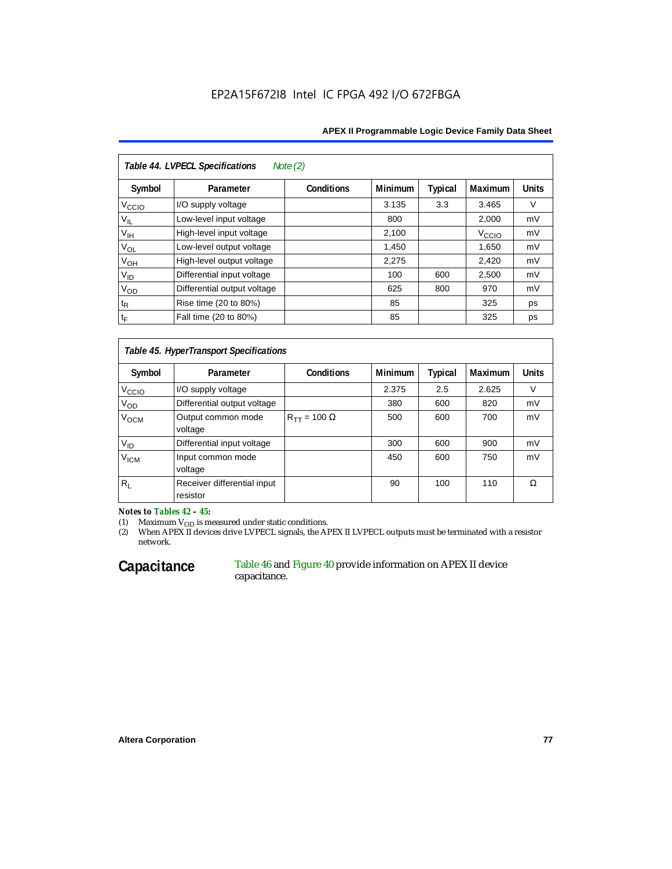#### **APEX II Programmable Logic Device Family Data Sheet**

| Table 44. LVPECL Specifications<br>Note $(2)$ |                             |                   |                |         |                   |              |  |  |  |
|-----------------------------------------------|-----------------------------|-------------------|----------------|---------|-------------------|--------------|--|--|--|
| Symbol                                        | Parameter                   | <b>Conditions</b> | <b>Minimum</b> | Typical | Maximum           | <b>Units</b> |  |  |  |
| V <sub>CCIO</sub>                             | I/O supply voltage          |                   | 3.135          | 3.3     | 3.465             | $\vee$       |  |  |  |
| $V_{IL}$                                      | Low-level input voltage     |                   | 800            |         | 2,000             | mV           |  |  |  |
| V <sub>IH</sub>                               | High-level input voltage    |                   | 2,100          |         | V <sub>CCIO</sub> | mV           |  |  |  |
| $V_{OL}$                                      | Low-level output voltage    |                   | 1,450          |         | 1,650             | mV           |  |  |  |
| $V_{OH}$                                      | High-level output voltage   |                   | 2,275          |         | 2,420             | mV           |  |  |  |
| $V_{ID}$                                      | Differential input voltage  |                   | 100            | 600     | 2,500             | mV           |  |  |  |
| $V_{OD}$                                      | Differential output voltage |                   | 625            | 800     | 970               | mV           |  |  |  |
| $t_{\mathsf{R}}$                              | Rise time (20 to 80%)       |                   | 85             |         | 325               | ps           |  |  |  |
| $t_F$                                         | Fall time (20 to 80%)       |                   | 85             |         | 325               | ps           |  |  |  |

### *Table 45. HyperTransport Specifications*

| Symbol             | Parameter                               | <b>Conditions</b>       | <b>Minimum</b> | <b>Typical</b> | <b>Maximum</b> | <b>Units</b> |
|--------------------|-----------------------------------------|-------------------------|----------------|----------------|----------------|--------------|
| V <sub>CCIO</sub>  | I/O supply voltage                      |                         | 2.375          | 2.5            | 2.625          | v            |
| $V_{OD}$           | Differential output voltage             |                         | 380            | 600            | 820            | mV           |
| V <sub>OCM</sub>   | Output common mode<br>voltage           | $R_{TT}$ = 100 $\Omega$ | 500            | 600            | 700            | mV           |
| $V_{ID}$           | Differential input voltage              |                         | 300            | 600            | 900            | mV           |
| $V_{\mathsf{ICM}}$ | Input common mode<br>voltage            |                         | 450            | 600            | 750            | mV           |
| $R_L$              | Receiver differential input<br>resistor |                         | 90             | 100            | 110            | Ω            |

*Notes to Tables 42 – 45:*

(1) Maximum  $\rm V_{OD}$  is measured under static conditions.

(2) When APEX II devices drive LVPECL signals, the APEX II LVPECL outputs must be terminated with a resistor network.

### Capacitance Table 46 and Figure 40 provide information on APEX II device capacitance.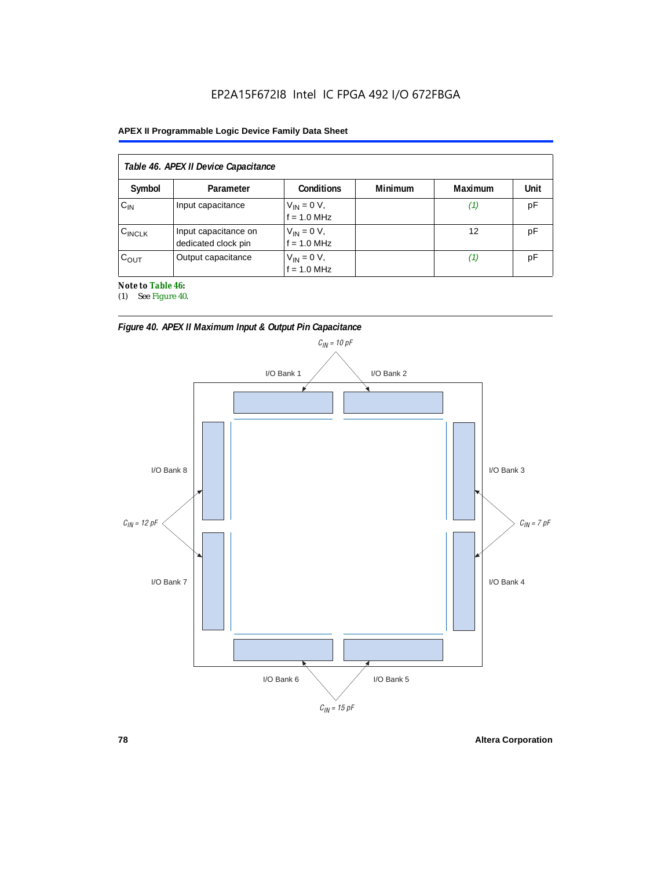### **APEX II Programmable Logic Device Family Data Sheet**

| Table 46. APEX II Device Capacitance |                                             |                                |                |         |      |  |  |
|--------------------------------------|---------------------------------------------|--------------------------------|----------------|---------|------|--|--|
| Symbol                               | Parameter                                   | <b>Conditions</b>              | <b>Minimum</b> | Maximum | Unit |  |  |
| $C_{IN}$                             | Input capacitance                           | $V_{IN} = 0 V,$<br>f = 1.0 MHz |                | (1)     | pF   |  |  |
| $C_{\text{INCLK}}$                   | Input capacitance on<br>dedicated clock pin | $V_{IN} = 0 V,$<br>f = 1.0 MHz |                | 12      | рF   |  |  |
| $C_{OUT}$                            | Output capacitance                          | $V_{IN} = 0 V,$<br>f = 1.0 MHz |                | (1)     | рF   |  |  |

*Note to Table 46:*

(1) See Figure 40.





**78 Altera Corporation**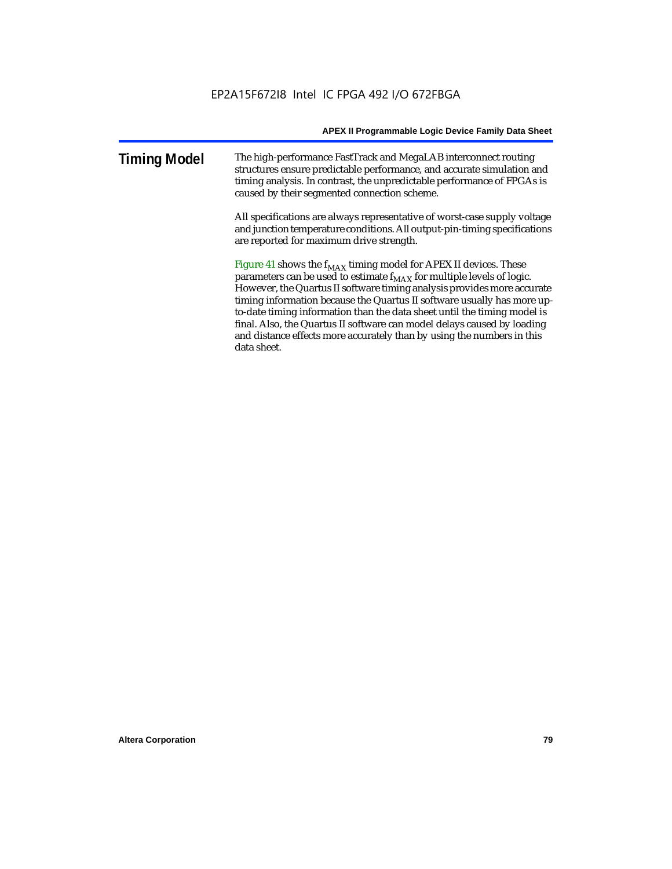| <b>Timing Model</b> | The high-performance FastTrack and MegaLAB interconnect routing<br>structures ensure predictable performance, and accurate simulation and<br>timing analysis. In contrast, the unpredictable performance of FPGAs is<br>caused by their segmented connection scheme. |
|---------------------|----------------------------------------------------------------------------------------------------------------------------------------------------------------------------------------------------------------------------------------------------------------------|
|                     |                                                                                                                                                                                                                                                                      |

All specifications are always representative of worst-case supply voltage and junction temperature conditions. All output-pin-timing specifications are reported for maximum drive strength.

Figure 41 shows the  $f_{MAX}$  timing model for APEX II devices. These parameters can be used to estimate  $f_{MAX}$  for multiple levels of logic. However, the Quartus II software timing analysis provides more accurate timing information because the Quartus II software usually has more upto-date timing information than the data sheet until the timing model is final. Also, the Quartus II software can model delays caused by loading and distance effects more accurately than by using the numbers in this data sheet.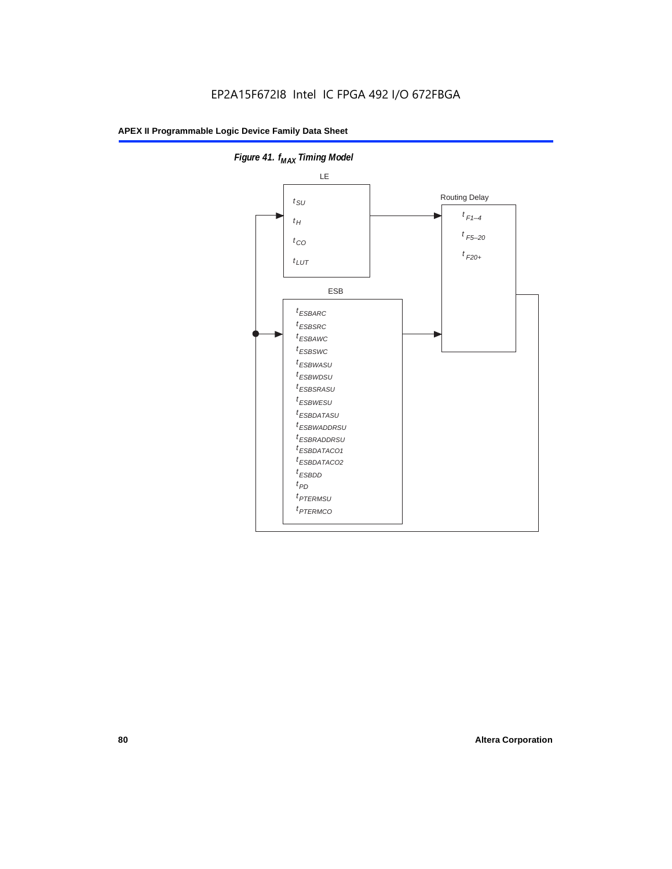

**Figure 41. f**<sub>MAX</sub> Timing Model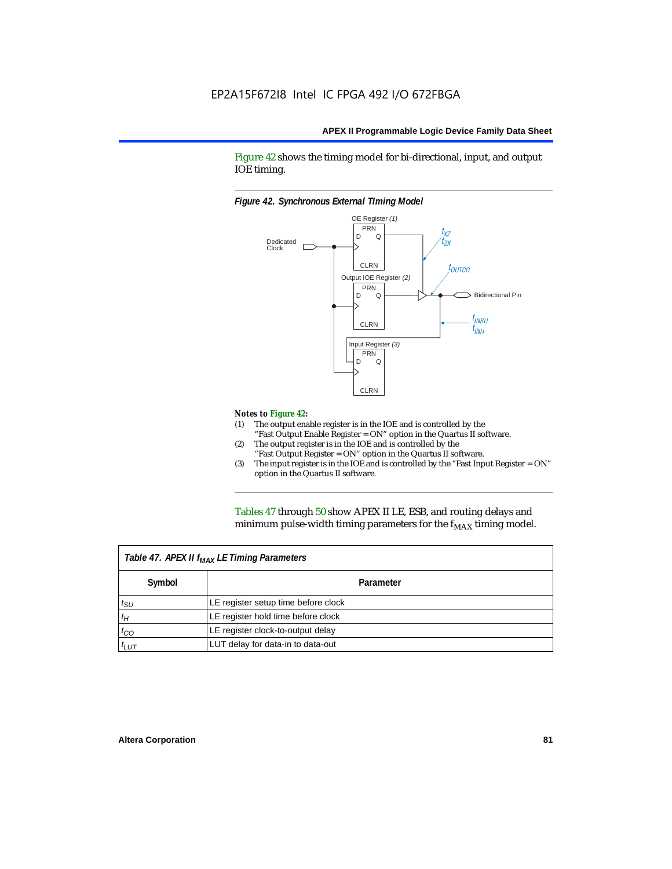Figure 42 shows the timing model for bi-directional, input, and output IOE timing.

#### *Figure 42. Synchronous External TIming Model*



#### *Notes to Figure 42:*

- (1) The output enable register is in the IOE and is controlled by the "Fast Output Enable Register = ON" option in the Quartus II software.
- (2) The output register is in the IOE and is controlled by the "Fast Output Register = ON" option in the Quartus II software.
- (3) The input register is in the IOE and is controlled by the "Fast Input Register = ON" option in the Quartus II software.

Tables 47 through 50 show APEX II LE, ESB, and routing delays and minimum pulse-width timing parameters for the  $f_{MAX}$  timing model.

| Table 47. APEX II f <sub>MAX</sub> LE Timing Parameters |                                     |  |  |  |  |
|---------------------------------------------------------|-------------------------------------|--|--|--|--|
| Symbol                                                  | Parameter                           |  |  |  |  |
| $t_{\rm SU}$                                            | LE register setup time before clock |  |  |  |  |
| $t_H$                                                   | LE register hold time before clock  |  |  |  |  |
| $t_{CO}$                                                | LE register clock-to-output delay   |  |  |  |  |
| $t_{LUT}$                                               | LUT delay for data-in to data-out   |  |  |  |  |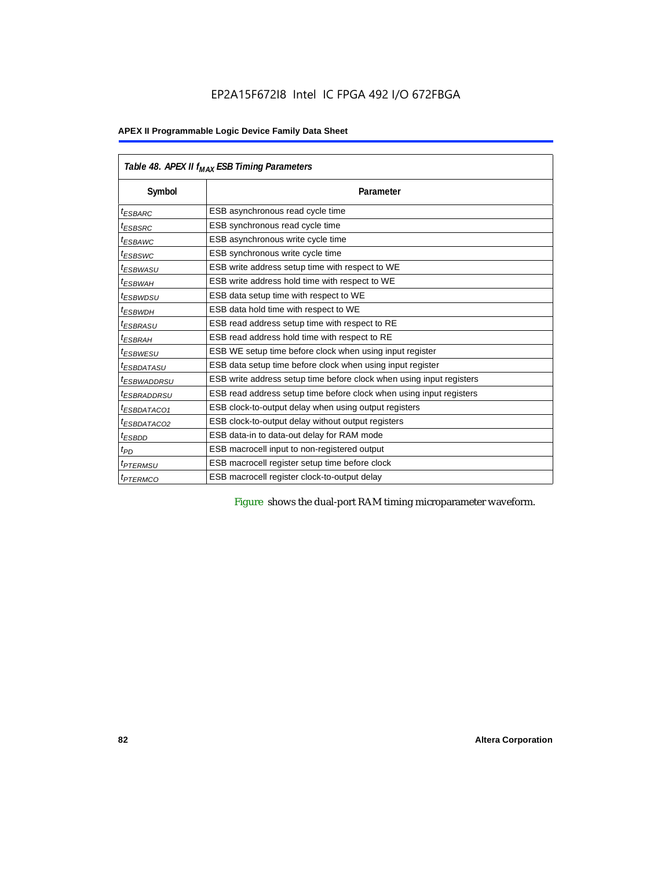### **APEX II Programmable Logic Device Family Data Sheet**

|                            | Table 48. APEX II f <sub>MAX</sub> ESB Timing Parameters             |  |  |  |  |  |
|----------------------------|----------------------------------------------------------------------|--|--|--|--|--|
| Symbol                     | Parameter                                                            |  |  |  |  |  |
| <sup>t</sup> ESBARC        | ESB asynchronous read cycle time                                     |  |  |  |  |  |
| <sup>t</sup> ESBSRC        | ESB synchronous read cycle time                                      |  |  |  |  |  |
| <sup>t</sup> ESBAWC        | ESB asynchronous write cycle time                                    |  |  |  |  |  |
| <sup>t</sup> ESBSWC        | ESB synchronous write cycle time                                     |  |  |  |  |  |
| <sup>t</sup> ESBWASU       | ESB write address setup time with respect to WE                      |  |  |  |  |  |
| <sup>t</sup> ESBWАН        | ESB write address hold time with respect to WE                       |  |  |  |  |  |
| <sup>t</sup> ESBWDSU       | ESB data setup time with respect to WE                               |  |  |  |  |  |
| <sup>t</sup> ESBWDH        | ESB data hold time with respect to WE                                |  |  |  |  |  |
| <sup>t</sup> ESBRASU       | ESB read address setup time with respect to RE                       |  |  |  |  |  |
| <sup>t</sup> ESBRAH        | ESB read address hold time with respect to RE                        |  |  |  |  |  |
| <sup>t</sup> ESBWESU       | ESB WE setup time before clock when using input register             |  |  |  |  |  |
| <sup>t</sup> ESBDATASU     | ESB data setup time before clock when using input register           |  |  |  |  |  |
| <sup>t</sup> ESBWADDRSU    | ESB write address setup time before clock when using input registers |  |  |  |  |  |
| <sup>t</sup> ESBRADDRSU    | ESB read address setup time before clock when using input registers  |  |  |  |  |  |
| <sup>t</sup> ESBDATACO1    | ESB clock-to-output delay when using output registers                |  |  |  |  |  |
| <sup>t</sup> ESBDATACO2    | ESB clock-to-output delay without output registers                   |  |  |  |  |  |
| <sup>t</sup> ESBDD         | ESB data-in to data-out delay for RAM mode                           |  |  |  |  |  |
| $t_{PD}$                   | ESB macrocell input to non-registered output                         |  |  |  |  |  |
| <i><b>TPTERMSU</b></i>     | ESB macrocell register setup time before clock                       |  |  |  |  |  |
| <i>t<sub>PTERMCO</sub></i> | ESB macrocell register clock-to-output delay                         |  |  |  |  |  |

Figure shows the dual-port RAM timing microparameter waveform.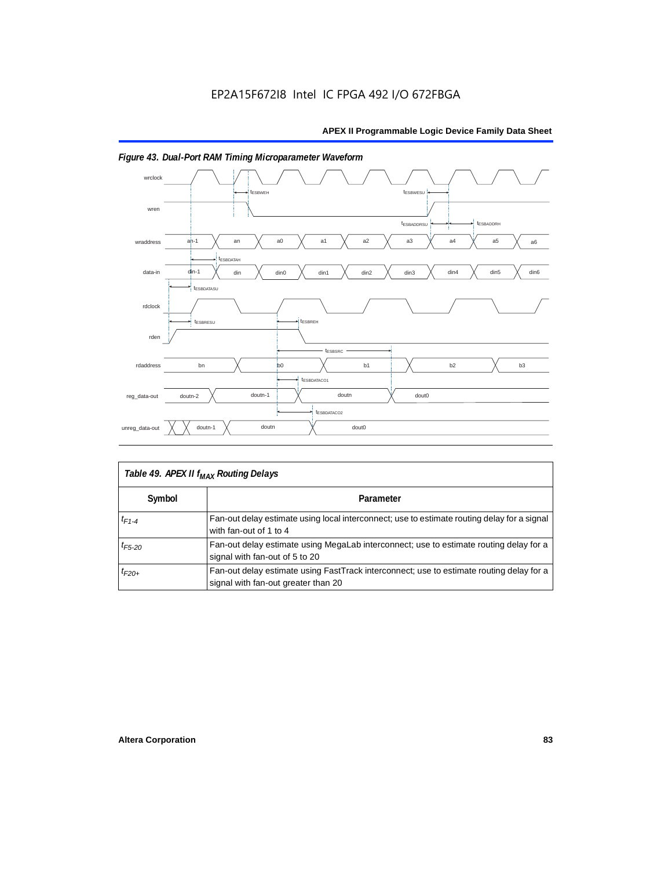

### *Figure 43. Dual-Port RAM Timing Microparameter Waveform*

| Table 49. APEX II f <sub>MAX</sub> Routing Delays |                                                                                                                                 |  |  |  |  |
|---------------------------------------------------|---------------------------------------------------------------------------------------------------------------------------------|--|--|--|--|
| Symbol                                            | Parameter                                                                                                                       |  |  |  |  |
| $t_{F1-4}$                                        | Fan-out delay estimate using local interconnect; use to estimate routing delay for a signal<br>with fan-out of 1 to 4           |  |  |  |  |
| $t_{F5-20}$                                       | Fan-out delay estimate using MegaLab interconnect; use to estimate routing delay for a<br>signal with fan-out of 5 to 20        |  |  |  |  |
| $t_{F20+}$                                        | Fan-out delay estimate using FastTrack interconnect; use to estimate routing delay for a<br>signal with fan-out greater than 20 |  |  |  |  |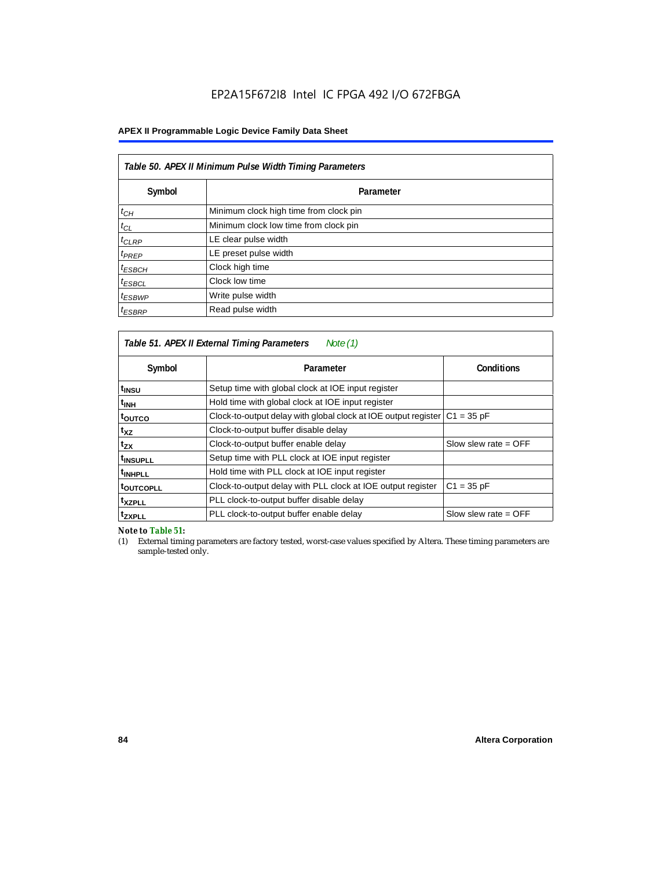### **APEX II Programmable Logic Device Family Data Sheet**

| Table 50. APEX II Minimum Pulse Width Timing Parameters |                                        |  |  |  |  |
|---------------------------------------------------------|----------------------------------------|--|--|--|--|
| Symbol                                                  | Parameter                              |  |  |  |  |
| $t_{CH}$                                                | Minimum clock high time from clock pin |  |  |  |  |
| $t_{CL}$                                                | Minimum clock low time from clock pin  |  |  |  |  |
| $t_{CLRP}$                                              | LE clear pulse width                   |  |  |  |  |
| $t_{PREF}$                                              | LE preset pulse width                  |  |  |  |  |
| $t_{ESBCH}$                                             | Clock high time                        |  |  |  |  |
| $t_{ESBCL}$                                             | Clock low time                         |  |  |  |  |
| $t_{ESBWP}$                                             | Write pulse width                      |  |  |  |  |
| $t_{ESBRP}$                                             | Read pulse width                       |  |  |  |  |

| Table 51. APEX II External Timing Parameters<br>Note (1) |                                                                |                        |  |  |  |  |  |
|----------------------------------------------------------|----------------------------------------------------------------|------------------------|--|--|--|--|--|
| Symbol                                                   | <b>Conditions</b>                                              |                        |  |  |  |  |  |
| t <sub>INSU</sub>                                        | Setup time with global clock at IOE input register             |                        |  |  |  |  |  |
| $t_{\rm INH}$                                            | Hold time with global clock at IOE input register              |                        |  |  |  |  |  |
| toutco                                                   | Clock-to-output delay with global clock at IOE output register | $C1 = 35 pF$           |  |  |  |  |  |
| t <sub>XZ</sub>                                          | Clock-to-output buffer disable delay                           |                        |  |  |  |  |  |
| $t_{ZX}$                                                 | Clock-to-output buffer enable delay                            | Slow slew rate $=$ OFF |  |  |  |  |  |
| t <sub>INSUPLL</sub>                                     | Setup time with PLL clock at IOE input register                |                        |  |  |  |  |  |
| <sup>t</sup> INHPLL                                      | Hold time with PLL clock at IOE input register                 |                        |  |  |  |  |  |
| t <sub>outcopll</sub>                                    | Clock-to-output delay with PLL clock at IOE output register    | $C1 = 35 pF$           |  |  |  |  |  |
| txzpll                                                   | PLL clock-to-output buffer disable delay                       |                        |  |  |  |  |  |
| <sup>t</sup> zxpll                                       | PLL clock-to-output buffer enable delay                        | Slow slew rate $=$ OFF |  |  |  |  |  |

*Note to Table 51:*

(1) External timing parameters are factory tested, worst-case values specified by Altera. These timing parameters are sample-tested only.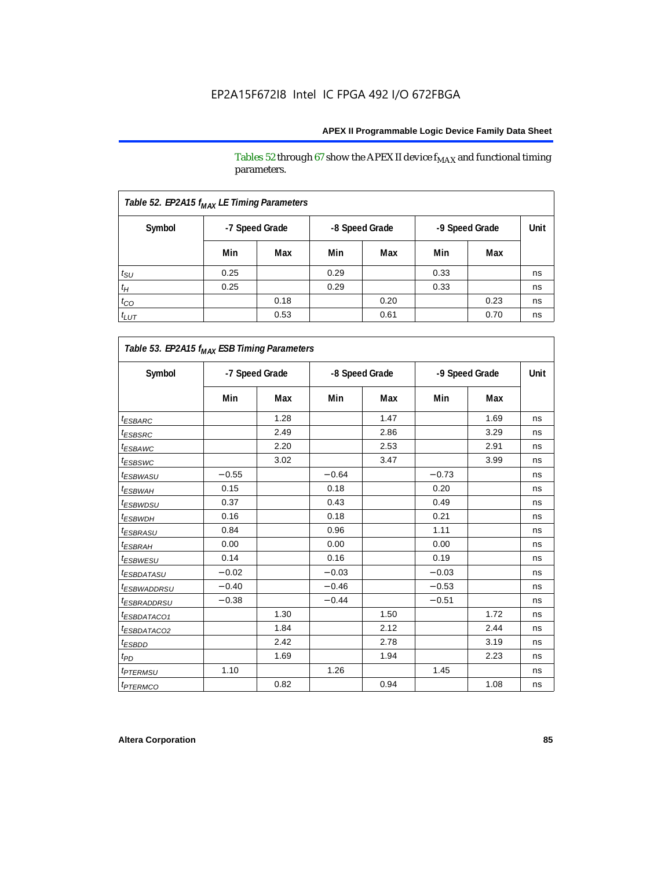Tables 52 through 67 show the APEX II device  $\rm f_{MAX}$  and functional timing parameters.

| Table 52. EP2A15 f <sub>MAX</sub> LE Timing Parameters |                |      |                |      |                |      |      |  |
|--------------------------------------------------------|----------------|------|----------------|------|----------------|------|------|--|
| Symbol                                                 | -7 Speed Grade |      | -8 Speed Grade |      | -9 Speed Grade |      | Unit |  |
|                                                        | Min            | Max  | Min            | Max  | Min            | Max  |      |  |
| $t_{\rm SU}$                                           | 0.25           |      | 0.29           |      | 0.33           |      | ns   |  |
| $t_H$                                                  | 0.25           |      | 0.29           |      | 0.33           |      | ns   |  |
| $t_{CO}$                                               |                | 0.18 |                | 0.20 |                | 0.23 | ns   |  |
| $t_{LUT}$                                              |                | 0.53 |                | 0.61 |                | 0.70 | ns   |  |

|                              |         |                |         |                |         |                | Unit |
|------------------------------|---------|----------------|---------|----------------|---------|----------------|------|
| Symbol                       |         | -7 Speed Grade |         | -8 Speed Grade |         | -9 Speed Grade |      |
|                              | Min     | Max            | Min     | Max            | Min     | Max            |      |
| <i>t<sub>ESBARC</sub></i>    |         | 1.28           |         | 1.47           |         | 1.69           | ns   |
| <sup>t</sup> ESBSRC          |         | 2.49           |         | 2.86           |         | 3.29           | ns   |
| <sup>t</sup> ESBAWC          |         | 2.20           |         | 2.53           |         | 2.91           | ns   |
| t <sub>ESBSWC</sub>          |         | 3.02           |         | 3.47           |         | 3.99           | ns   |
| <sup>t</sup> ESBWASU         | $-0.55$ |                | $-0.64$ |                | $-0.73$ |                | ns   |
| t <sub>ESBWAH</sub>          | 0.15    |                | 0.18    |                | 0.20    |                | ns   |
| <sup>t</sup> ESBWDSU         | 0.37    |                | 0.43    |                | 0.49    |                | ns   |
| <sup>t</sup> ESBWDH          | 0.16    |                | 0.18    |                | 0.21    |                | ns   |
| <sup>t</sup> ESBRASU         | 0.84    |                | 0.96    |                | 1.11    |                | ns   |
| <sup>t</sup> ESBRAH          | 0.00    |                | 0.00    |                | 0.00    |                | ns   |
| <i>t<sub>ESBWESU</sub></i>   | 0.14    |                | 0.16    |                | 0.19    |                | ns   |
| <sup>t</sup> ESBDATASU       | $-0.02$ |                | $-0.03$ |                | $-0.03$ |                | ns   |
| <sup>t</sup> ESBWADDRSU      | $-0.40$ |                | $-0.46$ |                | $-0.53$ |                | ns   |
| <sup>t</sup> ESBRADDRSU      | $-0.38$ |                | $-0.44$ |                | $-0.51$ |                | ns   |
| <i>ESBDATACO1</i>            |         | 1.30           |         | 1.50           |         | 1.72           | ns   |
| <sup>t</sup> ESBDATACO2      |         | 1.84           |         | 2.12           |         | 2.44           | ns   |
| <sup>t</sup> ESBDD           |         | 2.42           |         | 2.78           |         | 3.19           | ns   |
| t <sub>PD</sub>              |         | 1.69           |         | 1.94           |         | 2.23           | ns   |
| <i><b><i>FTERMSU</i></b></i> | 1.10    |                | 1.26    |                | 1.45    |                | ns   |
| <i>t<sub>PTERMCO</sub></i>   |         | 0.82           |         | 0.94           |         | 1.08           | ns   |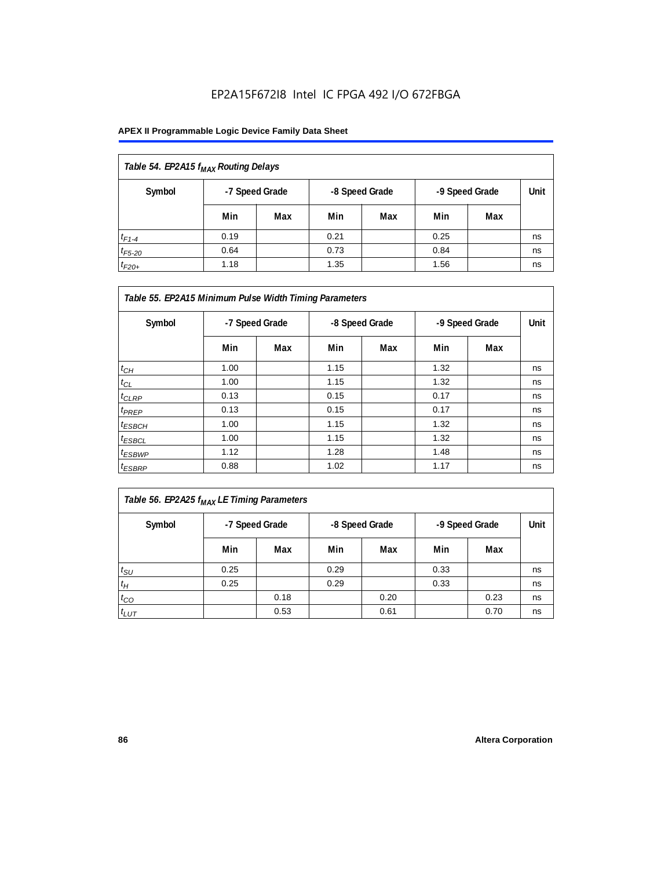### **APEX II Programmable Logic Device Family Data Sheet**

| Table 54. EP2A15 f <sub>MAX</sub> Routing Delays |      |                |                |     |                |     |      |  |
|--------------------------------------------------|------|----------------|----------------|-----|----------------|-----|------|--|
| Symbol                                           |      | -7 Speed Grade | -8 Speed Grade |     | -9 Speed Grade |     | Unit |  |
|                                                  | Min  | Max            | Min            | Max | Min            | Max |      |  |
| $t_{F1-4}$                                       | 0.19 |                | 0.21           |     | 0.25           |     | ns   |  |
| $t_{F5-20}$                                      | 0.64 |                | 0.73           |     | 0.84           |     | ns   |  |
| $t_{F20+}$                                       | 1.18 |                | 1.35           |     | 1.56           |     | ns   |  |

| Table 55. EP2A15 Minimum Pulse Width Timing Parameters |                |     |                |     |                |     |      |  |
|--------------------------------------------------------|----------------|-----|----------------|-----|----------------|-----|------|--|
| Symbol                                                 | -7 Speed Grade |     | -8 Speed Grade |     | -9 Speed Grade |     | Unit |  |
|                                                        | Min            | Max | Min            | Max | Min            | Max |      |  |
| $t_{CH}$                                               | 1.00           |     | 1.15           |     | 1.32           |     | ns   |  |
| $t_{CL}$                                               | 1.00           |     | 1.15           |     | 1.32           |     | ns   |  |
| $t_{CLRP}$                                             | 0.13           |     | 0.15           |     | 0.17           |     | ns   |  |
| $t_{PREF}$                                             | 0.13           |     | 0.15           |     | 0.17           |     | ns   |  |
| $t_{ESBCH}$                                            | 1.00           |     | 1.15           |     | 1.32           |     | ns   |  |
| $t_{ESBCL}$                                            | 1.00           |     | 1.15           |     | 1.32           |     | ns   |  |
| <sup>t</sup> ESBWP                                     | 1.12           |     | 1.28           |     | 1.48           |     | ns   |  |
| $t_{ESBRP}$                                            | 0.88           |     | 1.02           |     | 1.17           |     | ns   |  |

| Table 56. EP2A25 f <sub>MAX</sub> LE Timing Parameters |     |                |                |     |                |     |      |
|--------------------------------------------------------|-----|----------------|----------------|-----|----------------|-----|------|
| Symbol                                                 |     | -7 Speed Grade | -8 Speed Grade |     | -9 Speed Grade |     | Unit |
|                                                        | Min | Max            | Min            | Max | Min            | Max |      |

|              | Min  | Max  | Min  | Max  | Min  | Max  |    |
|--------------|------|------|------|------|------|------|----|
| $t_{\rm SU}$ | 0.25 |      | 0.29 |      | 0.33 |      | ns |
| $t_H$        | 0.25 |      | 0.29 |      | 0.33 |      | ns |
| $t_{CO}$     |      | 0.18 |      | 0.20 |      | 0.23 | ns |
| $t_{LUT}$    |      | 0.53 |      | 0.61 |      | 0.70 | ns |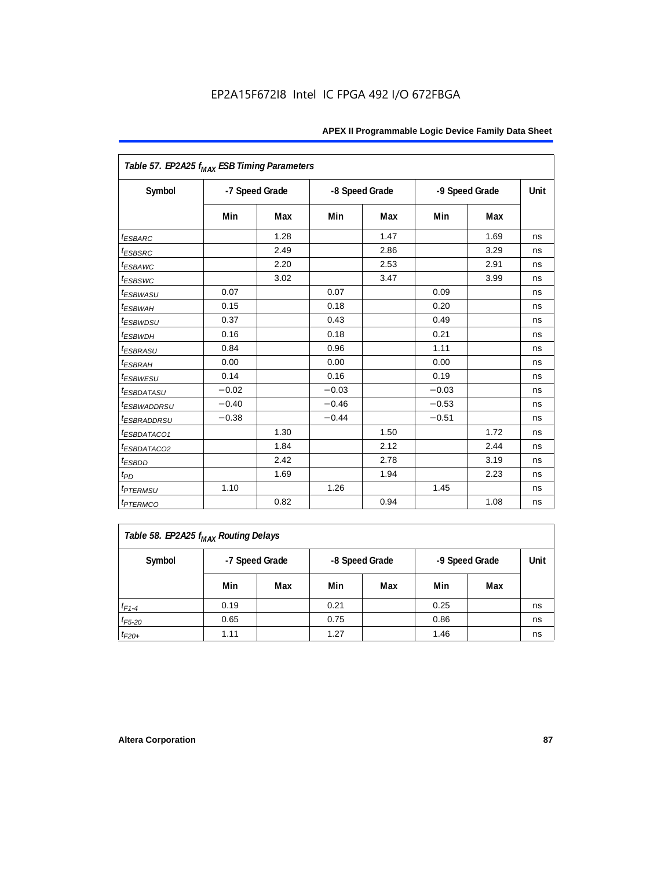| Table 57. EP2A25 f <sub>MAX</sub> ESB Timing Parameters |                |      |         |                |         |                |      |  |  |
|---------------------------------------------------------|----------------|------|---------|----------------|---------|----------------|------|--|--|
| Symbol                                                  | -7 Speed Grade |      |         | -8 Speed Grade |         | -9 Speed Grade | Unit |  |  |
|                                                         | Min            | Max  | Min     | Max            | Min     | Max            |      |  |  |
| <i><b>ESBARC</b></i>                                    |                | 1.28 |         | 1.47           |         | 1.69           | ns   |  |  |
| <i>t</i> <sub>ESBSRC</sub>                              |                | 2.49 |         | 2.86           |         | 3.29           | ns   |  |  |
| <sup>t</sup> ESBAWC                                     |                | 2.20 |         | 2.53           |         | 2.91           | ns   |  |  |
| t <sub>ESBSWC</sub>                                     |                | 3.02 |         | 3.47           |         | 3.99           | ns   |  |  |
| <sup>t</sup> ESBWASU                                    | 0.07           |      | 0.07    |                | 0.09    |                | ns   |  |  |
| <sup>t</sup> ESBWAH                                     | 0.15           |      | 0.18    |                | 0.20    |                | ns   |  |  |
| $t_{ESBWDSU}$                                           | 0.37           |      | 0.43    |                | 0.49    |                | ns   |  |  |
| <sup>t</sup> ESBWDH                                     | 0.16           |      | 0.18    |                | 0.21    |                | ns   |  |  |
| <sup>t</sup> ESBRASU                                    | 0.84           |      | 0.96    |                | 1.11    |                | ns   |  |  |
| <sup>t</sup> ESBRAH                                     | 0.00           |      | 0.00    |                | 0.00    |                | ns   |  |  |
| <sup>t</sup> ESBWESU                                    | 0.14           |      | 0.16    |                | 0.19    |                | ns   |  |  |
| <i>ESBDATASU</i>                                        | $-0.02$        |      | $-0.03$ |                | $-0.03$ |                | ns   |  |  |
| <sup>t</sup> ESBWADDRSU                                 | $-0.40$        |      | $-0.46$ |                | $-0.53$ |                | ns   |  |  |
| <sup>t</sup> ESBRADDRSU                                 | $-0.38$        |      | $-0.44$ |                | $-0.51$ |                | ns   |  |  |
| <i>ESBDATACO1</i>                                       |                | 1.30 |         | 1.50           |         | 1.72           | ns   |  |  |
| <i>ESBDATACO2</i>                                       |                | 1.84 |         | 2.12           |         | 2.44           | ns   |  |  |
| <sup>t</sup> ESBDD                                      |                | 2.42 |         | 2.78           |         | 3.19           | ns   |  |  |
| $t_{PD}$                                                |                | 1.69 |         | 1.94           |         | 2.23           | ns   |  |  |
| <i>t<sub>PTERMSU</sub></i>                              | 1.10           |      | 1.26    |                | 1.45    |                | ns   |  |  |
| <i><b>t<sub>PTERMCO</sub></b></i>                       |                | 0.82 |         | 0.94           |         | 1.08           | ns   |  |  |

| Table 58. EP2A25 f <sub>MAX</sub> Routing Delays |      |                |      |                |      |                |      |  |  |
|--------------------------------------------------|------|----------------|------|----------------|------|----------------|------|--|--|
| Symbol                                           |      | -7 Speed Grade |      | -8 Speed Grade |      | -9 Speed Grade | Unit |  |  |
|                                                  | Min  | Max            | Min  | Max            | Min  | Max            |      |  |  |
| $t_{F1-4}$                                       | 0.19 |                | 0.21 |                | 0.25 |                | ns   |  |  |
| $t_{F5-20}$                                      | 0.65 |                | 0.75 |                | 0.86 |                | ns   |  |  |
| $t_{F20+}$                                       | 1.11 |                | 1.27 |                | 1.46 |                | ns   |  |  |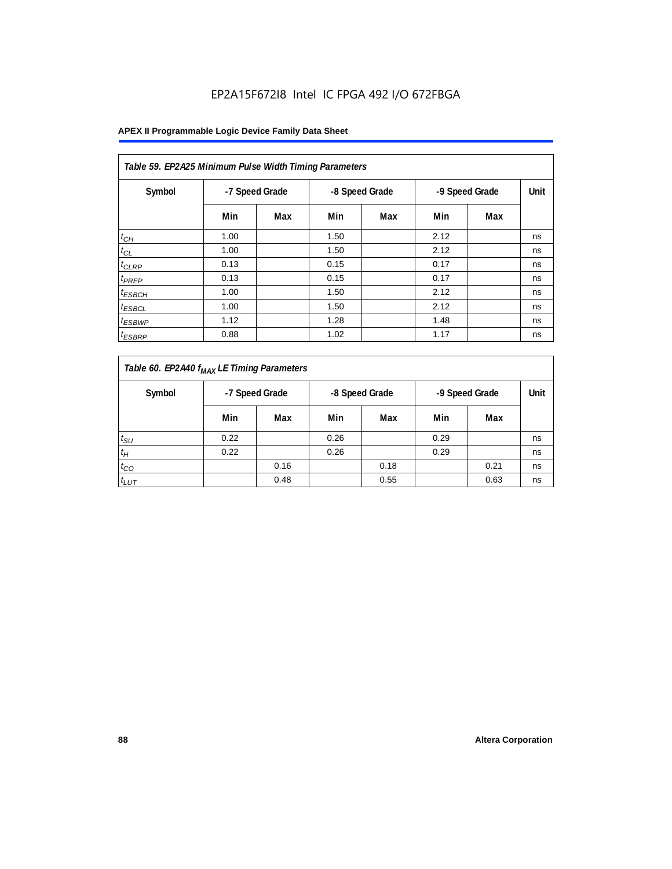| Table 59. EP2A25 Minimum Pulse Width Timing Parameters |      |                                                    |      |     |      |     |      |  |  |  |  |
|--------------------------------------------------------|------|----------------------------------------------------|------|-----|------|-----|------|--|--|--|--|
| Symbol                                                 |      | -8 Speed Grade<br>-9 Speed Grade<br>-7 Speed Grade |      |     |      |     | Unit |  |  |  |  |
|                                                        | Min  | Max                                                | Min  | Max | Min  | Max |      |  |  |  |  |
| $t_{CH}$                                               | 1.00 |                                                    | 1.50 |     | 2.12 |     | ns   |  |  |  |  |
| $t_{CL}$                                               | 1.00 |                                                    | 1.50 |     | 2.12 |     | ns   |  |  |  |  |
| $t_{CLRP}$                                             | 0.13 |                                                    | 0.15 |     | 0.17 |     | ns   |  |  |  |  |
| $t_{PREP}$                                             | 0.13 |                                                    | 0.15 |     | 0.17 |     | ns   |  |  |  |  |
| $t_{ESBCH}$                                            | 1.00 |                                                    | 1.50 |     | 2.12 |     | ns   |  |  |  |  |
| $t_{ESBCL}$                                            | 1.00 |                                                    | 1.50 |     | 2.12 |     | ns   |  |  |  |  |
| <sup>t</sup> ESBWP                                     | 1.12 |                                                    | 1.28 |     | 1.48 |     | ns   |  |  |  |  |
| <sup>t</sup> ESBRP                                     | 0.88 |                                                    | 1.02 |     | 1.17 |     | ns   |  |  |  |  |

| Table 60. EP2A40 f <sub>MAX</sub> LE Timing Parameters |                |      |                |      |                |      |      |
|--------------------------------------------------------|----------------|------|----------------|------|----------------|------|------|
| Symbol                                                 | -7 Speed Grade |      | -8 Speed Grade |      | -9 Speed Grade |      | Unit |
|                                                        | Min            | Max  | Min            | Max  | Min            | Max  |      |
| $t_{\text{SU}}$                                        | 0.22           |      | 0.26           |      | 0.29           |      | ns   |
| $t_H$                                                  | 0.22           |      | 0.26           |      | 0.29           |      | ns   |
| $t_{CO}$                                               |                | 0.16 |                | 0.18 |                | 0.21 | ns   |
| $t_{LUT}$                                              |                | 0.48 |                | 0.55 |                | 0.63 | ns   |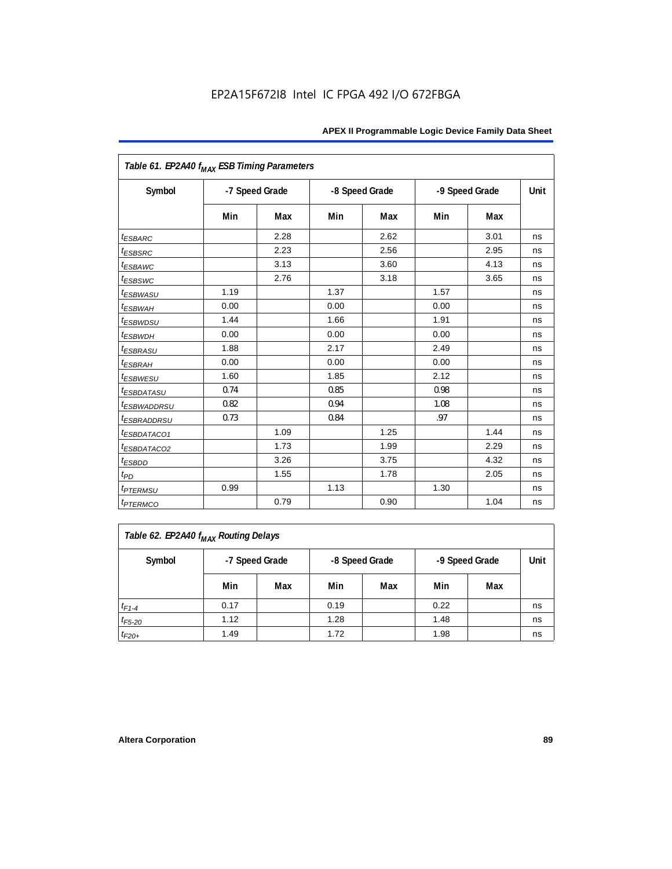| Table 61. EP2A40 f <sub>MAX</sub> ESB Timing Parameters |      |                |      |                |      |                |      |  |  |
|---------------------------------------------------------|------|----------------|------|----------------|------|----------------|------|--|--|
| Symbol                                                  |      | -7 Speed Grade |      | -8 Speed Grade |      | -9 Speed Grade | Unit |  |  |
|                                                         | Min  | Max            | Min  | Max            | Min  | Max            |      |  |  |
| <i><b>ESBARC</b></i>                                    |      | 2.28           |      | 2.62           |      | 3.01           | ns   |  |  |
| <i>t<sub>ESBSRC</sub></i>                               |      | 2.23           |      | 2.56           |      | 2.95           | ns   |  |  |
| <i>ESBAWC</i>                                           |      | 3.13           |      | 3.60           |      | 4.13           | ns   |  |  |
| t <sub>ESBSWC</sub>                                     |      | 2.76           |      | 3.18           |      | 3.65           | ns   |  |  |
| <sup>t</sup> ESBWASU                                    | 1.19 |                | 1.37 |                | 1.57 |                | ns   |  |  |
| <sup>t</sup> ESBWAH                                     | 0.00 |                | 0.00 |                | 0.00 |                | ns   |  |  |
| <i>t<sub>ESBWDSU</sub></i>                              | 1.44 |                | 1.66 |                | 1.91 |                | ns   |  |  |
| <sup>t</sup> ESBWDH                                     | 0.00 |                | 0.00 |                | 0.00 |                | ns   |  |  |
| <i><b>ESBRASU</b></i>                                   | 1.88 |                | 2.17 |                | 2.49 |                | ns   |  |  |
| <sup>t</sup> ESBRAH                                     | 0.00 |                | 0.00 |                | 0.00 |                | ns   |  |  |
| <sup>t</sup> ESBWESU                                    | 1.60 |                | 1.85 |                | 2.12 |                | ns   |  |  |
| <i>ESBDATASU</i>                                        | 0.74 |                | 0.85 |                | 0.98 |                | ns   |  |  |
| <sup>t</sup> ESBWADDRSU                                 | 0.82 |                | 0.94 |                | 1.08 |                | ns   |  |  |
| <sup>t</sup> ESBRADDRSU                                 | 0.73 |                | 0.84 |                | .97  |                | ns   |  |  |
| <sup>t</sup> ESBDATACO1                                 |      | 1.09           |      | 1.25           |      | 1.44           | ns   |  |  |
| <i>ESBDATACO2</i>                                       |      | 1.73           |      | 1.99           |      | 2.29           | ns   |  |  |
| <sup>t</sup> ESBDD                                      |      | 3.26           |      | 3.75           |      | 4.32           | ns   |  |  |
| $t_{PD}$                                                |      | 1.55           |      | 1.78           |      | 2.05           | ns   |  |  |
| <i>t<sub>PTERMSU</sub></i>                              | 0.99 |                | 1.13 |                | 1.30 |                | ns   |  |  |
| <i><b>t</b>PTERMCO</i>                                  |      | 0.79           |      | 0.90           |      | 1.04           | ns   |  |  |

| Table 62. EP2A40 f <sub>MAX</sub> Routing Delays |                                                    |     |      |     |      |      |    |  |  |
|--------------------------------------------------|----------------------------------------------------|-----|------|-----|------|------|----|--|--|
| Symbol                                           | -8 Speed Grade<br>-7 Speed Grade<br>-9 Speed Grade |     |      |     |      | Unit |    |  |  |
|                                                  | Min                                                | Max | Min  | Max | Min  | Max  |    |  |  |
| $t_{F1-4}$                                       | 0.17                                               |     | 0.19 |     | 0.22 |      | ns |  |  |
| $t_{F5-20}$                                      | 1.12                                               |     | 1.28 |     | 1.48 |      | ns |  |  |
| $t_{F20+}$                                       | 1.49                                               |     | 1.72 |     | 1.98 |      | ns |  |  |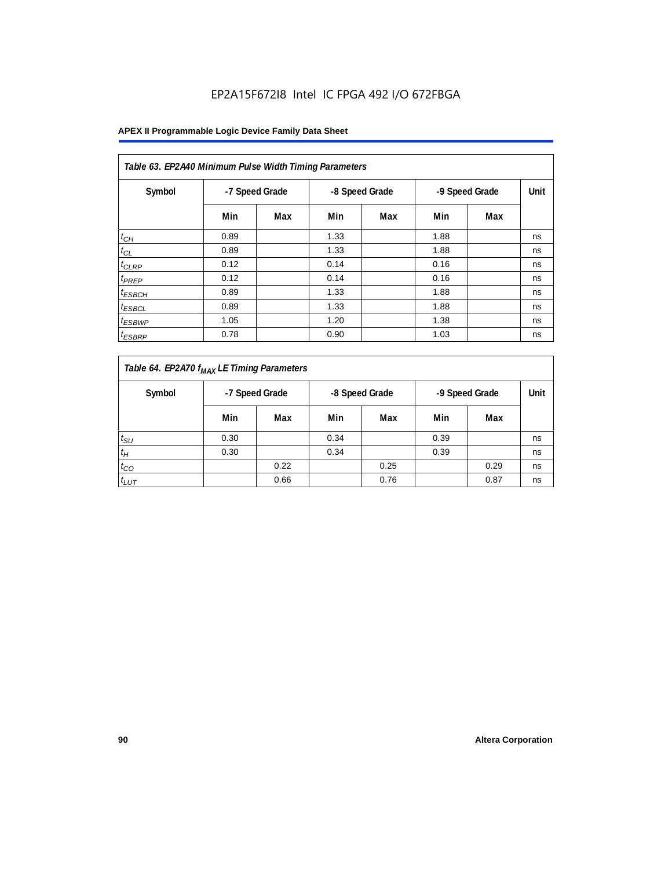| Table 63. EP2A40 Minimum Pulse Width Timing Parameters |                |     |      |                |                |     |      |  |  |  |  |
|--------------------------------------------------------|----------------|-----|------|----------------|----------------|-----|------|--|--|--|--|
| Symbol                                                 | -7 Speed Grade |     |      | -8 Speed Grade | -9 Speed Grade |     | Unit |  |  |  |  |
|                                                        | Min            | Max | Min  | Max            | Min            | Max |      |  |  |  |  |
| $t_{CH}$                                               | 0.89           |     | 1.33 |                | 1.88           |     | ns   |  |  |  |  |
| $t_{CL}$                                               | 0.89           |     | 1.33 |                | 1.88           |     | ns   |  |  |  |  |
| $t_{CLRP}$                                             | 0.12           |     | 0.14 |                | 0.16           |     | ns   |  |  |  |  |
| t <sub>PREP</sub>                                      | 0.12           |     | 0.14 |                | 0.16           |     | ns   |  |  |  |  |
| $t_{ESBCH}$                                            | 0.89           |     | 1.33 |                | 1.88           |     | ns   |  |  |  |  |
| $t_{ESBCL}$                                            | 0.89           |     | 1.33 |                | 1.88           |     | ns   |  |  |  |  |
| <sup>t</sup> ESBWP                                     | 1.05           |     | 1.20 |                | 1.38           |     | ns   |  |  |  |  |
| <sup>t</sup> ESBRP                                     | 0.78           |     | 0.90 |                | 1.03           |     | ns   |  |  |  |  |

| Table 64. EP2A70 f <sub>MAX</sub> LE Timing Parameters |      |                |      |                |      |                |    |
|--------------------------------------------------------|------|----------------|------|----------------|------|----------------|----|
| Symbol                                                 |      | -7 Speed Grade |      | -8 Speed Grade |      | -9 Speed Grade |    |
|                                                        | Min  | Max            | Min  | Max            | Min  | Max            |    |
| $t_{\rm SU}$                                           | 0.30 |                | 0.34 |                | 0.39 |                | ns |
| $t_H$                                                  | 0.30 |                | 0.34 |                | 0.39 |                | ns |
| $t_{CO}$                                               |      | 0.22           |      | 0.25           |      | 0.29           | ns |
| $t_{LUT}$                                              |      | 0.66           |      | 0.76           |      | 0.87           | ns |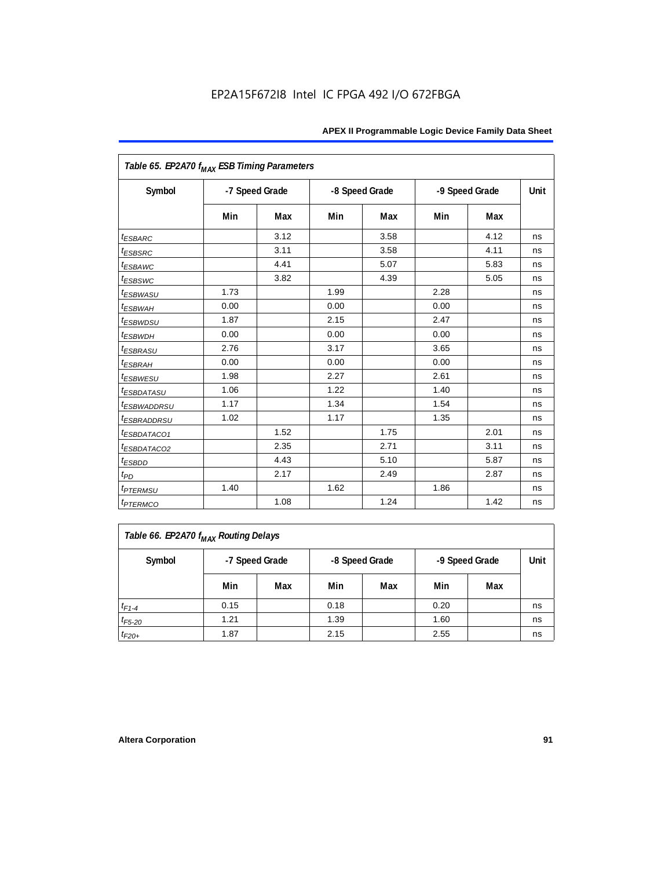| Table 65. EP2A70 f <sub>MAX</sub> ESB Timing Parameters |      |                |      |                |      |                |             |
|---------------------------------------------------------|------|----------------|------|----------------|------|----------------|-------------|
| Symbol                                                  |      | -7 Speed Grade |      | -8 Speed Grade |      | -9 Speed Grade | <b>Unit</b> |
|                                                         | Min  | Max            | Min  | Max            | Min  | Max            |             |
| <i>t<sub>ESBARC</sub></i>                               |      | 3.12           |      | 3.58           |      | 4.12           | ns          |
| <sup>t</sup> ESBSRC                                     |      | 3.11           |      | 3.58           |      | 4.11           | ns          |
| <i>ESBAWC</i>                                           |      | 4.41           |      | 5.07           |      | 5.83           | ns          |
| t <sub>ESBSWC</sub>                                     |      | 3.82           |      | 4.39           |      | 5.05           | ns          |
| <sup>t</sup> ESBWASU                                    | 1.73 |                | 1.99 |                | 2.28 |                | ns          |
| $t_{ESBWAH}$                                            | 0.00 |                | 0.00 |                | 0.00 |                | ns          |
| <i>t<sub>ESBWDSU</sub></i>                              | 1.87 |                | 2.15 |                | 2.47 |                | ns          |
| <sup>t</sup> ESBWDH                                     | 0.00 |                | 0.00 |                | 0.00 |                | ns          |
| <sup>t</sup> ESBRASU                                    | 2.76 |                | 3.17 |                | 3.65 |                | ns          |
| <sup>t</sup> ESBRAH                                     | 0.00 |                | 0.00 |                | 0.00 |                | ns          |
| <sup>t</sup> ESBWESU                                    | 1.98 |                | 2.27 |                | 2.61 |                | ns          |
| <i>ESBDATASU</i>                                        | 1.06 |                | 1.22 |                | 1.40 |                | ns          |
| <sup>t</sup> ESBWADDRSU                                 | 1.17 |                | 1.34 |                | 1.54 |                | ns          |
| <sup>t</sup> ESBRADDRSU                                 | 1.02 |                | 1.17 |                | 1.35 |                | ns          |
| ESBDATACO1                                              |      | 1.52           |      | 1.75           |      | 2.01           | ns          |
| <sup>t</sup> ESBDATACO2                                 |      | 2.35           |      | 2.71           |      | 3.11           | ns          |
| <sup>t</sup> ESBDD                                      |      | 4.43           |      | 5.10           |      | 5.87           | ns          |
| $t_{PD}$                                                |      | 2.17           |      | 2.49           |      | 2.87           | ns          |
| <i><b>t<sub>PTERMSU</sub></b></i>                       | 1.40 |                | 1.62 |                | 1.86 |                | ns          |
| <i><b>t</b>PTERMCO</i>                                  |      | 1.08           |      | 1.24           |      | 1.42           | ns          |

| Table 66. EP2A70 f <sub>MAX</sub> Routing Delays |      |                |      |                |                |      |    |  |  |
|--------------------------------------------------|------|----------------|------|----------------|----------------|------|----|--|--|
| Symbol                                           |      | -7 Speed Grade |      | -8 Speed Grade | -9 Speed Grade | Unit |    |  |  |
|                                                  | Min  | Max            | Min  | Max            | Min            | Max  |    |  |  |
| $t_{F1-4}$                                       | 0.15 |                | 0.18 |                | 0.20           |      | ns |  |  |
| $t_{F5-20}$                                      | 1.21 |                | 1.39 |                | 1.60           |      | ns |  |  |
| $t_{F20+}$                                       | 1.87 |                | 2.15 |                | 2.55           |      | ns |  |  |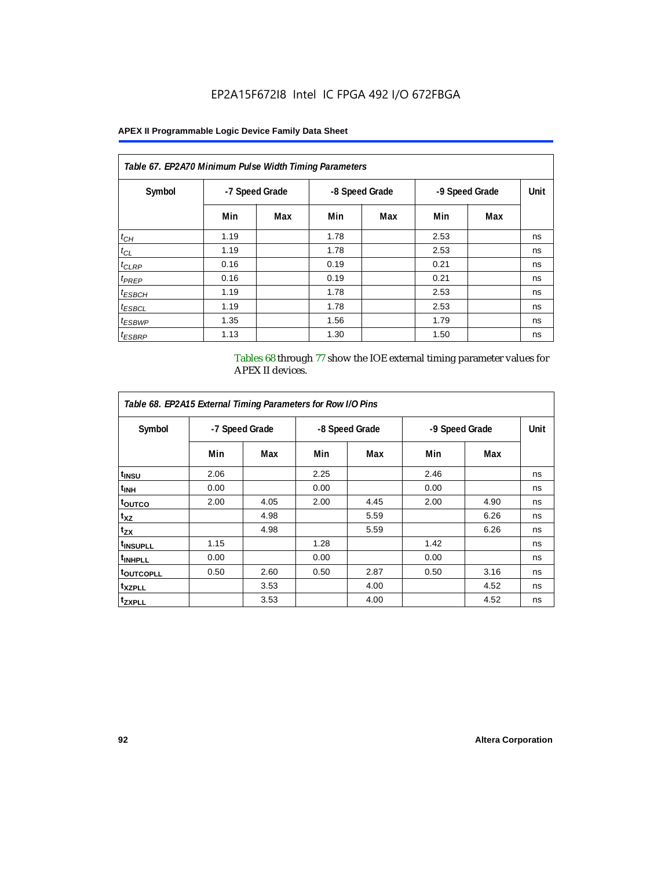### **APEX II Programmable Logic Device Family Data Sheet**

| Table 67. EP2A70 Minimum Pulse Width Timing Parameters |                |     |      |                |                |     |      |  |  |  |
|--------------------------------------------------------|----------------|-----|------|----------------|----------------|-----|------|--|--|--|
| Symbol                                                 | -7 Speed Grade |     |      | -8 Speed Grade | -9 Speed Grade |     | Unit |  |  |  |
|                                                        | Min            | Max | Min  | Max            | Min            | Max |      |  |  |  |
| $t_{CH}$                                               | 1.19           |     | 1.78 |                | 2.53           |     | ns   |  |  |  |
| $t_{CL}$                                               | 1.19           |     | 1.78 |                | 2.53           |     | ns   |  |  |  |
| $t_{CLRP}$                                             | 0.16           |     | 0.19 |                | 0.21           |     | ns   |  |  |  |
| t <sub>PREP</sub>                                      | 0.16           |     | 0.19 |                | 0.21           |     | ns   |  |  |  |
| $t_{ESBCH}$                                            | 1.19           |     | 1.78 |                | 2.53           |     | ns   |  |  |  |
| <sup>t</sup> ESBCL                                     | 1.19           |     | 1.78 |                | 2.53           |     | ns   |  |  |  |
| <sup>t</sup> ESBWP                                     | 1.35           |     | 1.56 |                | 1.79           |     | ns   |  |  |  |
| <sup>t</sup> ESBRP                                     | 1.13           |     | 1.30 |                | 1.50           |     | ns   |  |  |  |

Tables 68 through 77 show the IOE external timing parameter values for APEX II devices.

| Table 68. EP2A15 External Timing Parameters for Row I/O Pins |                |      |      |                |      |                |    |
|--------------------------------------------------------------|----------------|------|------|----------------|------|----------------|----|
| Symbol                                                       | -7 Speed Grade |      |      | -8 Speed Grade |      | -9 Speed Grade |    |
|                                                              | Min            | Max  | Min  | Max            | Min  | Max            |    |
| t <sub>INSU</sub>                                            | 2.06           |      | 2.25 |                | 2.46 |                | ns |
| <sup>t</sup> inh                                             | 0.00           |      | 0.00 |                | 0.00 |                | ns |
| <sup>t</sup> outco                                           | 2.00           | 4.05 | 2.00 | 4.45           | 2.00 | 4.90           | ns |
| $t_{XZ}$                                                     |                | 4.98 |      | 5.59           |      | 6.26           | ns |
| $t_{ZX}$                                                     |                | 4.98 |      | 5.59           |      | 6.26           | ns |
| <sup>t</sup> INSUPLL                                         | 1.15           |      | 1.28 |                | 1.42 |                | ns |
| <sup>t</sup> INHPLL                                          | 0.00           |      | 0.00 |                | 0.00 |                | ns |
| <sup>t</sup> outcopll                                        | 0.50           | 2.60 | 0.50 | 2.87           | 0.50 | 3.16           | ns |
| <sup>t</sup> XZPLL                                           |                | 3.53 |      | 4.00           |      | 4.52           | ns |
| <sup>t</sup> zxpll                                           |                | 3.53 |      | 4.00           |      | 4.52           | ns |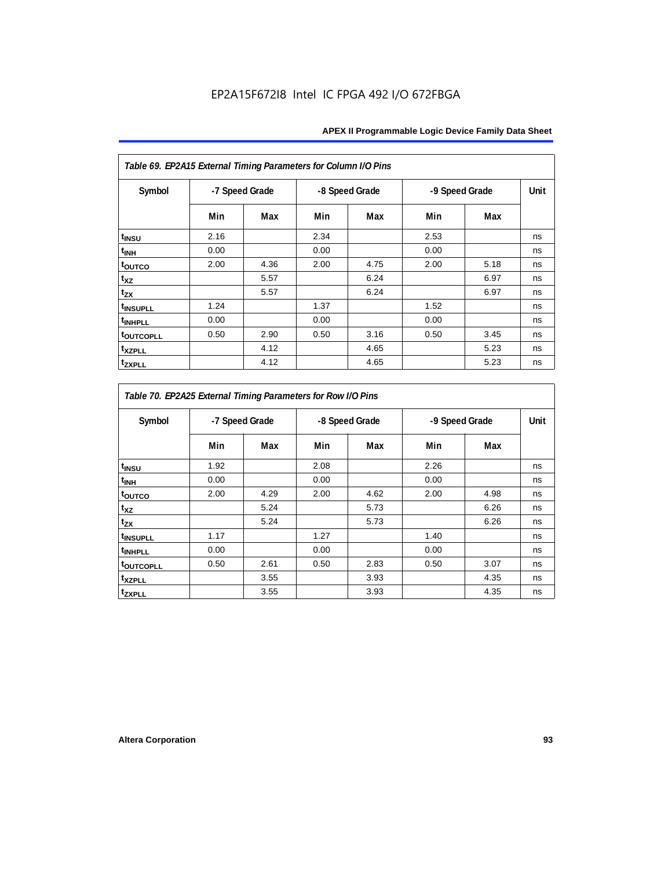| Table 69. EP2A15 External Timing Parameters for Column I/O Pins |                |      |      |                |      |                |      |
|-----------------------------------------------------------------|----------------|------|------|----------------|------|----------------|------|
| Symbol                                                          | -7 Speed Grade |      |      | -8 Speed Grade |      | -9 Speed Grade | Unit |
|                                                                 | Min            | Max  | Min  | Max            | Min  | Max            |      |
| t <sub>INSU</sub>                                               | 2.16           |      | 2.34 |                | 2.53 |                | ns   |
| $t_{\rm INH}$                                                   | 0.00           |      | 0.00 |                | 0.00 |                | ns   |
| toutco                                                          | 2.00           | 4.36 | 2.00 | 4.75           | 2.00 | 5.18           | ns   |
| t <sub>XZ</sub>                                                 |                | 5.57 |      | 6.24           |      | 6.97           | ns   |
| $t_{ZX}$                                                        |                | 5.57 |      | 6.24           |      | 6.97           | ns   |
| <sup>t</sup> INSUPLL                                            | 1.24           |      | 1.37 |                | 1.52 |                | ns   |
| <sup>t</sup> INHPLL                                             | 0.00           |      | 0.00 |                | 0.00 |                | ns   |
| <b>toutcopll</b>                                                | 0.50           | 2.90 | 0.50 | 3.16           | 0.50 | 3.45           | ns   |
| t <sub>XZPLL</sub>                                              |                | 4.12 |      | 4.65           |      | 5.23           | ns   |
| <sup>t</sup> zxpll                                              |                | 4.12 |      | 4.65           |      | 5.23           | ns   |

| Table 70. EP2A25 External Timing Parameters for Row I/O Pins |      |                |      |                |      |                |      |  |
|--------------------------------------------------------------|------|----------------|------|----------------|------|----------------|------|--|
| Symbol                                                       |      | -7 Speed Grade |      | -8 Speed Grade |      | -9 Speed Grade | Unit |  |
|                                                              | Min  | Max            | Min  | Max            | Min  | Max            |      |  |
| t <sub>INSU</sub>                                            | 1.92 |                | 2.08 |                | 2.26 |                | ns   |  |
| <sup>t</sup> INH                                             | 0.00 |                | 0.00 |                | 0.00 |                | ns   |  |
| toutco                                                       | 2.00 | 4.29           | 2.00 | 4.62           | 2.00 | 4.98           | ns   |  |
| t <sub>XZ</sub>                                              |      | 5.24           |      | 5.73           |      | 6.26           | ns   |  |
| t <sub>zx</sub>                                              |      | 5.24           |      | 5.73           |      | 6.26           | ns   |  |
| <sup>t</sup> INSUPLL                                         | 1.17 |                | 1.27 |                | 1.40 |                | ns   |  |
| <sup>t</sup> INHPLL                                          | 0.00 |                | 0.00 |                | 0.00 |                | ns   |  |
| t <sub>outcopll</sub>                                        | 0.50 | 2.61           | 0.50 | 2.83           | 0.50 | 3.07           | ns   |  |
| <sup>t</sup> xzpll                                           |      | 3.55           |      | 3.93           |      | 4.35           | ns   |  |
| tzxpll                                                       |      | 3.55           |      | 3.93           |      | 4.35           | ns   |  |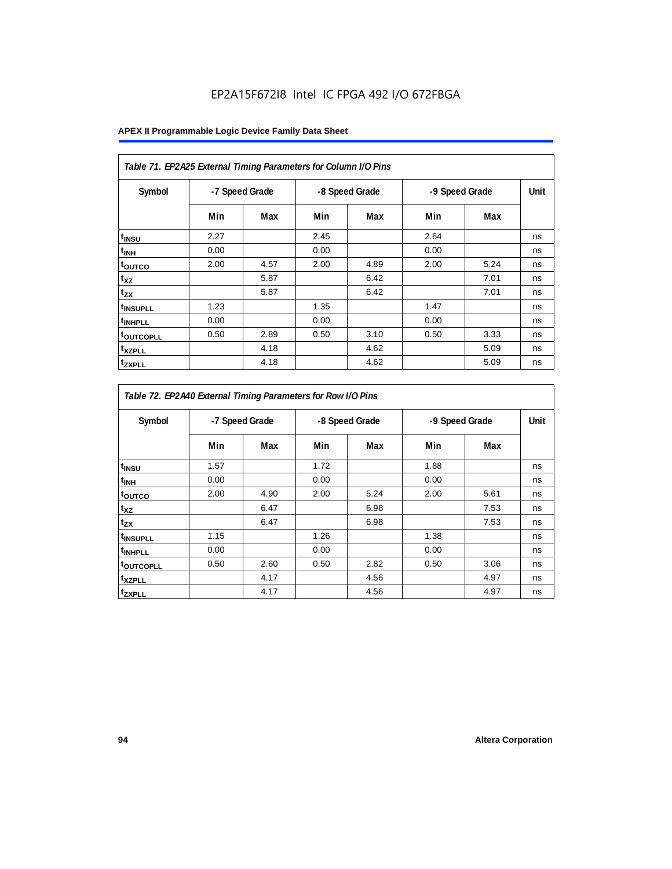| Table 71. EP2A25 External Timing Parameters for Column I/O Pins |                |      |      |                |      |                |             |
|-----------------------------------------------------------------|----------------|------|------|----------------|------|----------------|-------------|
| Symbol                                                          | -7 Speed Grade |      |      | -8 Speed Grade |      | -9 Speed Grade | <b>Unit</b> |
|                                                                 | Min            | Max  | Min  | Max            | Min  | Max            |             |
| t <sub>INSU</sub>                                               | 2.27           |      | 2.45 |                | 2.64 |                | ns          |
| t <sub>INH</sub>                                                | 0.00           |      | 0.00 |                | 0.00 |                | ns          |
| toutco                                                          | 2.00           | 4.57 | 2.00 | 4.89           | 2.00 | 5.24           | ns          |
| $t_{XZ}$                                                        |                | 5.87 |      | 6.42           |      | 7.01           | ns          |
| $t_{ZX}$                                                        |                | 5.87 |      | 6.42           |      | 7.01           | ns          |
| t <sub>INSUPLL</sub>                                            | 1.23           |      | 1.35 |                | 1.47 |                | ns          |
| <sup>t</sup> INHPLL                                             | 0.00           |      | 0.00 |                | 0.00 |                | ns          |
| <b>toutcopll</b>                                                | 0.50           | 2.89 | 0.50 | 3.10           | 0.50 | 3.33           | ns          |
| <sup>t</sup> xzpll                                              |                | 4.18 |      | 4.62           |      | 5.09           | ns          |
| <sup>t</sup> zxpll                                              |                | 4.18 |      | 4.62           |      | 5.09           | ns          |

| Table 72. EP2A40 External Timing Parameters for Row I/O Pins |                |      |      |                |                |      |      |
|--------------------------------------------------------------|----------------|------|------|----------------|----------------|------|------|
| Symbol                                                       | -7 Speed Grade |      |      | -8 Speed Grade | -9 Speed Grade |      | Unit |
|                                                              | Min            | Max  | Min  | Max            | Min            | Max  |      |
| t <sub>INSU</sub>                                            | 1.57           |      | 1.72 |                | 1.88           |      | ns   |
| $t_{\text{INH}}$                                             | 0.00           |      | 0.00 |                | 0.00           |      | ns   |
| toutco                                                       | 2.00           | 4.90 | 2.00 | 5.24           | 2.00           | 5.61 | ns   |
| $t_{XZ}$                                                     |                | 6.47 |      | 6.98           |                | 7.53 | ns   |
| $t_{ZX}$                                                     |                | 6.47 |      | 6.98           |                | 7.53 | ns   |
| <sup>t</sup> INSUPLL                                         | 1.15           |      | 1.26 |                | 1.38           |      | ns   |
| <sup>t</sup> INHPLL                                          | 0.00           |      | 0.00 |                | 0.00           |      | ns   |
| <sup>t</sup> outcopll                                        | 0.50           | 2.60 | 0.50 | 2.82           | 0.50           | 3.06 | ns   |
| <sup>t</sup> xzpll                                           |                | 4.17 |      | 4.56           |                | 4.97 | ns   |
| t <sub>ZXPLL</sub>                                           |                | 4.17 |      | 4.56           |                | 4.97 | ns   |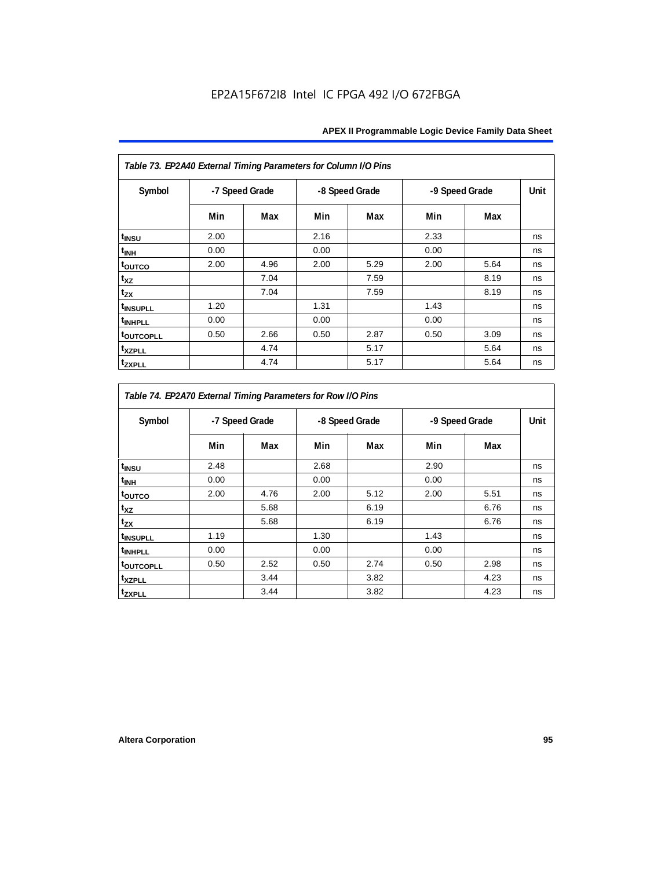| Table 73. EP2A40 External Timing Parameters for Column I/O Pins |                |      |      |                |      |                |      |
|-----------------------------------------------------------------|----------------|------|------|----------------|------|----------------|------|
| Symbol                                                          | -7 Speed Grade |      |      | -8 Speed Grade |      | -9 Speed Grade | Unit |
|                                                                 | Min            | Max  | Min  | Max            | Min  | Max            |      |
| t <sub>INSU</sub>                                               | 2.00           |      | 2.16 |                | 2.33 |                | ns   |
| $t_{\rm INH}$                                                   | 0.00           |      | 0.00 |                | 0.00 |                | ns   |
| toutco                                                          | 2.00           | 4.96 | 2.00 | 5.29           | 2.00 | 5.64           | ns   |
| t <sub>XZ</sub>                                                 |                | 7.04 |      | 7.59           |      | 8.19           | ns   |
| $t_{ZX}$                                                        |                | 7.04 |      | 7.59           |      | 8.19           | ns   |
| <sup>t</sup> INSUPLL                                            | 1.20           |      | 1.31 |                | 1.43 |                | ns   |
| <sup>t</sup> INHPLL                                             | 0.00           |      | 0.00 |                | 0.00 |                | ns   |
| <b>toutcopll</b>                                                | 0.50           | 2.66 | 0.50 | 2.87           | 0.50 | 3.09           | ns   |
| t <sub>XZPLL</sub>                                              |                | 4.74 |      | 5.17           |      | 5.64           | ns   |
| <sup>t</sup> zxpll                                              |                | 4.74 |      | 5.17           |      | 5.64           | ns   |

| Table 74. EP2A70 External Timing Parameters for Row I/O Pins |      |                |      |                |                |      |      |
|--------------------------------------------------------------|------|----------------|------|----------------|----------------|------|------|
| Symbol                                                       |      | -7 Speed Grade |      | -8 Speed Grade | -9 Speed Grade |      | Unit |
|                                                              | Min  | Max            | Min  | Max            | Min            | Max  |      |
| t <sub>INSU</sub>                                            | 2.48 |                | 2.68 |                | 2.90           |      | ns   |
| <sup>t</sup> INH                                             | 0.00 |                | 0.00 |                | 0.00           |      | ns   |
| toutco                                                       | 2.00 | 4.76           | 2.00 | 5.12           | 2.00           | 5.51 | ns   |
| t <sub>XZ</sub>                                              |      | 5.68           |      | 6.19           |                | 6.76 | ns   |
| $t_{ZX}$                                                     |      | 5.68           |      | 6.19           |                | 6.76 | ns   |
| <sup>t</sup> INSUPLL                                         | 1.19 |                | 1.30 |                | 1.43           |      | ns   |
| <sup>t</sup> INHPLL                                          | 0.00 |                | 0.00 |                | 0.00           |      | ns   |
| <b>toutcopll</b>                                             | 0.50 | 2.52           | 0.50 | 2.74           | 0.50           | 2.98 | ns   |
| <sup>t</sup> XZPLL                                           |      | 3.44           |      | 3.82           |                | 4.23 | ns   |
| tzxpll                                                       |      | 3.44           |      | 3.82           |                | 4.23 | ns   |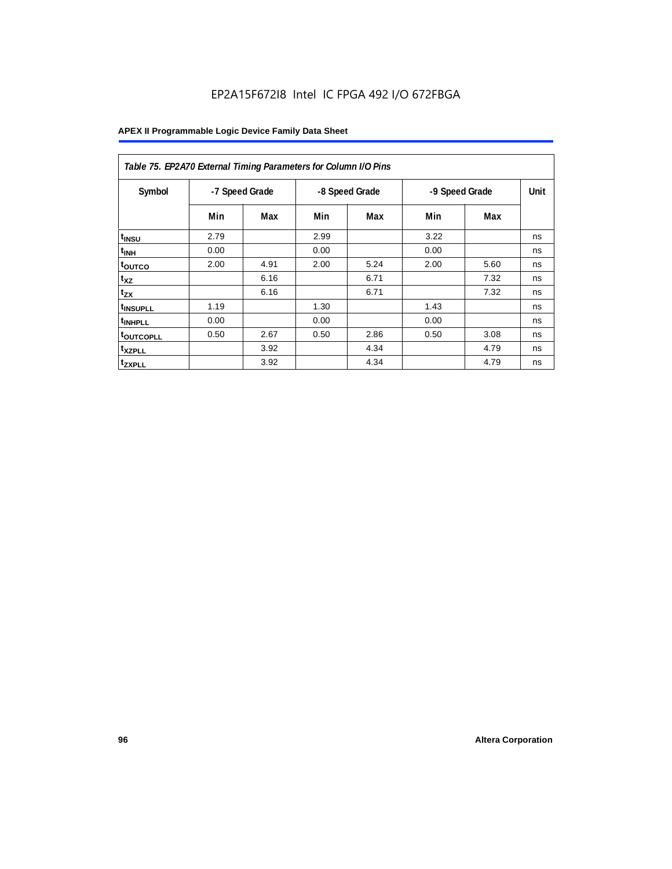| Table 75. EP2A70 External Timing Parameters for Column I/O Pins |                |      |      |                |                |      |      |
|-----------------------------------------------------------------|----------------|------|------|----------------|----------------|------|------|
| Symbol                                                          | -7 Speed Grade |      |      | -8 Speed Grade | -9 Speed Grade |      | Unit |
|                                                                 | Min            | Max  | Min  | Max            | Min            | Max  |      |
| t <sub>INSU</sub>                                               | 2.79           |      | 2.99 |                | 3.22           |      | ns   |
| $t_{\text{INH}}$                                                | 0.00           |      | 0.00 |                | 0.00           |      | ns   |
| toutco                                                          | 2.00           | 4.91 | 2.00 | 5.24           | 2.00           | 5.60 | ns   |
| t <sub>XZ</sub>                                                 |                | 6.16 |      | 6.71           |                | 7.32 | ns   |
| $t_{ZX}$                                                        |                | 6.16 |      | 6.71           |                | 7.32 | ns   |
| <sup>t</sup> INSUPLL                                            | 1.19           |      | 1.30 |                | 1.43           |      | ns   |
| <sup>t</sup> INHPLL                                             | 0.00           |      | 0.00 |                | 0.00           |      | ns   |
| <b>toutcopll</b>                                                | 0.50           | 2.67 | 0.50 | 2.86           | 0.50           | 3.08 | ns   |
| <sup>t</sup> xzpll                                              |                | 3.92 |      | 4.34           |                | 4.79 | ns   |
| <sup>t</sup> zxpll                                              |                | 3.92 |      | 4.34           |                | 4.79 | ns   |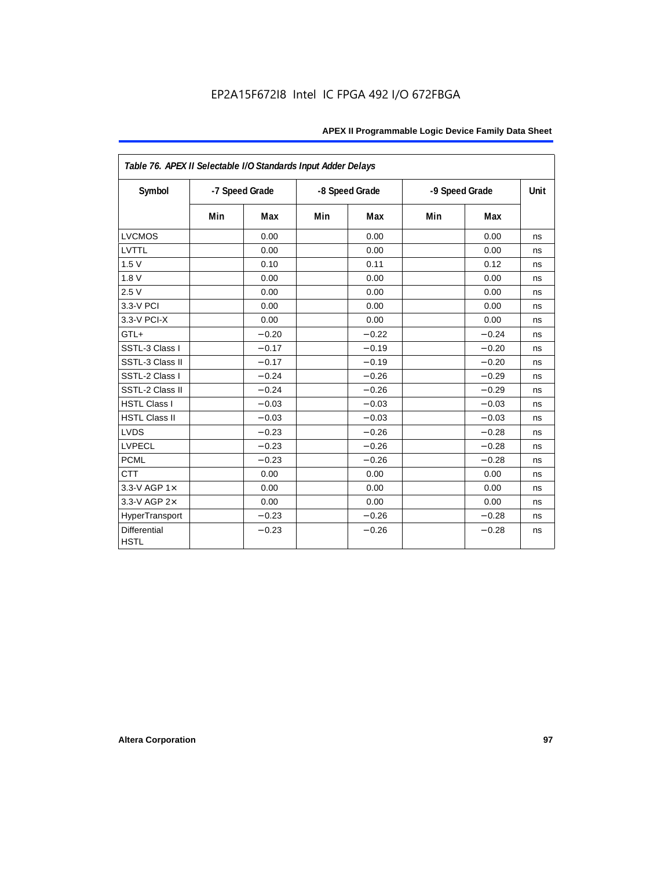| Table 76. APEX II Selectable I/O Standards Input Adder Delays |                |         |     |                |     |                |      |
|---------------------------------------------------------------|----------------|---------|-----|----------------|-----|----------------|------|
| Symbol                                                        | -7 Speed Grade |         |     | -8 Speed Grade |     | -9 Speed Grade | Unit |
|                                                               | Min            | Max     | Min | Max            | Min | Max            |      |
| <b>LVCMOS</b>                                                 |                | 0.00    |     | 0.00           |     | 0.00           | ns   |
| LVTTL                                                         |                | 0.00    |     | 0.00           |     | 0.00           | ns   |
| 1.5V                                                          |                | 0.10    |     | 0.11           |     | 0.12           | ns   |
| 1.8V                                                          |                | 0.00    |     | 0.00           |     | 0.00           | ns   |
| 2.5V                                                          |                | 0.00    |     | 0.00           |     | 0.00           | ns   |
| 3.3-V PCI                                                     |                | 0.00    |     | 0.00           |     | 0.00           | ns   |
| 3.3-V PCI-X                                                   |                | 0.00    |     | 0.00           |     | 0.00           | ns   |
| GTL+                                                          |                | $-0.20$ |     | $-0.22$        |     | $-0.24$        | ns   |
| SSTL-3 Class I                                                |                | $-0.17$ |     | $-0.19$        |     | $-0.20$        | ns   |
| SSTL-3 Class II                                               |                | $-0.17$ |     | $-0.19$        |     | $-0.20$        | ns   |
| SSTL-2 Class I                                                |                | $-0.24$ |     | $-0.26$        |     | $-0.29$        | ns   |
| SSTL-2 Class II                                               |                | $-0.24$ |     | $-0.26$        |     | $-0.29$        | ns   |
| <b>HSTL Class I</b>                                           |                | $-0.03$ |     | $-0.03$        |     | $-0.03$        | ns   |
| <b>HSTL Class II</b>                                          |                | $-0.03$ |     | $-0.03$        |     | $-0.03$        | ns   |
| <b>LVDS</b>                                                   |                | $-0.23$ |     | $-0.26$        |     | $-0.28$        | ns   |
| <b>LVPECL</b>                                                 |                | $-0.23$ |     | $-0.26$        |     | $-0.28$        | ns   |
| <b>PCML</b>                                                   |                | $-0.23$ |     | $-0.26$        |     | $-0.28$        | ns   |
| <b>CTT</b>                                                    |                | 0.00    |     | 0.00           |     | 0.00           | ns   |
| 3.3-V AGP $1\times$                                           |                | 0.00    |     | 0.00           |     | 0.00           | ns   |
| 3.3-V AGP 2×                                                  |                | 0.00    |     | 0.00           |     | 0.00           | ns   |
| HyperTransport                                                |                | $-0.23$ |     | $-0.26$        |     | $-0.28$        | ns   |
| <b>Differential</b><br><b>HSTL</b>                            |                | $-0.23$ |     | $-0.26$        |     | $-0.28$        | ns   |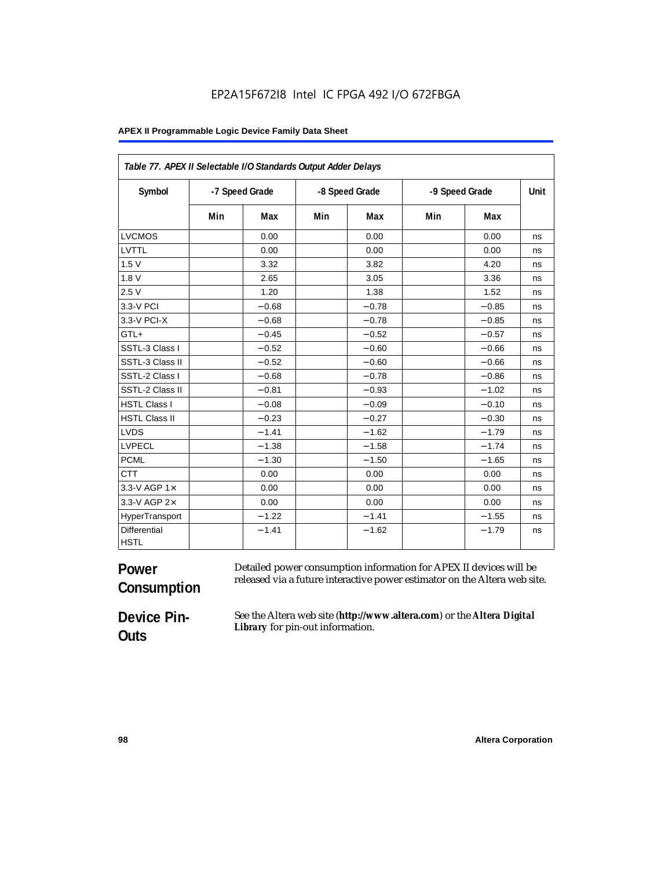### **APEX II Programmable Logic Device Family Data Sheet**

| Table 77. APEX II Selectable I/O Standards Output Adder Delays |     |                |     |                |     |                |      |
|----------------------------------------------------------------|-----|----------------|-----|----------------|-----|----------------|------|
| Symbol                                                         |     | -7 Speed Grade |     | -8 Speed Grade |     | -9 Speed Grade | Unit |
|                                                                | Min | Max            | Min | Max            | Min | Max            |      |
| <b>LVCMOS</b>                                                  |     | 0.00           |     | 0.00           |     | 0.00           | ns   |
| LVTTL                                                          |     | 0.00           |     | 0.00           |     | 0.00           | ns   |
| 1.5V                                                           |     | 3.32           |     | 3.82           |     | 4.20           | ns   |
| 1.8V                                                           |     | 2.65           |     | 3.05           |     | 3.36           | ns   |
| 2.5V                                                           |     | 1.20           |     | 1.38           |     | 1.52           | ns   |
| 3.3-V PCI                                                      |     | $-0.68$        |     | $-0.78$        |     | $-0.85$        | ns   |
| 3.3-V PCI-X                                                    |     | $-0.68$        |     | $-0.78$        |     | $-0.85$        | ns   |
| GTL+                                                           |     | $-0.45$        |     | $-0.52$        |     | $-0.57$        | ns   |
| SSTL-3 Class I                                                 |     | $-0.52$        |     | $-0.60$        |     | $-0.66$        | ns   |
| SSTL-3 Class II                                                |     | $-0.52$        |     | $-0.60$        |     | $-0.66$        | ns   |
| SSTL-2 Class I                                                 |     | $-0.68$        |     | $-0.78$        |     | $-0.86$        | ns   |
| SSTL-2 Class II                                                |     | $-0.81$        |     | $-0.93$        |     | $-1.02$        | ns   |
| <b>HSTL Class I</b>                                            |     | $-0.08$        |     | $-0.09$        |     | $-0.10$        | ns   |
| <b>HSTL Class II</b>                                           |     | $-0.23$        |     | $-0.27$        |     | $-0.30$        | ns   |
| <b>LVDS</b>                                                    |     | $-1.41$        |     | $-1.62$        |     | $-1.79$        | ns   |
| <b>LVPECL</b>                                                  |     | $-1.38$        |     | $-1.58$        |     | $-1.74$        | ns   |
| <b>PCML</b>                                                    |     | $-1.30$        |     | $-1.50$        |     | $-1.65$        | ns   |
| <b>CTT</b>                                                     |     | 0.00           |     | 0.00           |     | 0.00           | ns   |
| 3.3-V AGP 1×                                                   |     | 0.00           |     | 0.00           |     | 0.00           | ns   |
| 3.3-V AGP 2×                                                   |     | 0.00           |     | 0.00           |     | 0.00           | ns   |
| HyperTransport                                                 |     | $-1.22$        |     | $-1.41$        |     | $-1.55$        | ns   |
| <b>Differential</b><br><b>HSTL</b>                             |     | $-1.41$        |     | $-1.62$        |     | $-1.79$        | ns   |

#### **Power Consumption** Detailed power consumption information for APEX II devices will be released via a future interactive power estimator on the Altera web site.

**Device Pin-Outs**

See the Altera web site (**http://www.altera.com**) or the *Altera Digital Library* for pin-out information.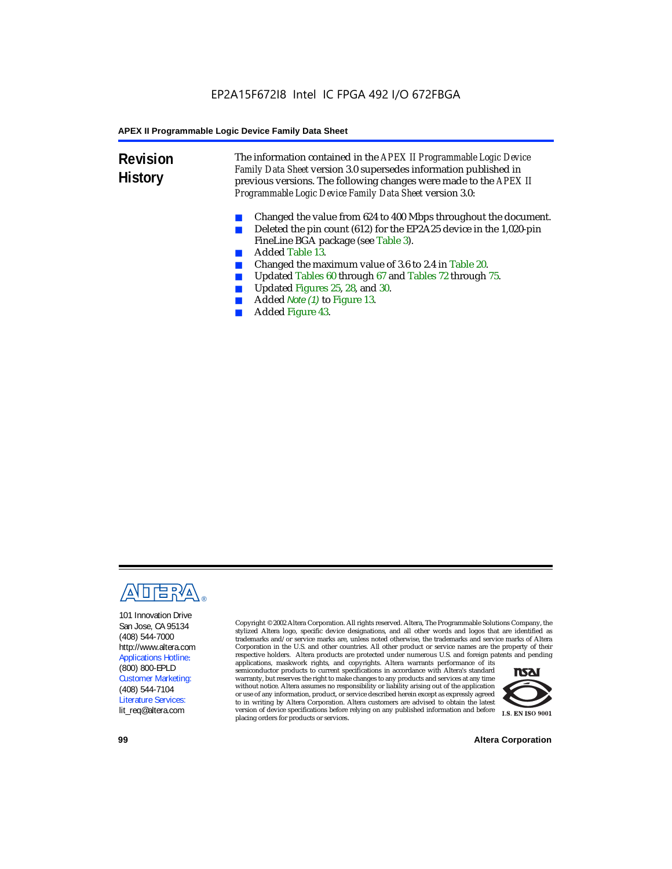**Revision History** The information contained in the *APEX II Programmable Logic Device Family Data Sheet* version 3.0 supersedes information published in previous versions. The following changes were made to the *APEX II Programmable Logic Device Family Data Sheet* version 3.0:

- Changed the value from 624 to 400 Mbps throughout the document.
- Deleted the pin count (612) for the EP2A25 device in the 1,020-pin FineLine BGA package (see Table 3).
- Added Table 13.
- Changed the maximum value of 3.6 to 2.4 in Table 20.
- Updated Tables 60 through 67 and Tables 72 through 75.<br>■ Updated Figures 25, 28, and 30
- Updated Figures 25, 28, and 30.
- Added *Note (1)* to Figure 13.
- Added Figure 43.



101 Innovation Drive San Jose, CA 95134 (408) 544-7000 http://www.altera.com Applications Hotline: (800) 800-EPLD Customer Marketing: (408) 544-7104 Literature Services: lit\_req@altera.com

Copyright © 2002 Altera Corporation. All rights reserved. Altera, The Programmable Solutions Company, the stylized Altera logo, specific device designations, and all other words and logos that are identified as trademarks and/or service marks are, unless noted otherwise, the trademarks and service marks of Altera Corporation in the U.S. and other countries. All other product or service names are the property of their respective holders. Altera products are protected under numerous U.S. and foreign patents and pending

applications, maskwork rights, and copyrights. Altera warrants performance of its semiconductor products to current specifications in accordance with Altera's standard warranty, but reserves the right to make changes to any products and services at any time without notice. Altera assumes no responsibility or liability arising out of the application or use of any information, product, or service described herein except as expressly agreed to in writing by Altera Corporation. Altera customers are advised to obtain the latest version of device specifications before relying on any published information and before placing orders for products or services.



**99 Altera Corporation**